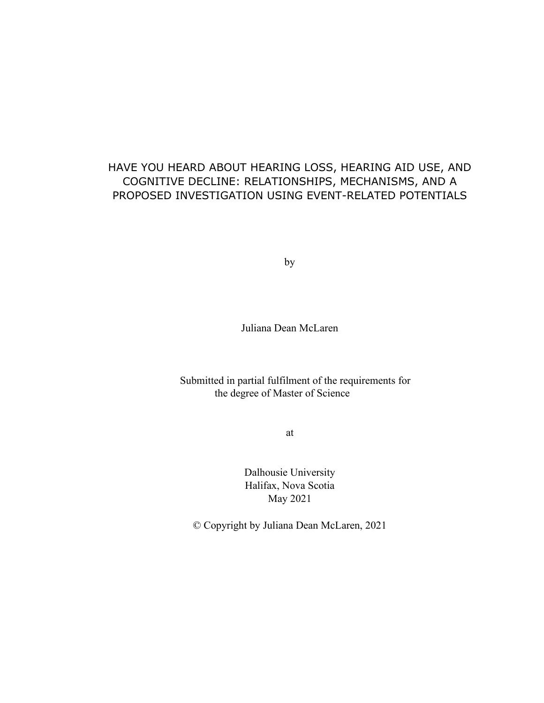# HAVE YOU HEARD ABOUT HEARING LOSS, HEARING AID USE, AND COGNITIVE DECLINE: RELATIONSHIPS, MECHANISMS, AND A PROPOSED INVESTIGATION USING EVENT-RELATED POTENTIALS

by

Juliana Dean McLaren

Submitted in partial fulfilment of the requirements for the degree of Master of Science

at

Dalhousie University Halifax, Nova Scotia May 2021

© Copyright by Juliana Dean McLaren, 2021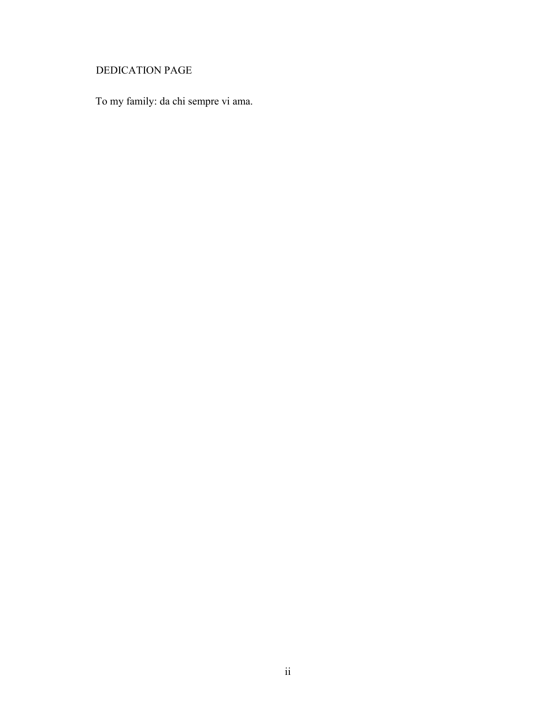# DEDICATION PAGE

To my family: da chi sempre vi ama.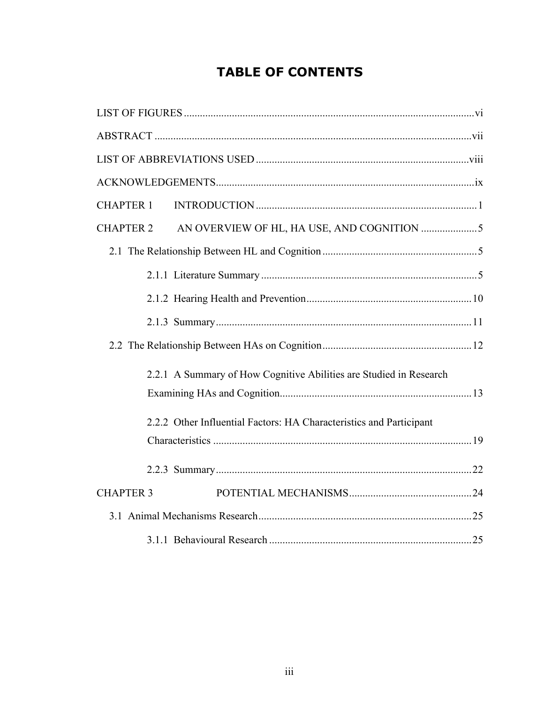# **TABLE OF CONTENTS**

| <b>CHAPTER 1</b> |                                                                     |  |  |
|------------------|---------------------------------------------------------------------|--|--|
| <b>CHAPTER 2</b> |                                                                     |  |  |
|                  |                                                                     |  |  |
|                  |                                                                     |  |  |
|                  |                                                                     |  |  |
|                  |                                                                     |  |  |
|                  |                                                                     |  |  |
|                  | 2.2.1 A Summary of How Cognitive Abilities are Studied in Research  |  |  |
|                  |                                                                     |  |  |
|                  | 2.2.2 Other Influential Factors: HA Characteristics and Participant |  |  |
|                  |                                                                     |  |  |
|                  |                                                                     |  |  |
| <b>CHAPTER 3</b> |                                                                     |  |  |
|                  |                                                                     |  |  |
|                  |                                                                     |  |  |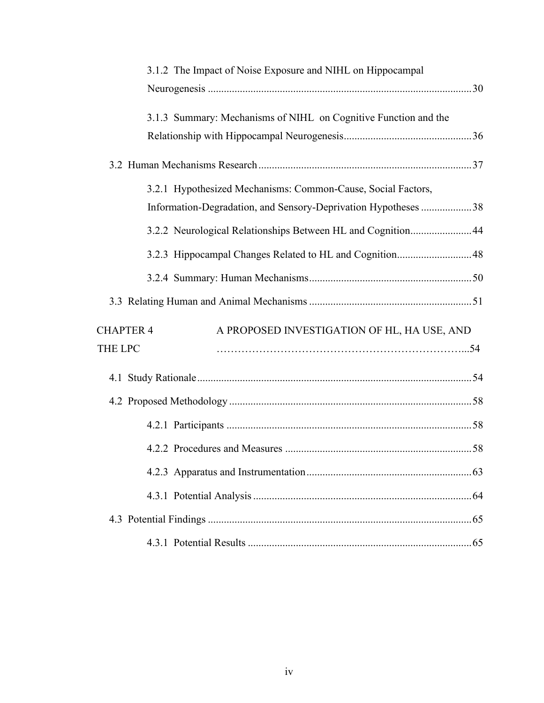| 3.1.2 The Impact of Noise Exposure and NIHL on Hippocampal      |  |
|-----------------------------------------------------------------|--|
|                                                                 |  |
| 3.1.3 Summary: Mechanisms of NIHL on Cognitive Function and the |  |
|                                                                 |  |
|                                                                 |  |
| 3.2.1 Hypothesized Mechanisms: Common-Cause, Social Factors,    |  |
| Information-Degradation, and Sensory-Deprivation Hypotheses 38  |  |
| 3.2.2 Neurological Relationships Between HL and Cognition 44    |  |
| 3.2.3 Hippocampal Changes Related to HL and Cognition 48        |  |
|                                                                 |  |
|                                                                 |  |
| <b>CHAPTER 4</b><br>A PROPOSED INVESTIGATION OF HL, HA USE, AND |  |
| <b>THE LPC</b>                                                  |  |
|                                                                 |  |
|                                                                 |  |
|                                                                 |  |
|                                                                 |  |
|                                                                 |  |
|                                                                 |  |
|                                                                 |  |
|                                                                 |  |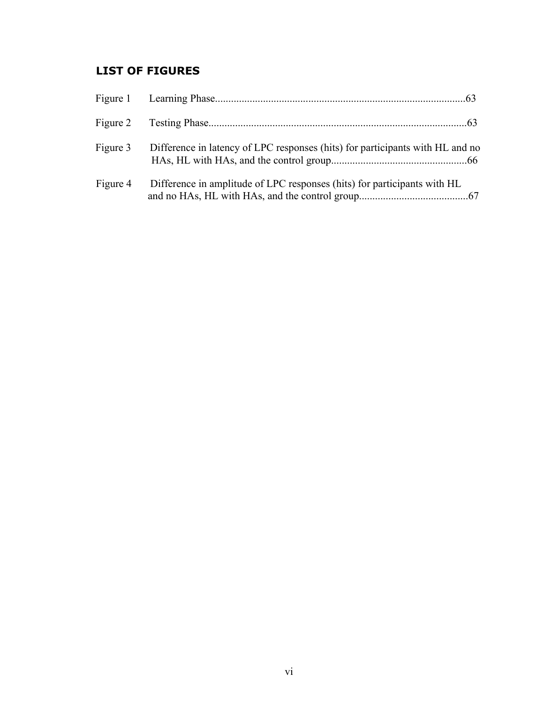# <span id="page-5-0"></span>**LIST OF FIGURES**

| Figure 3 | Difference in latency of LPC responses (hits) for participants with HL and no |
|----------|-------------------------------------------------------------------------------|
| Figure 4 | Difference in amplitude of LPC responses (hits) for participants with HL      |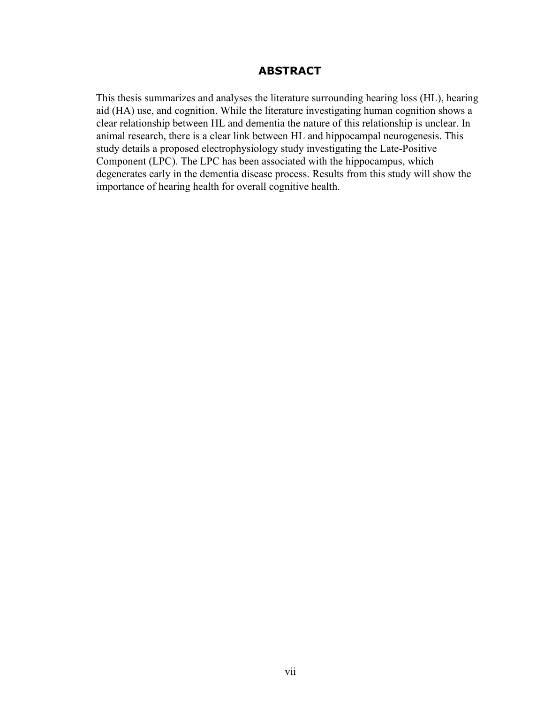# **ABSTRACT**

<span id="page-6-0"></span>This thesis summarizes and analyses the literature surrounding hearing loss (HL), hearing aid (HA) use, and cognition. While the literature investigating human cognition shows a clear relationship between HL and dementia the nature of this relationship is unclear. In animal research, there is a clear link between HL and hippocampal neurogenesis. This study details a proposed electrophysiology study investigating the Late-Positive Component (LPC). The LPC has been associated with the hippocampus, which degenerates early in the dementia disease process. Results from this study will show the importance of hearing health for overall cognitive health.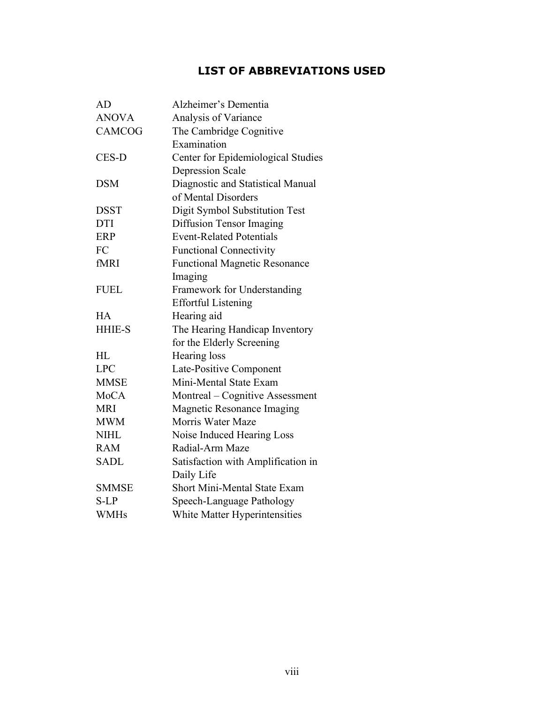# **LIST OF ABBREVIATIONS USED**

<span id="page-7-0"></span>

| AD            | Alzheimer's Dementia                 |
|---------------|--------------------------------------|
| <b>ANOVA</b>  | Analysis of Variance                 |
| <b>CAMCOG</b> | The Cambridge Cognitive              |
|               | Examination                          |
| CES-D         | Center for Epidemiological Studies   |
|               | <b>Depression Scale</b>              |
| <b>DSM</b>    | Diagnostic and Statistical Manual    |
|               | of Mental Disorders                  |
| <b>DSST</b>   | Digit Symbol Substitution Test       |
| <b>DTI</b>    | Diffusion Tensor Imaging             |
| <b>ERP</b>    | <b>Event-Related Potentials</b>      |
| FC            | <b>Functional Connectivity</b>       |
| fMRI          | <b>Functional Magnetic Resonance</b> |
|               | Imaging                              |
| <b>FUEL</b>   | Framework for Understanding          |
|               | <b>Effortful Listening</b>           |
| <b>HA</b>     | Hearing aid                          |
| <b>HHIE-S</b> | The Hearing Handicap Inventory       |
|               | for the Elderly Screening            |
| HL            | Hearing loss                         |
| <b>LPC</b>    | Late-Positive Component              |
| <b>MMSE</b>   | Mini-Mental State Exam               |
| <b>MoCA</b>   | Montreal – Cognitive Assessment      |
| <b>MRI</b>    | Magnetic Resonance Imaging           |
| <b>MWM</b>    | Morris Water Maze                    |
| <b>NIHL</b>   | Noise Induced Hearing Loss           |
| <b>RAM</b>    | Radial-Arm Maze                      |
| <b>SADL</b>   | Satisfaction with Amplification in   |
|               | Daily Life                           |
| <b>SMMSE</b>  | <b>Short Mini-Mental State Exam</b>  |
| S-LP          | Speech-Language Pathology            |
| <b>WMHs</b>   | White Matter Hyperintensities        |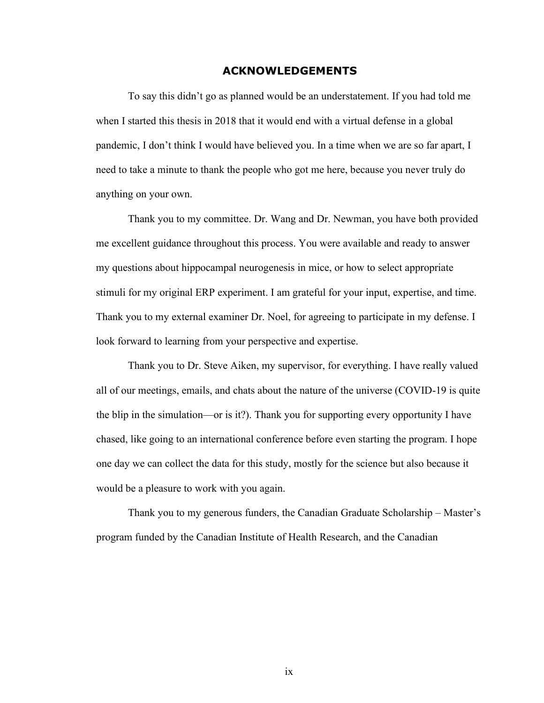#### **ACKNOWLEDGEMENTS**

<span id="page-8-0"></span>To say this didn't go as planned would be an understatement. If you had told me when I started this thesis in 2018 that it would end with a virtual defense in a global pandemic, I don't think I would have believed you. In a time when we are so far apart, I need to take a minute to thank the people who got me here, because you never truly do anything on your own.

Thank you to my committee. Dr. Wang and Dr. Newman, you have both provided me excellent guidance throughout this process. You were available and ready to answer my questions about hippocampal neurogenesis in mice, or how to select appropriate stimuli for my original ERP experiment. I am grateful for your input, expertise, and time. Thank you to my external examiner Dr. Noel, for agreeing to participate in my defense. I look forward to learning from your perspective and expertise.

Thank you to Dr. Steve Aiken, my supervisor, for everything. I have really valued all of our meetings, emails, and chats about the nature of the universe (COVID-19 is quite the blip in the simulation—or is it?). Thank you for supporting every opportunity I have chased, like going to an international conference before even starting the program. I hope one day we can collect the data for this study, mostly for the science but also because it would be a pleasure to work with you again.

Thank you to my generous funders, the Canadian Graduate Scholarship – Master's program funded by the Canadian Institute of Health Research, and the Canadian

ix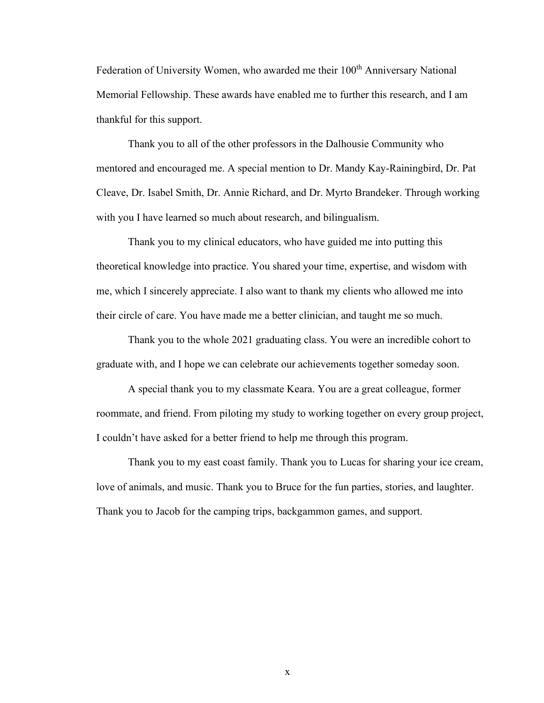Federation of University Women, who awarded me their 100<sup>th</sup> Anniversary National Memorial Fellowship. These awards have enabled me to further this research, and I am thankful for this support.

Thank you to all of the other professors in the Dalhousie Community who mentored and encouraged me. A special mention to Dr. Mandy Kay-Rainingbird, Dr. Pat Cleave, Dr. Isabel Smith, Dr. Annie Richard, and Dr. Myrto Brandeker. Through working with you I have learned so much about research, and bilingualism.

Thank you to my clinical educators, who have guided me into putting this theoretical knowledge into practice. You shared your time, expertise, and wisdom with me, which I sincerely appreciate. I also want to thank my clients who allowed me into their circle of care. You have made me a better clinician, and taught me so much.

Thank you to the whole 2021 graduating class. You were an incredible cohort to graduate with, and I hope we can celebrate our achievements together someday soon.

A special thank you to my classmate Keara. You are a great colleague, former roommate, and friend. From piloting my study to working together on every group project, I couldn't have asked for a better friend to help me through this program.

Thank you to my east coast family. Thank you to Lucas for sharing your ice cream, love of animals, and music. Thank you to Bruce for the fun parties, stories, and laughter. Thank you to Jacob for the camping trips, backgammon games, and support.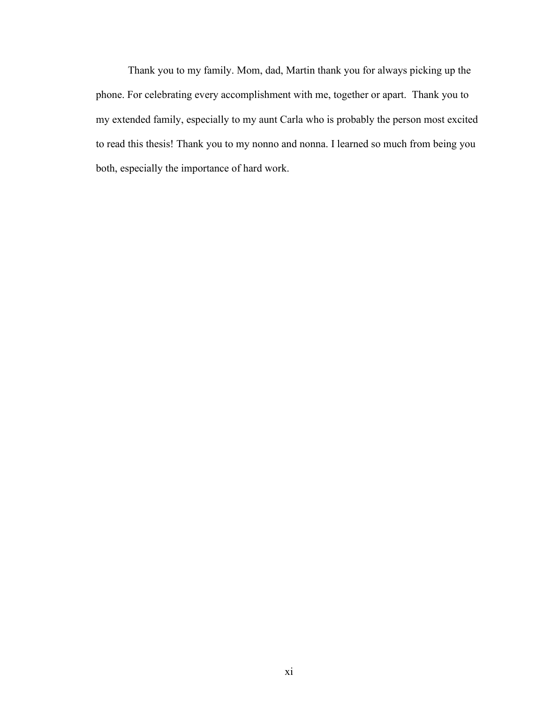Thank you to my family. Mom, dad, Martin thank you for always picking up the phone. For celebrating every accomplishment with me, together or apart. Thank you to my extended family, especially to my aunt Carla who is probably the person most excited to read this thesis! Thank you to my nonno and nonna. I learned so much from being you both, especially the importance of hard work.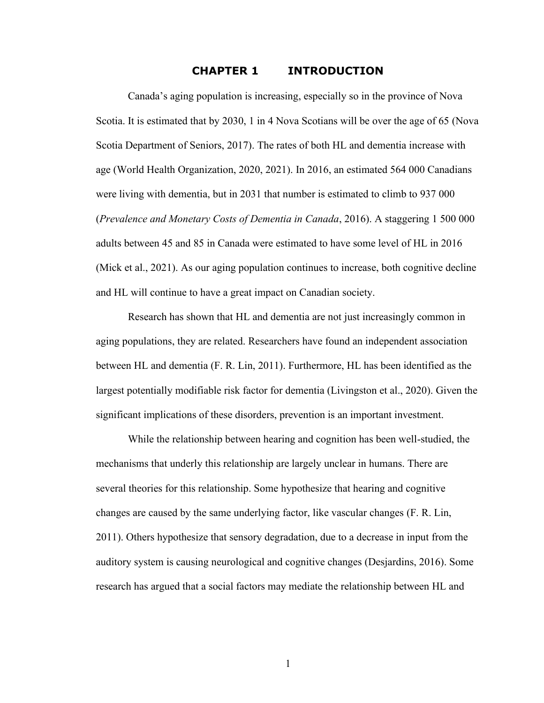# <span id="page-11-0"></span>**CHAPTER 1 INTRODUCTION**

Canada's aging population is increasing, especially so in the province of Nova Scotia. It is estimated that by 2030, 1 in 4 Nova Scotians will be over the age of 65 (Nova Scotia Department of Seniors, 2017). The rates of both HL and dementia increase with age (World Health Organization, 2020, 2021). In 2016, an estimated 564 000 Canadians were living with dementia, but in 2031 that number is estimated to climb to 937 000 (*Prevalence and Monetary Costs of Dementia in Canada*, 2016). A staggering 1 500 000 adults between 45 and 85 in Canada were estimated to have some level of HL in 2016 (Mick et al., 2021). As our aging population continues to increase, both cognitive decline and HL will continue to have a great impact on Canadian society.

Research has shown that HL and dementia are not just increasingly common in aging populations, they are related. Researchers have found an independent association between HL and dementia (F. R. Lin, 2011). Furthermore, HL has been identified as the largest potentially modifiable risk factor for dementia (Livingston et al., 2020). Given the significant implications of these disorders, prevention is an important investment.

While the relationship between hearing and cognition has been well-studied, the mechanisms that underly this relationship are largely unclear in humans. There are several theories for this relationship. Some hypothesize that hearing and cognitive changes are caused by the same underlying factor, like vascular changes (F. R. Lin, 2011). Others hypothesize that sensory degradation, due to a decrease in input from the auditory system is causing neurological and cognitive changes (Desjardins, 2016). Some research has argued that a social factors may mediate the relationship between HL and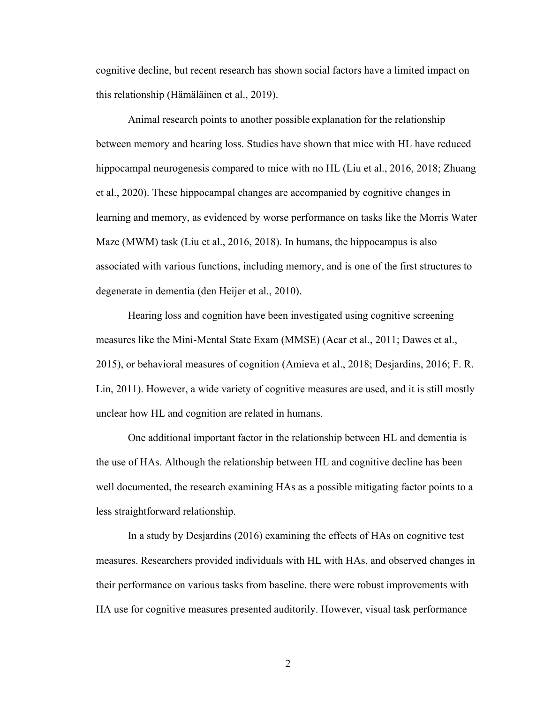cognitive decline, but recent research has shown social factors have a limited impact on this relationship (Hämäläinen et al., 2019).

Animal research points to another possible explanation for the relationship between memory and hearing loss. Studies have shown that mice with HL have reduced hippocampal neurogenesis compared to mice with no HL (Liu et al., 2016, 2018; Zhuang et al., 2020). These hippocampal changes are accompanied by cognitive changes in learning and memory, as evidenced by worse performance on tasks like the Morris Water Maze (MWM) task (Liu et al., 2016, 2018). In humans, the hippocampus is also associated with various functions, including memory, and is one of the first structures to degenerate in dementia (den Heijer et al., 2010).

Hearing loss and cognition have been investigated using cognitive screening measures like the Mini-Mental State Exam (MMSE) (Acar et al., 2011; Dawes et al., 2015), or behavioral measures of cognition (Amieva et al., 2018; Desjardins, 2016; F. R. Lin, 2011). However, a wide variety of cognitive measures are used, and it is still mostly unclear how HL and cognition are related in humans.

One additional important factor in the relationship between HL and dementia is the use of HAs. Although the relationship between HL and cognitive decline has been well documented, the research examining HAs as a possible mitigating factor points to a less straightforward relationship.

In a study by Desjardins (2016) examining the effects of HAs on cognitive test measures. Researchers provided individuals with HL with HAs, and observed changes in their performance on various tasks from baseline. there were robust improvements with HA use for cognitive measures presented auditorily. However, visual task performance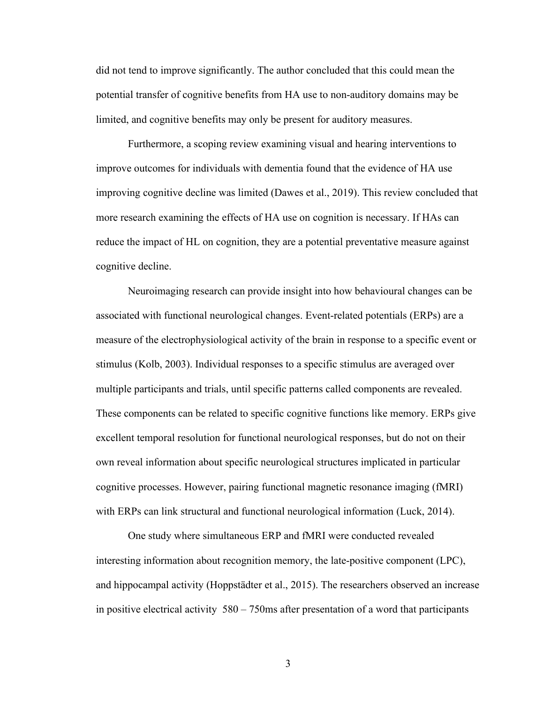did not tend to improve significantly. The author concluded that this could mean the potential transfer of cognitive benefits from HA use to non-auditory domains may be limited, and cognitive benefits may only be present for auditory measures.

Furthermore, a scoping review examining visual and hearing interventions to improve outcomes for individuals with dementia found that the evidence of HA use improving cognitive decline was limited (Dawes et al., 2019). This review concluded that more research examining the effects of HA use on cognition is necessary. If HAs can reduce the impact of HL on cognition, they are a potential preventative measure against cognitive decline.

Neuroimaging research can provide insight into how behavioural changes can be associated with functional neurological changes. Event-related potentials (ERPs) are a measure of the electrophysiological activity of the brain in response to a specific event or stimulus (Kolb, 2003). Individual responses to a specific stimulus are averaged over multiple participants and trials, until specific patterns called components are revealed. These components can be related to specific cognitive functions like memory. ERPs give excellent temporal resolution for functional neurological responses, but do not on their own reveal information about specific neurological structures implicated in particular cognitive processes. However, pairing functional magnetic resonance imaging (fMRI) with ERPs can link structural and functional neurological information (Luck, 2014).

One study where simultaneous ERP and fMRI were conducted revealed interesting information about recognition memory, the late-positive component (LPC), and hippocampal activity (Hoppstädter et al., 2015). The researchers observed an increase in positive electrical activity 580 – 750ms after presentation of a word that participants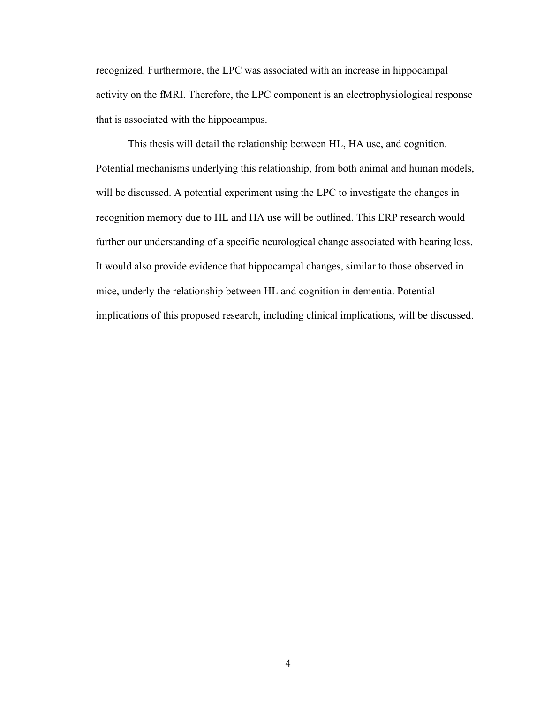recognized. Furthermore, the LPC was associated with an increase in hippocampal activity on the fMRI. Therefore, the LPC component is an electrophysiological response that is associated with the hippocampus.

This thesis will detail the relationship between HL, HA use, and cognition. Potential mechanisms underlying this relationship, from both animal and human models, will be discussed. A potential experiment using the LPC to investigate the changes in recognition memory due to HL and HA use will be outlined. This ERP research would further our understanding of a specific neurological change associated with hearing loss. It would also provide evidence that hippocampal changes, similar to those observed in mice, underly the relationship between HL and cognition in dementia. Potential implications of this proposed research, including clinical implications, will be discussed.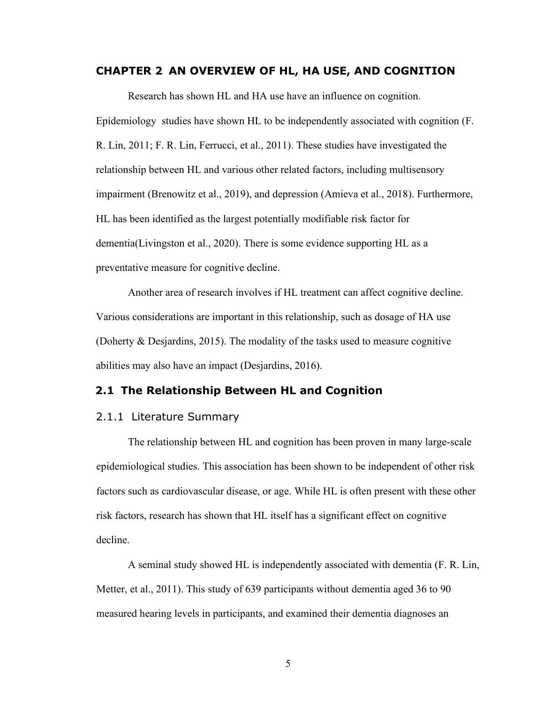#### <span id="page-15-0"></span>**CHAPTER 2 AN OVERVIEW OF HL, HA USE, AND COGNITION**

Research has shown HL and HA use have an influence on cognition. Epidemiology studies have shown HL to be independently associated with cognition (F. R. Lin, 2011; F. R. Lin, Ferrucci, et al., 2011). These studies have investigated the relationship between HL and various other related factors, including multisensory impairment (Brenowitz et al., 2019), and depression (Amieva et al., 2018). Furthermore, HL has been identified as the largest potentially modifiable risk factor for dementia(Livingston et al., 2020). There is some evidence supporting HL as a preventative measure for cognitive decline.

Another area of research involves if HL treatment can affect cognitive decline. Various considerations are important in this relationship, such as dosage of HA use (Doherty & Desjardins, 2015). The modality of the tasks used to measure cognitive abilities may also have an impact (Desjardins, 2016).

## <span id="page-15-1"></span>**2.1 The Relationship Between HL and Cognition**

### <span id="page-15-2"></span>2.1.1 Literature Summary

The relationship between HL and cognition has been proven in many large-scale epidemiological studies. This association has been shown to be independent of other risk factors such as cardiovascular disease, or age. While HL is often present with these other risk factors, research has shown that HL itself has a significant effect on cognitive decline.

A seminal study showed HL is independently associated with dementia (F. R. Lin, Metter, et al., 2011). This study of 639 participants without dementia aged 36 to 90 measured hearing levels in participants, and examined their dementia diagnoses an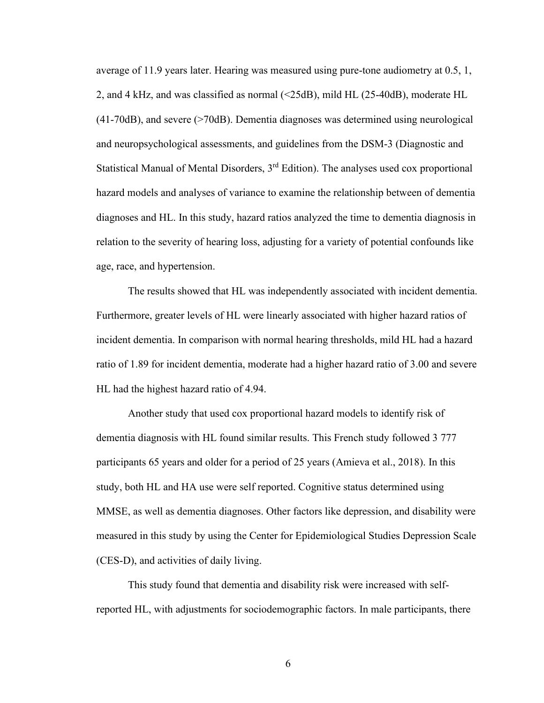average of 11.9 years later. Hearing was measured using pure-tone audiometry at 0.5, 1, 2, and 4 kHz, and was classified as normal (<25dB), mild HL (25-40dB), moderate HL (41-70dB), and severe (>70dB). Dementia diagnoses was determined using neurological and neuropsychological assessments, and guidelines from the DSM-3 (Diagnostic and Statistical Manual of Mental Disorders, 3rd Edition). The analyses used cox proportional hazard models and analyses of variance to examine the relationship between of dementia diagnoses and HL. In this study, hazard ratios analyzed the time to dementia diagnosis in relation to the severity of hearing loss, adjusting for a variety of potential confounds like age, race, and hypertension.

The results showed that HL was independently associated with incident dementia. Furthermore, greater levels of HL were linearly associated with higher hazard ratios of incident dementia. In comparison with normal hearing thresholds, mild HL had a hazard ratio of 1.89 for incident dementia, moderate had a higher hazard ratio of 3.00 and severe HL had the highest hazard ratio of 4.94.

Another study that used cox proportional hazard models to identify risk of dementia diagnosis with HL found similar results. This French study followed 3 777 participants 65 years and older for a period of 25 years (Amieva et al., 2018). In this study, both HL and HA use were self reported. Cognitive status determined using MMSE, as well as dementia diagnoses. Other factors like depression, and disability were measured in this study by using the Center for Epidemiological Studies Depression Scale (CES-D), and activities of daily living.

This study found that dementia and disability risk were increased with selfreported HL, with adjustments for sociodemographic factors. In male participants, there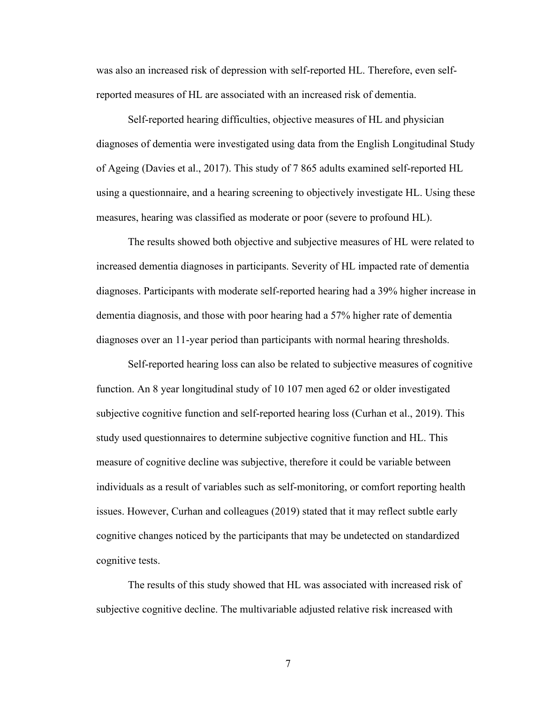was also an increased risk of depression with self-reported HL. Therefore, even selfreported measures of HL are associated with an increased risk of dementia.

Self-reported hearing difficulties, objective measures of HL and physician diagnoses of dementia were investigated using data from the English Longitudinal Study of Ageing (Davies et al., 2017). This study of 7 865 adults examined self-reported HL using a questionnaire, and a hearing screening to objectively investigate HL. Using these measures, hearing was classified as moderate or poor (severe to profound HL).

The results showed both objective and subjective measures of HL were related to increased dementia diagnoses in participants. Severity of HL impacted rate of dementia diagnoses. Participants with moderate self-reported hearing had a 39% higher increase in dementia diagnosis, and those with poor hearing had a 57% higher rate of dementia diagnoses over an 11-year period than participants with normal hearing thresholds.

Self-reported hearing loss can also be related to subjective measures of cognitive function. An 8 year longitudinal study of 10 107 men aged 62 or older investigated subjective cognitive function and self-reported hearing loss (Curhan et al., 2019). This study used questionnaires to determine subjective cognitive function and HL. This measure of cognitive decline was subjective, therefore it could be variable between individuals as a result of variables such as self-monitoring, or comfort reporting health issues. However, Curhan and colleagues (2019) stated that it may reflect subtle early cognitive changes noticed by the participants that may be undetected on standardized cognitive tests.

The results of this study showed that HL was associated with increased risk of subjective cognitive decline. The multivariable adjusted relative risk increased with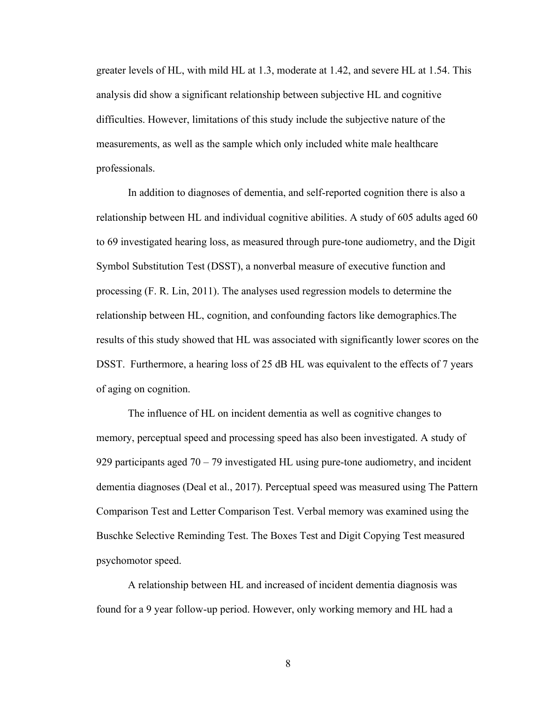greater levels of HL, with mild HL at 1.3, moderate at 1.42, and severe HL at 1.54. This analysis did show a significant relationship between subjective HL and cognitive difficulties. However, limitations of this study include the subjective nature of the measurements, as well as the sample which only included white male healthcare professionals.

In addition to diagnoses of dementia, and self-reported cognition there is also a relationship between HL and individual cognitive abilities. A study of 605 adults aged 60 to 69 investigated hearing loss, as measured through pure-tone audiometry, and the Digit Symbol Substitution Test (DSST), a nonverbal measure of executive function and processing (F. R. Lin, 2011). The analyses used regression models to determine the relationship between HL, cognition, and confounding factors like demographics.The results of this study showed that HL was associated with significantly lower scores on the DSST. Furthermore, a hearing loss of 25 dB HL was equivalent to the effects of 7 years of aging on cognition.

The influence of HL on incident dementia as well as cognitive changes to memory, perceptual speed and processing speed has also been investigated. A study of 929 participants aged 70 – 79 investigated HL using pure-tone audiometry, and incident dementia diagnoses (Deal et al., 2017). Perceptual speed was measured using The Pattern Comparison Test and Letter Comparison Test. Verbal memory was examined using the Buschke Selective Reminding Test. The Boxes Test and Digit Copying Test measured psychomotor speed.

A relationship between HL and increased of incident dementia diagnosis was found for a 9 year follow-up period. However, only working memory and HL had a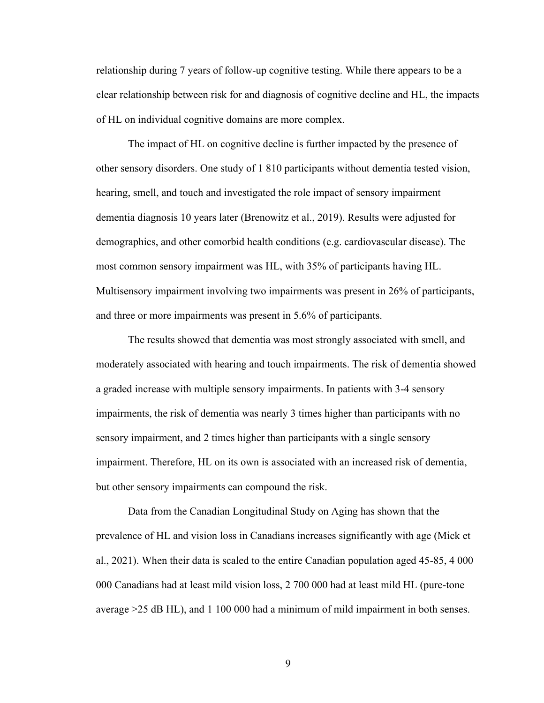relationship during 7 years of follow-up cognitive testing. While there appears to be a clear relationship between risk for and diagnosis of cognitive decline and HL, the impacts of HL on individual cognitive domains are more complex.

The impact of HL on cognitive decline is further impacted by the presence of other sensory disorders. One study of 1 810 participants without dementia tested vision, hearing, smell, and touch and investigated the role impact of sensory impairment dementia diagnosis 10 years later (Brenowitz et al., 2019). Results were adjusted for demographics, and other comorbid health conditions (e.g. cardiovascular disease). The most common sensory impairment was HL, with 35% of participants having HL. Multisensory impairment involving two impairments was present in 26% of participants, and three or more impairments was present in 5.6% of participants.

The results showed that dementia was most strongly associated with smell, and moderately associated with hearing and touch impairments. The risk of dementia showed a graded increase with multiple sensory impairments. In patients with 3-4 sensory impairments, the risk of dementia was nearly 3 times higher than participants with no sensory impairment, and 2 times higher than participants with a single sensory impairment. Therefore, HL on its own is associated with an increased risk of dementia, but other sensory impairments can compound the risk.

Data from the Canadian Longitudinal Study on Aging has shown that the prevalence of HL and vision loss in Canadians increases significantly with age (Mick et al., 2021). When their data is scaled to the entire Canadian population aged 45-85, 4 000 000 Canadians had at least mild vision loss, 2 700 000 had at least mild HL (pure-tone average >25 dB HL), and 1 100 000 had a minimum of mild impairment in both senses.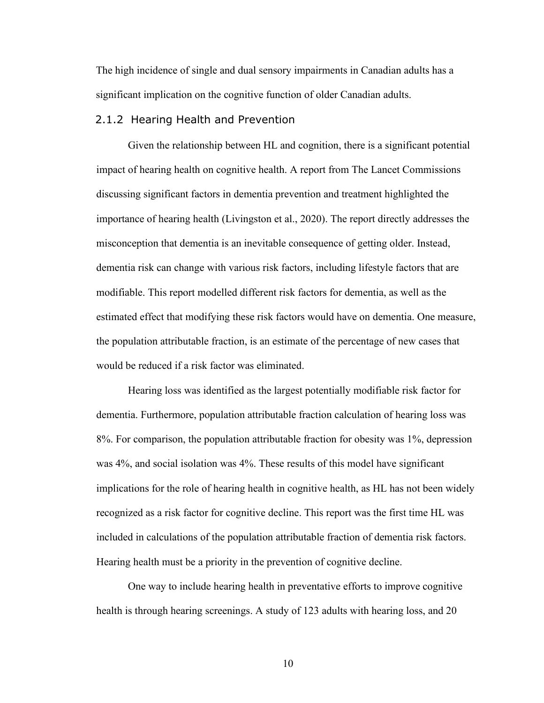The high incidence of single and dual sensory impairments in Canadian adults has a significant implication on the cognitive function of older Canadian adults.

#### <span id="page-20-0"></span>2.1.2 Hearing Health and Prevention

Given the relationship between HL and cognition, there is a significant potential impact of hearing health on cognitive health. A report from The Lancet Commissions discussing significant factors in dementia prevention and treatment highlighted the importance of hearing health (Livingston et al., 2020). The report directly addresses the misconception that dementia is an inevitable consequence of getting older. Instead, dementia risk can change with various risk factors, including lifestyle factors that are modifiable. This report modelled different risk factors for dementia, as well as the estimated effect that modifying these risk factors would have on dementia. One measure, the population attributable fraction, is an estimate of the percentage of new cases that would be reduced if a risk factor was eliminated.

Hearing loss was identified as the largest potentially modifiable risk factor for dementia. Furthermore, population attributable fraction calculation of hearing loss was 8%. For comparison, the population attributable fraction for obesity was 1%, depression was 4%, and social isolation was 4%. These results of this model have significant implications for the role of hearing health in cognitive health, as HL has not been widely recognized as a risk factor for cognitive decline. This report was the first time HL was included in calculations of the population attributable fraction of dementia risk factors. Hearing health must be a priority in the prevention of cognitive decline.

One way to include hearing health in preventative efforts to improve cognitive health is through hearing screenings. A study of 123 adults with hearing loss, and 20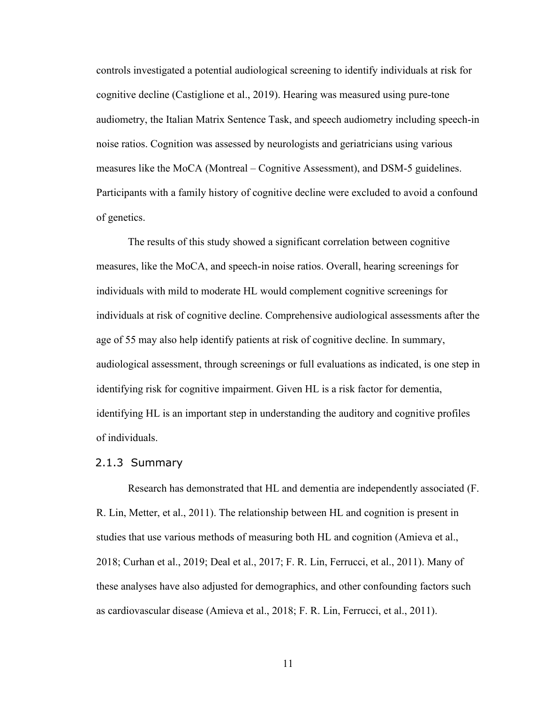controls investigated a potential audiological screening to identify individuals at risk for cognitive decline (Castiglione et al., 2019). Hearing was measured using pure-tone audiometry, the Italian Matrix Sentence Task, and speech audiometry including speech-in noise ratios. Cognition was assessed by neurologists and geriatricians using various measures like the MoCA (Montreal – Cognitive Assessment), and DSM-5 guidelines. Participants with a family history of cognitive decline were excluded to avoid a confound of genetics.

The results of this study showed a significant correlation between cognitive measures, like the MoCA, and speech-in noise ratios. Overall, hearing screenings for individuals with mild to moderate HL would complement cognitive screenings for individuals at risk of cognitive decline. Comprehensive audiological assessments after the age of 55 may also help identify patients at risk of cognitive decline. In summary, audiological assessment, through screenings or full evaluations as indicated, is one step in identifying risk for cognitive impairment. Given HL is a risk factor for dementia, identifying HL is an important step in understanding the auditory and cognitive profiles of individuals.

#### <span id="page-21-0"></span>2.1.3 Summary

Research has demonstrated that HL and dementia are independently associated (F. R. Lin, Metter, et al., 2011). The relationship between HL and cognition is present in studies that use various methods of measuring both HL and cognition (Amieva et al., 2018; Curhan et al., 2019; Deal et al., 2017; F. R. Lin, Ferrucci, et al., 2011). Many of these analyses have also adjusted for demographics, and other confounding factors such as cardiovascular disease (Amieva et al., 2018; F. R. Lin, Ferrucci, et al., 2011).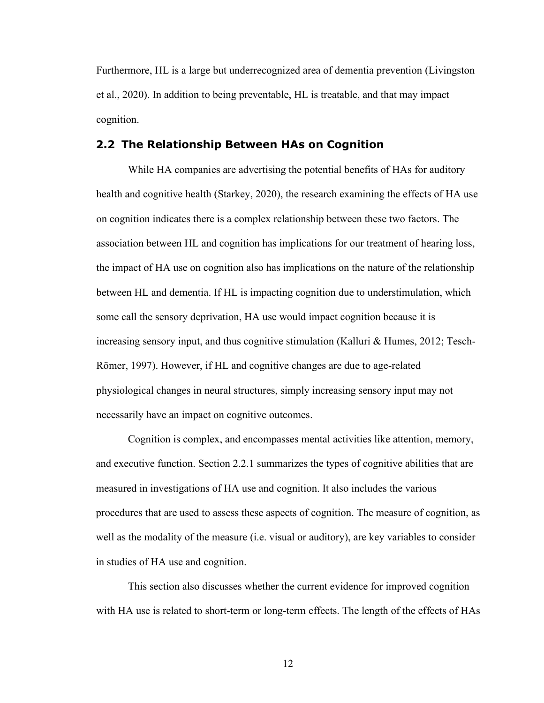Furthermore, HL is a large but underrecognized area of dementia prevention (Livingston et al., 2020). In addition to being preventable, HL is treatable, and that may impact cognition.

### <span id="page-22-0"></span>**2.2 The Relationship Between HAs on Cognition**

While HA companies are advertising the potential benefits of HAs for auditory health and cognitive health (Starkey, 2020), the research examining the effects of HA use on cognition indicates there is a complex relationship between these two factors. The association between HL and cognition has implications for our treatment of hearing loss, the impact of HA use on cognition also has implications on the nature of the relationship between HL and dementia. If HL is impacting cognition due to understimulation, which some call the sensory deprivation, HA use would impact cognition because it is increasing sensory input, and thus cognitive stimulation (Kalluri & Humes, 2012; Tesch-Römer, 1997). However, if HL and cognitive changes are due to age-related physiological changes in neural structures, simply increasing sensory input may not necessarily have an impact on cognitive outcomes.

Cognition is complex, and encompasses mental activities like attention, memory, and executive function. Section 2.2.1 summarizes the types of cognitive abilities that are measured in investigations of HA use and cognition. It also includes the various procedures that are used to assess these aspects of cognition. The measure of cognition, as well as the modality of the measure (i.e. visual or auditory), are key variables to consider in studies of HA use and cognition.

This section also discusses whether the current evidence for improved cognition with HA use is related to short-term or long-term effects. The length of the effects of HAs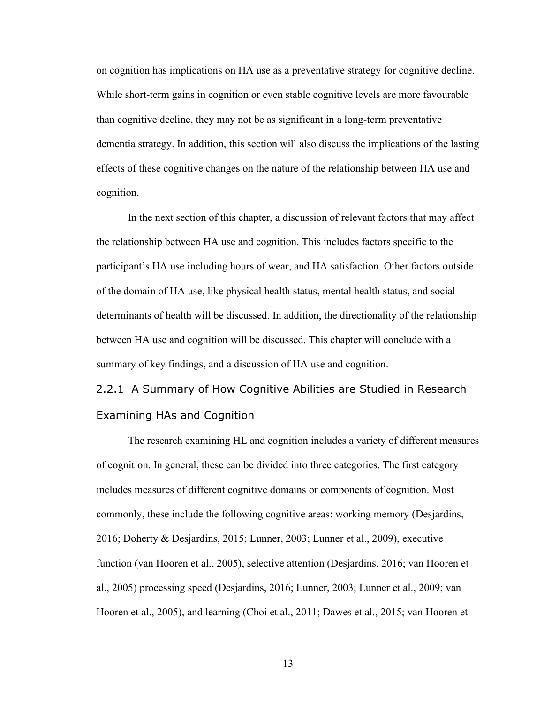on cognition has implications on HA use as a preventative strategy for cognitive decline. While short-term gains in cognition or even stable cognitive levels are more favourable than cognitive decline, they may not be as significant in a long-term preventative dementia strategy. In addition, this section will also discuss the implications of the lasting effects of these cognitive changes on the nature of the relationship between HA use and cognition.

In the next section of this chapter, a discussion of relevant factors that may affect the relationship between HA use and cognition. This includes factors specific to the participant's HA use including hours of wear, and HA satisfaction. Other factors outside of the domain of HA use, like physical health status, mental health status, and social determinants of health will be discussed. In addition, the directionality of the relationship between HA use and cognition will be discussed. This chapter will conclude with a summary of key findings, and a discussion of HA use and cognition.

<span id="page-23-0"></span>2.2.1 A Summary of How Cognitive Abilities are Studied in Research Examining HAs and Cognition

The research examining HL and cognition includes a variety of different measures of cognition. In general, these can be divided into three categories. The first category includes measures of different cognitive domains or components of cognition. Most commonly, these include the following cognitive areas: working memory (Desjardins, 2016; Doherty & Desjardins, 2015; Lunner, 2003; Lunner et al., 2009), executive function (van Hooren et al., 2005), selective attention (Desjardins, 2016; van Hooren et al., 2005) processing speed (Desjardins, 2016; Lunner, 2003; Lunner et al., 2009; van Hooren et al., 2005), and learning (Choi et al., 2011; Dawes et al., 2015; van Hooren et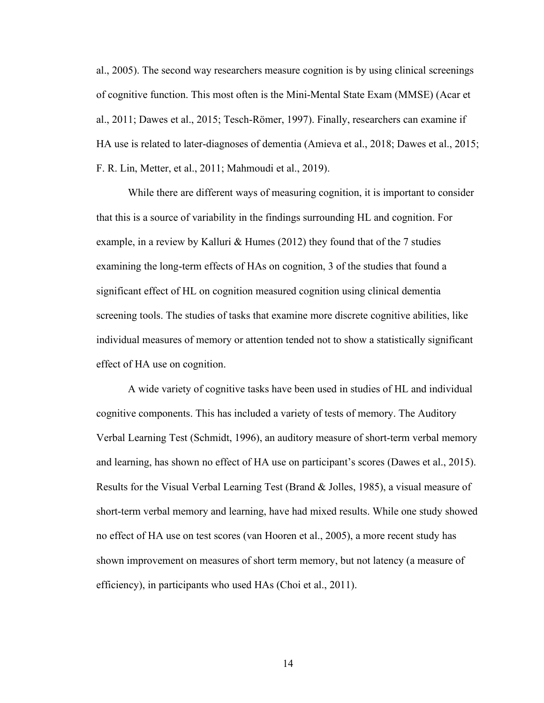al., 2005). The second way researchers measure cognition is by using clinical screenings of cognitive function. This most often is the Mini-Mental State Exam (MMSE) (Acar et al., 2011; Dawes et al., 2015; Tesch-Römer, 1997). Finally, researchers can examine if HA use is related to later-diagnoses of dementia (Amieva et al., 2018; Dawes et al., 2015; F. R. Lin, Metter, et al., 2011; Mahmoudi et al., 2019).

While there are different ways of measuring cognition, it is important to consider that this is a source of variability in the findings surrounding HL and cognition. For example, in a review by Kalluri & Humes (2012) they found that of the 7 studies examining the long-term effects of HAs on cognition, 3 of the studies that found a significant effect of HL on cognition measured cognition using clinical dementia screening tools. The studies of tasks that examine more discrete cognitive abilities, like individual measures of memory or attention tended not to show a statistically significant effect of HA use on cognition.

A wide variety of cognitive tasks have been used in studies of HL and individual cognitive components. This has included a variety of tests of memory. The Auditory Verbal Learning Test (Schmidt, 1996), an auditory measure of short-term verbal memory and learning, has shown no effect of HA use on participant's scores (Dawes et al., 2015). Results for the Visual Verbal Learning Test (Brand & Jolles, 1985), a visual measure of short-term verbal memory and learning, have had mixed results. While one study showed no effect of HA use on test scores (van Hooren et al., 2005), a more recent study has shown improvement on measures of short term memory, but not latency (a measure of efficiency), in participants who used HAs (Choi et al., 2011).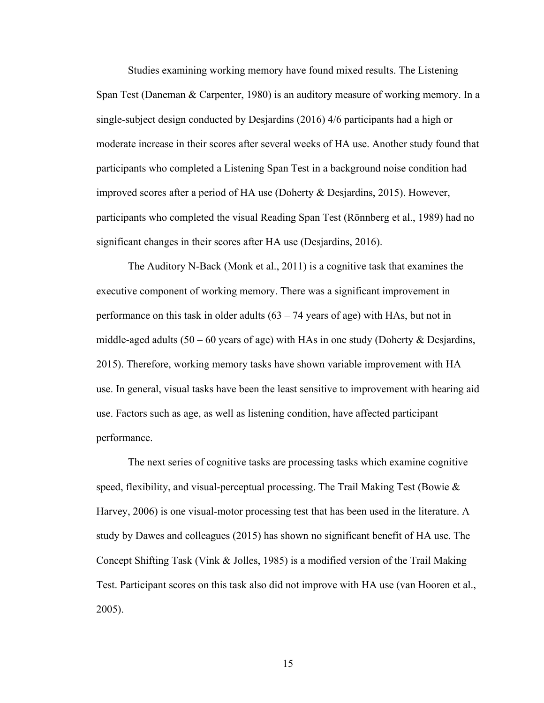Studies examining working memory have found mixed results. The Listening Span Test (Daneman & Carpenter, 1980) is an auditory measure of working memory. In a single-subject design conducted by Desjardins (2016) 4/6 participants had a high or moderate increase in their scores after several weeks of HA use. Another study found that participants who completed a Listening Span Test in a background noise condition had improved scores after a period of HA use (Doherty & Desjardins, 2015). However, participants who completed the visual Reading Span Test (Rönnberg et al., 1989) had no significant changes in their scores after HA use (Desjardins, 2016).

The Auditory N-Back (Monk et al., 2011) is a cognitive task that examines the executive component of working memory. There was a significant improvement in performance on this task in older adults (63 – 74 years of age) with HAs, but not in middle-aged adults  $(50 - 60$  years of age) with HAs in one study (Doherty & Desjardins, 2015). Therefore, working memory tasks have shown variable improvement with HA use. In general, visual tasks have been the least sensitive to improvement with hearing aid use. Factors such as age, as well as listening condition, have affected participant performance.

The next series of cognitive tasks are processing tasks which examine cognitive speed, flexibility, and visual-perceptual processing. The Trail Making Test (Bowie  $\&$ Harvey, 2006) is one visual-motor processing test that has been used in the literature. A study by Dawes and colleagues (2015) has shown no significant benefit of HA use. The Concept Shifting Task (Vink & Jolles, 1985) is a modified version of the Trail Making Test. Participant scores on this task also did not improve with HA use (van Hooren et al., 2005).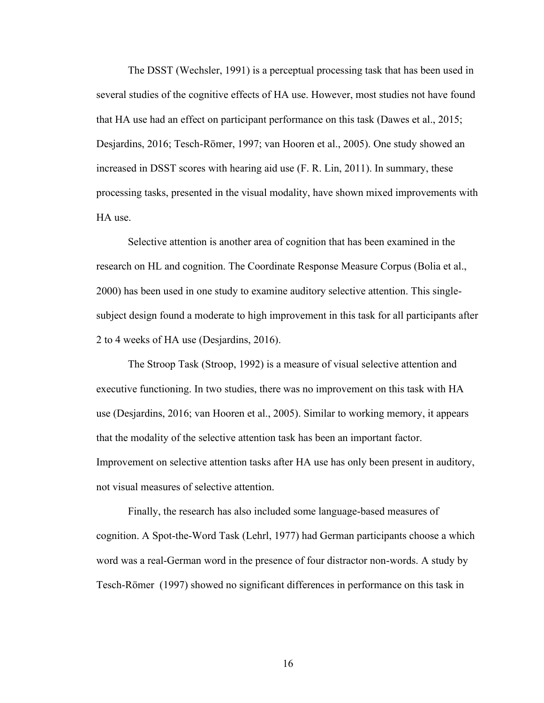The DSST (Wechsler, 1991) is a perceptual processing task that has been used in several studies of the cognitive effects of HA use. However, most studies not have found that HA use had an effect on participant performance on this task (Dawes et al., 2015; Desjardins, 2016; Tesch-Römer, 1997; van Hooren et al., 2005). One study showed an increased in DSST scores with hearing aid use (F. R. Lin, 2011). In summary, these processing tasks, presented in the visual modality, have shown mixed improvements with HA use.

Selective attention is another area of cognition that has been examined in the research on HL and cognition. The Coordinate Response Measure Corpus (Bolia et al., 2000) has been used in one study to examine auditory selective attention. This singlesubject design found a moderate to high improvement in this task for all participants after 2 to 4 weeks of HA use (Desjardins, 2016).

The Stroop Task (Stroop, 1992) is a measure of visual selective attention and executive functioning. In two studies, there was no improvement on this task with HA use (Desjardins, 2016; van Hooren et al., 2005). Similar to working memory, it appears that the modality of the selective attention task has been an important factor. Improvement on selective attention tasks after HA use has only been present in auditory, not visual measures of selective attention.

Finally, the research has also included some language-based measures of cognition. A Spot-the-Word Task (Lehrl, 1977) had German participants choose a which word was a real-German word in the presence of four distractor non-words. A study by Tesch-Römer (1997) showed no significant differences in performance on this task in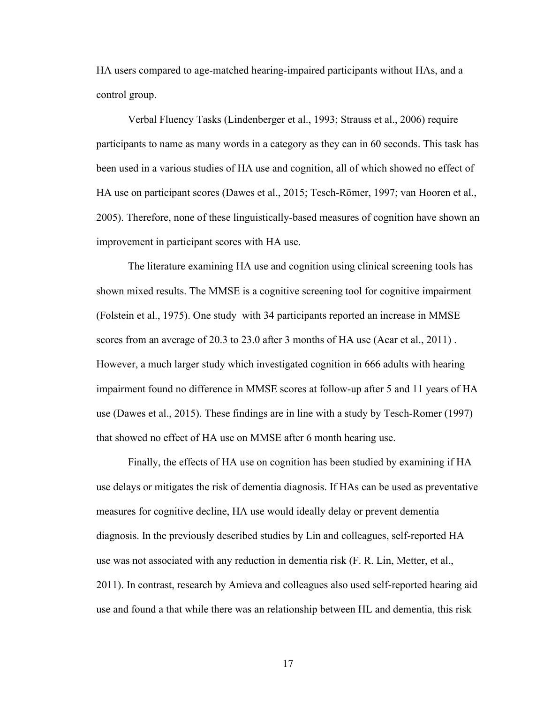HA users compared to age-matched hearing-impaired participants without HAs, and a control group.

Verbal Fluency Tasks (Lindenberger et al., 1993; Strauss et al., 2006) require participants to name as many words in a category as they can in 60 seconds. This task has been used in a various studies of HA use and cognition, all of which showed no effect of HA use on participant scores (Dawes et al., 2015; Tesch-Römer, 1997; van Hooren et al., 2005). Therefore, none of these linguistically-based measures of cognition have shown an improvement in participant scores with HA use.

The literature examining HA use and cognition using clinical screening tools has shown mixed results. The MMSE is a cognitive screening tool for cognitive impairment (Folstein et al., 1975). One study with 34 participants reported an increase in MMSE scores from an average of 20.3 to 23.0 after 3 months of HA use (Acar et al., 2011) . However, a much larger study which investigated cognition in 666 adults with hearing impairment found no difference in MMSE scores at follow-up after 5 and 11 years of HA use (Dawes et al., 2015). These findings are in line with a study by Tesch-Romer (1997) that showed no effect of HA use on MMSE after 6 month hearing use.

Finally, the effects of HA use on cognition has been studied by examining if HA use delays or mitigates the risk of dementia diagnosis. If HAs can be used as preventative measures for cognitive decline, HA use would ideally delay or prevent dementia diagnosis. In the previously described studies by Lin and colleagues, self-reported HA use was not associated with any reduction in dementia risk (F. R. Lin, Metter, et al., 2011). In contrast, research by Amieva and colleagues also used self-reported hearing aid use and found a that while there was an relationship between HL and dementia, this risk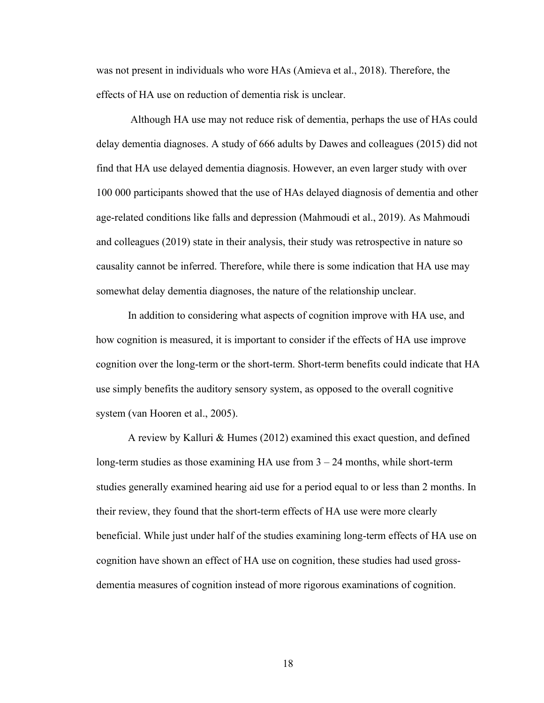was not present in individuals who wore HAs (Amieva et al., 2018). Therefore, the effects of HA use on reduction of dementia risk is unclear.

Although HA use may not reduce risk of dementia, perhaps the use of HAs could delay dementia diagnoses. A study of 666 adults by Dawes and colleagues (2015) did not find that HA use delayed dementia diagnosis. However, an even larger study with over 100 000 participants showed that the use of HAs delayed diagnosis of dementia and other age-related conditions like falls and depression (Mahmoudi et al., 2019). As Mahmoudi and colleagues (2019) state in their analysis, their study was retrospective in nature so causality cannot be inferred. Therefore, while there is some indication that HA use may somewhat delay dementia diagnoses, the nature of the relationship unclear.

In addition to considering what aspects of cognition improve with HA use, and how cognition is measured, it is important to consider if the effects of HA use improve cognition over the long-term or the short-term. Short-term benefits could indicate that HA use simply benefits the auditory sensory system, as opposed to the overall cognitive system (van Hooren et al., 2005).

A review by Kalluri & Humes (2012) examined this exact question, and defined long-term studies as those examining HA use from 3 – 24 months, while short-term studies generally examined hearing aid use for a period equal to or less than 2 months. In their review, they found that the short-term effects of HA use were more clearly beneficial. While just under half of the studies examining long-term effects of HA use on cognition have shown an effect of HA use on cognition, these studies had used grossdementia measures of cognition instead of more rigorous examinations of cognition.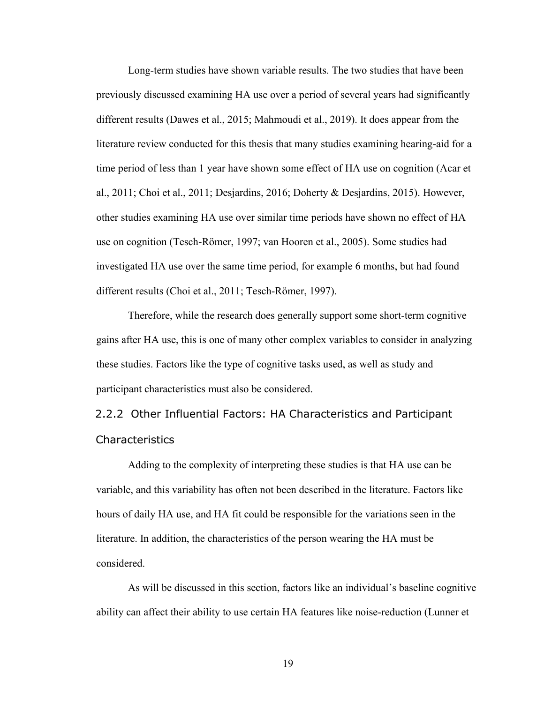Long-term studies have shown variable results. The two studies that have been previously discussed examining HA use over a period of several years had significantly different results (Dawes et al., 2015; Mahmoudi et al., 2019). It does appear from the literature review conducted for this thesis that many studies examining hearing-aid for a time period of less than 1 year have shown some effect of HA use on cognition (Acar et al., 2011; Choi et al., 2011; Desjardins, 2016; Doherty & Desjardins, 2015). However, other studies examining HA use over similar time periods have shown no effect of HA use on cognition (Tesch-Römer, 1997; van Hooren et al., 2005). Some studies had investigated HA use over the same time period, for example 6 months, but had found different results (Choi et al., 2011; Tesch-Römer, 1997).

Therefore, while the research does generally support some short-term cognitive gains after HA use, this is one of many other complex variables to consider in analyzing these studies. Factors like the type of cognitive tasks used, as well as study and participant characteristics must also be considered.

<span id="page-29-0"></span>2.2.2 Other Influential Factors: HA Characteristics and Participant Characteristics

Adding to the complexity of interpreting these studies is that HA use can be variable, and this variability has often not been described in the literature. Factors like hours of daily HA use, and HA fit could be responsible for the variations seen in the literature. In addition, the characteristics of the person wearing the HA must be considered.

As will be discussed in this section, factors like an individual's baseline cognitive ability can affect their ability to use certain HA features like noise-reduction (Lunner et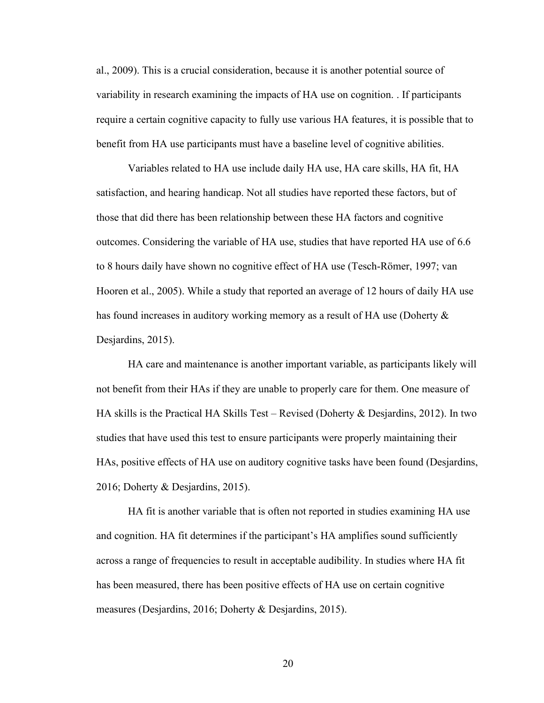al., 2009). This is a crucial consideration, because it is another potential source of variability in research examining the impacts of HA use on cognition. . If participants require a certain cognitive capacity to fully use various HA features, it is possible that to benefit from HA use participants must have a baseline level of cognitive abilities.

Variables related to HA use include daily HA use, HA care skills, HA fit, HA satisfaction, and hearing handicap. Not all studies have reported these factors, but of those that did there has been relationship between these HA factors and cognitive outcomes. Considering the variable of HA use, studies that have reported HA use of 6.6 to 8 hours daily have shown no cognitive effect of HA use (Tesch-Römer, 1997; van Hooren et al., 2005). While a study that reported an average of 12 hours of daily HA use has found increases in auditory working memory as a result of HA use (Doherty & Desjardins, 2015).

HA care and maintenance is another important variable, as participants likely will not benefit from their HAs if they are unable to properly care for them. One measure of HA skills is the Practical HA Skills Test – Revised (Doherty & Desjardins, 2012). In two studies that have used this test to ensure participants were properly maintaining their HAs, positive effects of HA use on auditory cognitive tasks have been found (Desjardins, 2016; Doherty & Desjardins, 2015).

HA fit is another variable that is often not reported in studies examining HA use and cognition. HA fit determines if the participant's HA amplifies sound sufficiently across a range of frequencies to result in acceptable audibility. In studies where HA fit has been measured, there has been positive effects of HA use on certain cognitive measures (Desjardins, 2016; Doherty & Desjardins, 2015).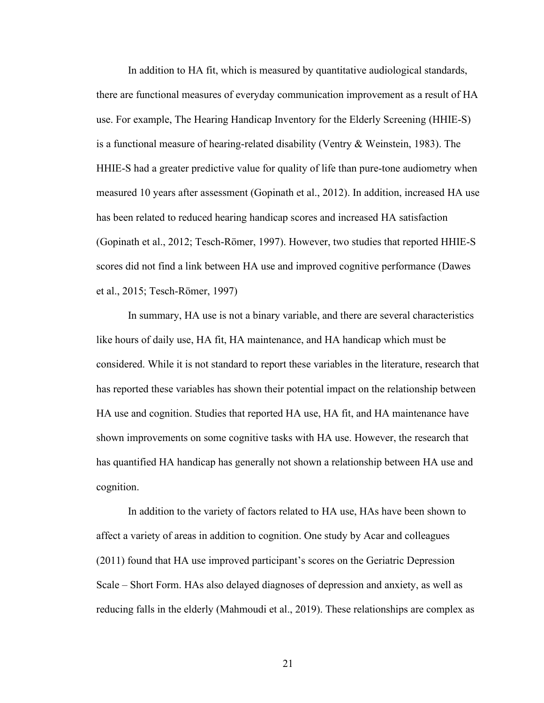In addition to HA fit, which is measured by quantitative audiological standards, there are functional measures of everyday communication improvement as a result of HA use. For example, The Hearing Handicap Inventory for the Elderly Screening (HHIE-S) is a functional measure of hearing-related disability (Ventry & Weinstein, 1983). The HHIE-S had a greater predictive value for quality of life than pure-tone audiometry when measured 10 years after assessment (Gopinath et al., 2012). In addition, increased HA use has been related to reduced hearing handicap scores and increased HA satisfaction (Gopinath et al., 2012; Tesch-Römer, 1997). However, two studies that reported HHIE-S scores did not find a link between HA use and improved cognitive performance (Dawes et al., 2015; Tesch-Römer, 1997)

In summary, HA use is not a binary variable, and there are several characteristics like hours of daily use, HA fit, HA maintenance, and HA handicap which must be considered. While it is not standard to report these variables in the literature, research that has reported these variables has shown their potential impact on the relationship between HA use and cognition. Studies that reported HA use, HA fit, and HA maintenance have shown improvements on some cognitive tasks with HA use. However, the research that has quantified HA handicap has generally not shown a relationship between HA use and cognition.

In addition to the variety of factors related to HA use, HAs have been shown to affect a variety of areas in addition to cognition. One study by Acar and colleagues (2011) found that HA use improved participant's scores on the Geriatric Depression Scale – Short Form. HAs also delayed diagnoses of depression and anxiety, as well as reducing falls in the elderly (Mahmoudi et al., 2019). These relationships are complex as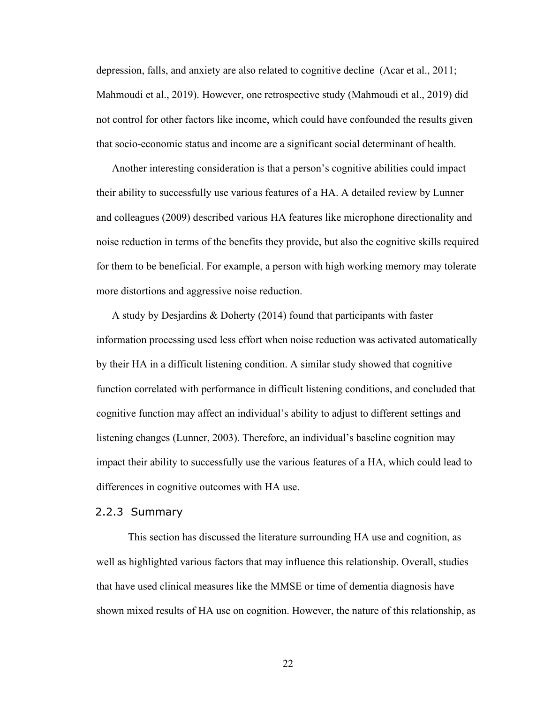depression, falls, and anxiety are also related to cognitive decline (Acar et al., 2011; Mahmoudi et al., 2019). However, one retrospective study (Mahmoudi et al., 2019) did not control for other factors like income, which could have confounded the results given that socio-economic status and income are a significant social determinant of health.

Another interesting consideration is that a person's cognitive abilities could impact their ability to successfully use various features of a HA. A detailed review by Lunner and colleagues (2009) described various HA features like microphone directionality and noise reduction in terms of the benefits they provide, but also the cognitive skills required for them to be beneficial. For example, a person with high working memory may tolerate more distortions and aggressive noise reduction.

A study by Desjardins & Doherty (2014) found that participants with faster information processing used less effort when noise reduction was activated automatically by their HA in a difficult listening condition. A similar study showed that cognitive function correlated with performance in difficult listening conditions, and concluded that cognitive function may affect an individual's ability to adjust to different settings and listening changes (Lunner, 2003). Therefore, an individual's baseline cognition may impact their ability to successfully use the various features of a HA, which could lead to differences in cognitive outcomes with HA use.

## <span id="page-32-0"></span>2.2.3 Summary

This section has discussed the literature surrounding HA use and cognition, as well as highlighted various factors that may influence this relationship. Overall, studies that have used clinical measures like the MMSE or time of dementia diagnosis have shown mixed results of HA use on cognition. However, the nature of this relationship, as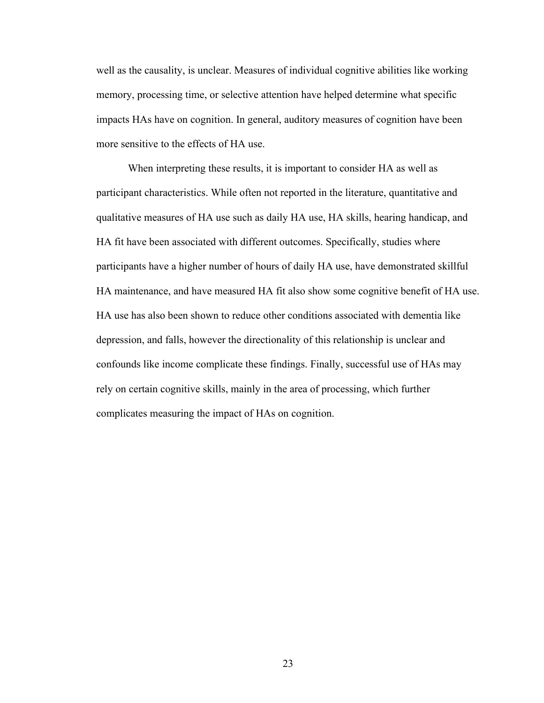well as the causality, is unclear. Measures of individual cognitive abilities like working memory, processing time, or selective attention have helped determine what specific impacts HAs have on cognition. In general, auditory measures of cognition have been more sensitive to the effects of HA use.

When interpreting these results, it is important to consider HA as well as participant characteristics. While often not reported in the literature, quantitative and qualitative measures of HA use such as daily HA use, HA skills, hearing handicap, and HA fit have been associated with different outcomes. Specifically, studies where participants have a higher number of hours of daily HA use, have demonstrated skillful HA maintenance, and have measured HA fit also show some cognitive benefit of HA use. HA use has also been shown to reduce other conditions associated with dementia like depression, and falls, however the directionality of this relationship is unclear and confounds like income complicate these findings. Finally, successful use of HAs may rely on certain cognitive skills, mainly in the area of processing, which further complicates measuring the impact of HAs on cognition.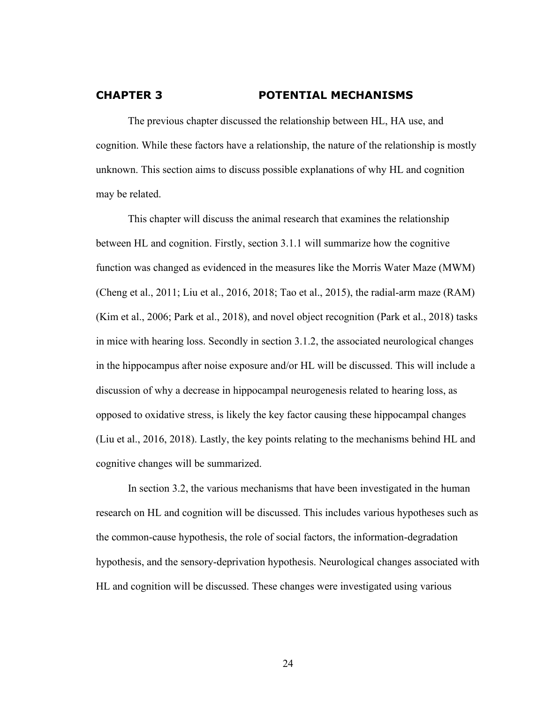### <span id="page-34-0"></span>**CHAPTER 3 POTENTIAL MECHANISMS**

The previous chapter discussed the relationship between HL, HA use, and cognition. While these factors have a relationship, the nature of the relationship is mostly unknown. This section aims to discuss possible explanations of why HL and cognition may be related.

This chapter will discuss the animal research that examines the relationship between HL and cognition. Firstly, section 3.1.1 will summarize how the cognitive function was changed as evidenced in the measures like the Morris Water Maze (MWM) (Cheng et al., 2011; Liu et al., 2016, 2018; Tao et al., 2015), the radial-arm maze (RAM) (Kim et al., 2006; Park et al., 2018), and novel object recognition (Park et al., 2018) tasks in mice with hearing loss. Secondly in section 3.1.2, the associated neurological changes in the hippocampus after noise exposure and/or HL will be discussed. This will include a discussion of why a decrease in hippocampal neurogenesis related to hearing loss, as opposed to oxidative stress, is likely the key factor causing these hippocampal changes (Liu et al., 2016, 2018). Lastly, the key points relating to the mechanisms behind HL and cognitive changes will be summarized.

In section 3.2, the various mechanisms that have been investigated in the human research on HL and cognition will be discussed. This includes various hypotheses such as the common-cause hypothesis, the role of social factors, the information-degradation hypothesis, and the sensory-deprivation hypothesis. Neurological changes associated with HL and cognition will be discussed. These changes were investigated using various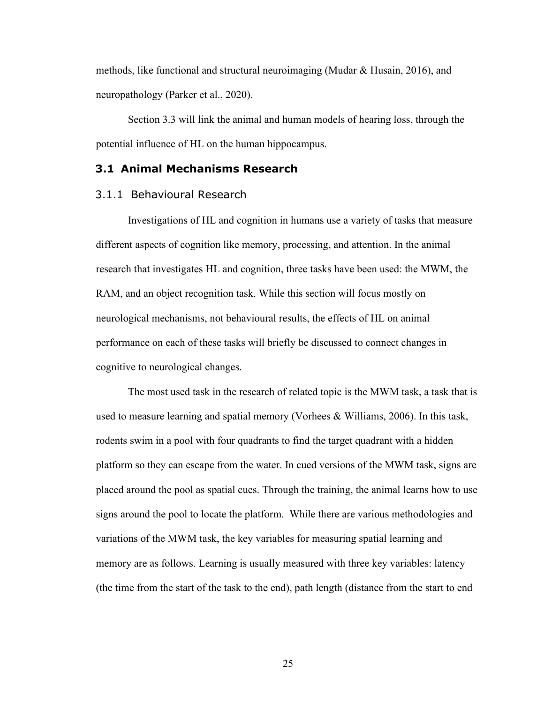methods, like functional and structural neuroimaging (Mudar & Husain, 2016), and neuropathology (Parker et al., 2020).

Section 3.3 will link the animal and human models of hearing loss, through the potential influence of HL on the human hippocampus.

### <span id="page-35-0"></span>**3.1 Animal Mechanisms Research**

#### <span id="page-35-1"></span>3.1.1 Behavioural Research

Investigations of HL and cognition in humans use a variety of tasks that measure different aspects of cognition like memory, processing, and attention. In the animal research that investigates HL and cognition, three tasks have been used: the MWM, the RAM, and an object recognition task. While this section will focus mostly on neurological mechanisms, not behavioural results, the effects of HL on animal performance on each of these tasks will briefly be discussed to connect changes in cognitive to neurological changes.

The most used task in the research of related topic is the MWM task, a task that is used to measure learning and spatial memory (Vorhees & Williams, 2006). In this task, rodents swim in a pool with four quadrants to find the target quadrant with a hidden platform so they can escape from the water. In cued versions of the MWM task, signs are placed around the pool as spatial cues. Through the training, the animal learns how to use signs around the pool to locate the platform. While there are various methodologies and variations of the MWM task, the key variables for measuring spatial learning and memory are as follows. Learning is usually measured with three key variables: latency (the time from the start of the task to the end), path length (distance from the start to end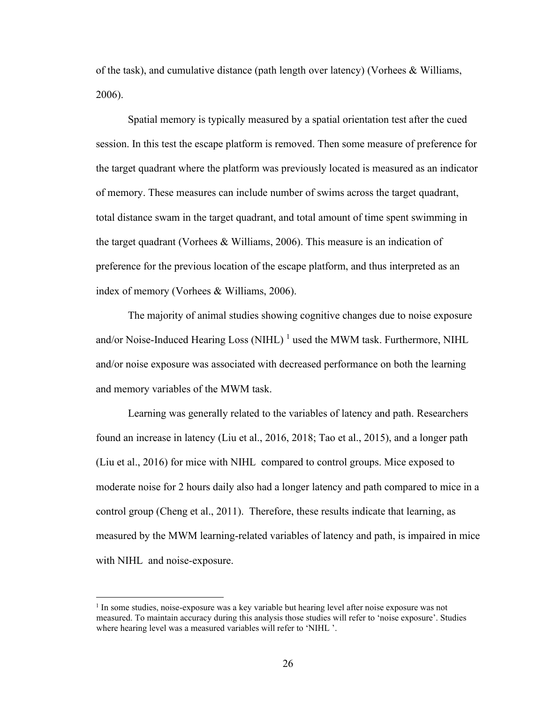of the task), and cumulative distance (path length over latency) (Vorhees & Williams, 2006).

Spatial memory is typically measured by a spatial orientation test after the cued session. In this test the escape platform is removed. Then some measure of preference for the target quadrant where the platform was previously located is measured as an indicator of memory. These measures can include number of swims across the target quadrant, total distance swam in the target quadrant, and total amount of time spent swimming in the target quadrant (Vorhees & Williams, 2006). This measure is an indication of preference for the previous location of the escape platform, and thus interpreted as an index of memory (Vorhees & Williams, 2006).

The majority of animal studies showing cognitive changes due to noise exposure and/or Noise-Induced Hearing Loss (NIHL)  $<sup>1</sup>$  used the MWM task. Furthermore, NIHL</sup> and/or noise exposure was associated with decreased performance on both the learning and memory variables of the MWM task.

Learning was generally related to the variables of latency and path. Researchers found an increase in latency (Liu et al., 2016, 2018; Tao et al., 2015), and a longer path (Liu et al., 2016) for mice with NIHL compared to control groups. Mice exposed to moderate noise for 2 hours daily also had a longer latency and path compared to mice in a control group (Cheng et al., 2011). Therefore, these results indicate that learning, as measured by the MWM learning-related variables of latency and path, is impaired in mice with NIHL and noise-exposure.

<sup>&</sup>lt;sup>1</sup> In some studies, noise-exposure was a key variable but hearing level after noise exposure was not measured. To maintain accuracy during this analysis those studies will refer to 'noise exposure'. Studies where hearing level was a measured variables will refer to 'NIHL '.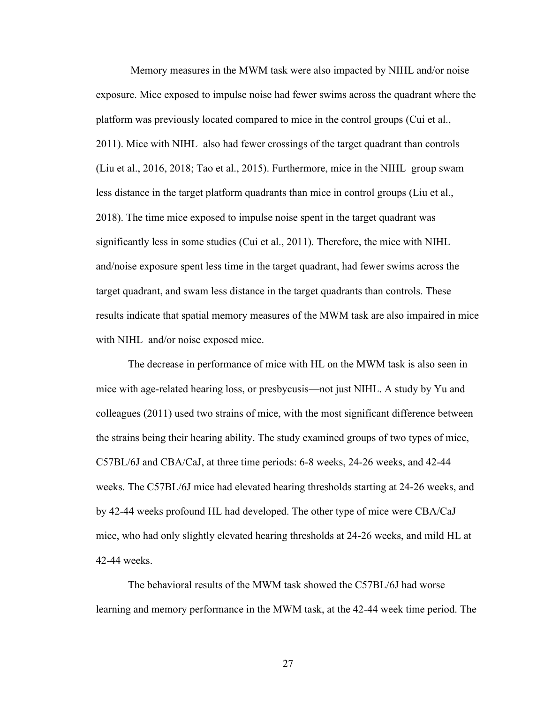Memory measures in the MWM task were also impacted by NIHL and/or noise exposure. Mice exposed to impulse noise had fewer swims across the quadrant where the platform was previously located compared to mice in the control groups (Cui et al., 2011). Mice with NIHL also had fewer crossings of the target quadrant than controls (Liu et al., 2016, 2018; Tao et al., 2015). Furthermore, mice in the NIHL group swam less distance in the target platform quadrants than mice in control groups (Liu et al., 2018). The time mice exposed to impulse noise spent in the target quadrant was significantly less in some studies (Cui et al., 2011). Therefore, the mice with NIHL and/noise exposure spent less time in the target quadrant, had fewer swims across the target quadrant, and swam less distance in the target quadrants than controls. These results indicate that spatial memory measures of the MWM task are also impaired in mice with NIHL and/or noise exposed mice.

The decrease in performance of mice with HL on the MWM task is also seen in mice with age-related hearing loss, or presbycusis—not just NIHL. A study by Yu and colleagues (2011) used two strains of mice, with the most significant difference between the strains being their hearing ability. The study examined groups of two types of mice, C57BL/6J and CBA/CaJ, at three time periods: 6-8 weeks, 24-26 weeks, and 42-44 weeks. The C57BL/6J mice had elevated hearing thresholds starting at 24-26 weeks, and by 42-44 weeks profound HL had developed. The other type of mice were CBA/CaJ mice, who had only slightly elevated hearing thresholds at 24-26 weeks, and mild HL at 42-44 weeks.

The behavioral results of the MWM task showed the C57BL/6J had worse learning and memory performance in the MWM task, at the 42-44 week time period. The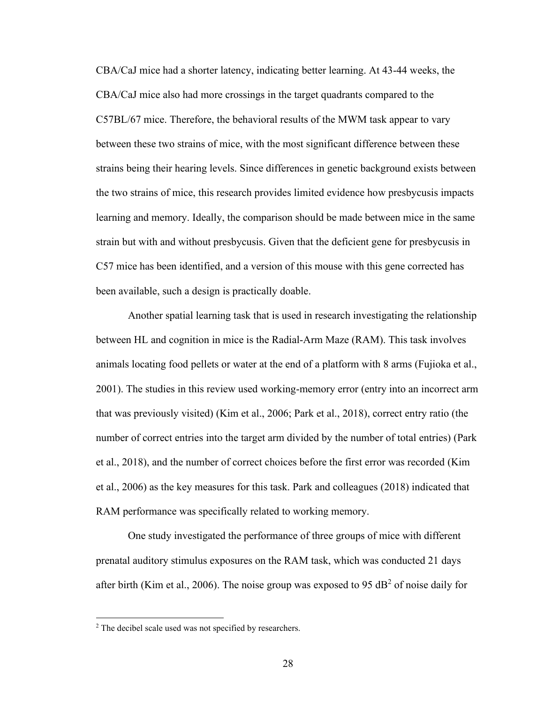CBA/CaJ mice had a shorter latency, indicating better learning. At 43-44 weeks, the CBA/CaJ mice also had more crossings in the target quadrants compared to the C57BL/67 mice. Therefore, the behavioral results of the MWM task appear to vary between these two strains of mice, with the most significant difference between these strains being their hearing levels. Since differences in genetic background exists between the two strains of mice, this research provides limited evidence how presbycusis impacts learning and memory. Ideally, the comparison should be made between mice in the same strain but with and without presbycusis. Given that the deficient gene for presbycusis in C57 mice has been identified, and a version of this mouse with this gene corrected has been available, such a design is practically doable.

Another spatial learning task that is used in research investigating the relationship between HL and cognition in mice is the Radial-Arm Maze (RAM). This task involves animals locating food pellets or water at the end of a platform with 8 arms (Fujioka et al., 2001). The studies in this review used working-memory error (entry into an incorrect arm that was previously visited) (Kim et al., 2006; Park et al., 2018), correct entry ratio (the number of correct entries into the target arm divided by the number of total entries) (Park et al., 2018), and the number of correct choices before the first error was recorded (Kim et al., 2006) as the key measures for this task. Park and colleagues (2018) indicated that RAM performance was specifically related to working memory.

One study investigated the performance of three groups of mice with different prenatal auditory stimulus exposures on the RAM task, which was conducted 21 days after birth (Kim et al., 2006). The noise group was exposed to 95 dB<sup>2</sup> of noise daily for

<sup>&</sup>lt;sup>2</sup> The decibel scale used was not specified by researchers.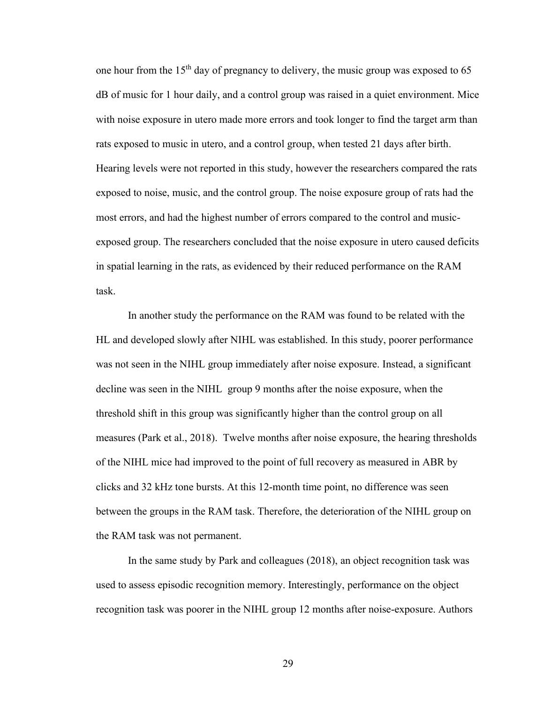one hour from the  $15<sup>th</sup>$  day of pregnancy to delivery, the music group was exposed to 65 dB of music for 1 hour daily, and a control group was raised in a quiet environment. Mice with noise exposure in utero made more errors and took longer to find the target arm than rats exposed to music in utero, and a control group, when tested 21 days after birth. Hearing levels were not reported in this study, however the researchers compared the rats exposed to noise, music, and the control group. The noise exposure group of rats had the most errors, and had the highest number of errors compared to the control and musicexposed group. The researchers concluded that the noise exposure in utero caused deficits in spatial learning in the rats, as evidenced by their reduced performance on the RAM task.

In another study the performance on the RAM was found to be related with the HL and developed slowly after NIHL was established. In this study, poorer performance was not seen in the NIHL group immediately after noise exposure. Instead, a significant decline was seen in the NIHL group 9 months after the noise exposure, when the threshold shift in this group was significantly higher than the control group on all measures (Park et al., 2018). Twelve months after noise exposure, the hearing thresholds of the NIHL mice had improved to the point of full recovery as measured in ABR by clicks and 32 kHz tone bursts. At this 12-month time point, no difference was seen between the groups in the RAM task. Therefore, the deterioration of the NIHL group on the RAM task was not permanent.

In the same study by Park and colleagues (2018), an object recognition task was used to assess episodic recognition memory. Interestingly, performance on the object recognition task was poorer in the NIHL group 12 months after noise-exposure. Authors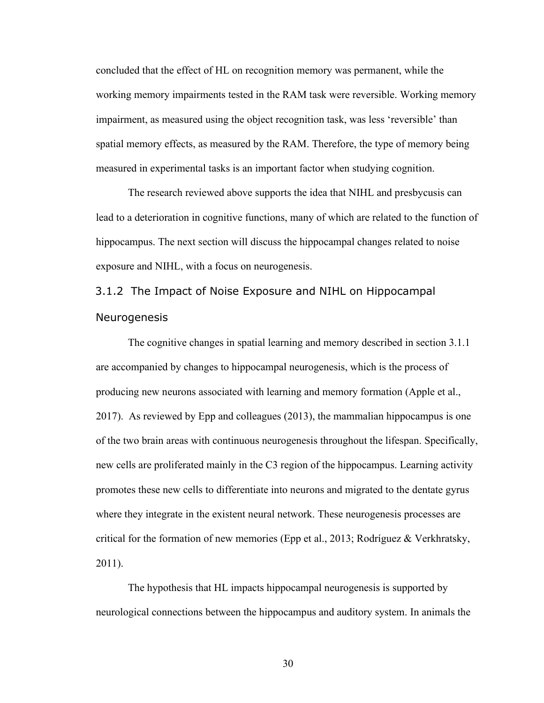concluded that the effect of HL on recognition memory was permanent, while the working memory impairments tested in the RAM task were reversible. Working memory impairment, as measured using the object recognition task, was less 'reversible' than spatial memory effects, as measured by the RAM. Therefore, the type of memory being measured in experimental tasks is an important factor when studying cognition.

The research reviewed above supports the idea that NIHL and presbycusis can lead to a deterioration in cognitive functions, many of which are related to the function of hippocampus. The next section will discuss the hippocampal changes related to noise exposure and NIHL, with a focus on neurogenesis.

# 3.1.2 The Impact of Noise Exposure and NIHL on Hippocampal Neurogenesis

The cognitive changes in spatial learning and memory described in section 3.1.1 are accompanied by changes to hippocampal neurogenesis, which is the process of producing new neurons associated with learning and memory formation (Apple et al., 2017). As reviewed by Epp and colleagues (2013), the mammalian hippocampus is one of the two brain areas with continuous neurogenesis throughout the lifespan. Specifically, new cells are proliferated mainly in the C3 region of the hippocampus. Learning activity promotes these new cells to differentiate into neurons and migrated to the dentate gyrus where they integrate in the existent neural network. These neurogenesis processes are critical for the formation of new memories (Epp et al., 2013; Rodríguez & Verkhratsky, 2011).

The hypothesis that HL impacts hippocampal neurogenesis is supported by neurological connections between the hippocampus and auditory system. In animals the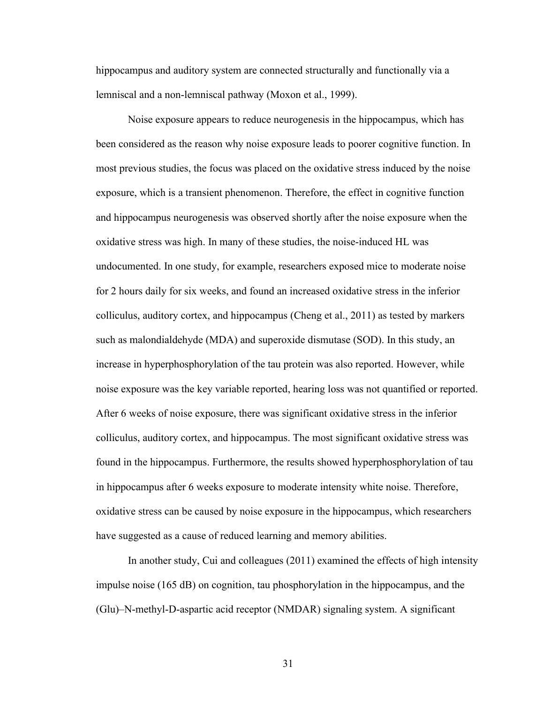hippocampus and auditory system are connected structurally and functionally via a lemniscal and a non-lemniscal pathway (Moxon et al., 1999).

Noise exposure appears to reduce neurogenesis in the hippocampus, which has been considered as the reason why noise exposure leads to poorer cognitive function. In most previous studies, the focus was placed on the oxidative stress induced by the noise exposure, which is a transient phenomenon. Therefore, the effect in cognitive function and hippocampus neurogenesis was observed shortly after the noise exposure when the oxidative stress was high. In many of these studies, the noise-induced HL was undocumented. In one study, for example, researchers exposed mice to moderate noise for 2 hours daily for six weeks, and found an increased oxidative stress in the inferior colliculus, auditory cortex, and hippocampus (Cheng et al., 2011) as tested by markers such as malondialdehyde (MDA) and superoxide dismutase (SOD). In this study, an increase in hyperphosphorylation of the tau protein was also reported. However, while noise exposure was the key variable reported, hearing loss was not quantified or reported. After 6 weeks of noise exposure, there was significant oxidative stress in the inferior colliculus, auditory cortex, and hippocampus. The most significant oxidative stress was found in the hippocampus. Furthermore, the results showed hyperphosphorylation of tau in hippocampus after 6 weeks exposure to moderate intensity white noise. Therefore, oxidative stress can be caused by noise exposure in the hippocampus, which researchers have suggested as a cause of reduced learning and memory abilities.

In another study, Cui and colleagues (2011) examined the effects of high intensity impulse noise (165 dB) on cognition, tau phosphorylation in the hippocampus, and the (Glu)–N-methyl-D-aspartic acid receptor (NMDAR) signaling system. A significant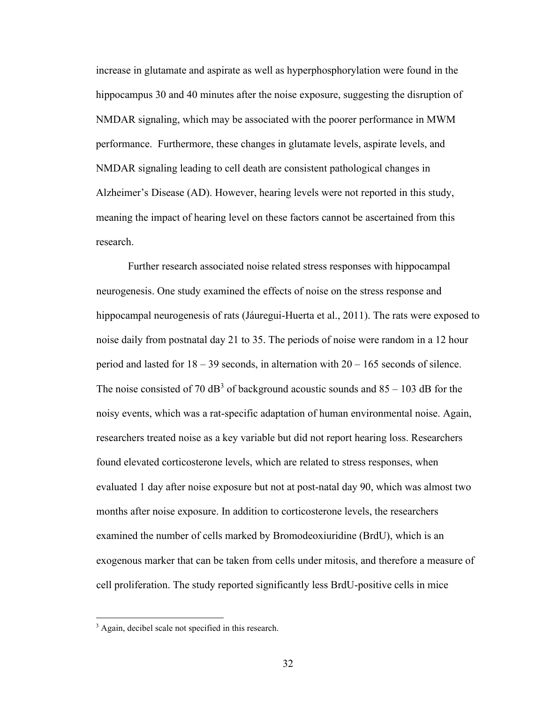increase in glutamate and aspirate as well as hyperphosphorylation were found in the hippocampus 30 and 40 minutes after the noise exposure, suggesting the disruption of NMDAR signaling, which may be associated with the poorer performance in MWM performance. Furthermore, these changes in glutamate levels, aspirate levels, and NMDAR signaling leading to cell death are consistent pathological changes in Alzheimer's Disease (AD). However, hearing levels were not reported in this study, meaning the impact of hearing level on these factors cannot be ascertained from this research.

Further research associated noise related stress responses with hippocampal neurogenesis. One study examined the effects of noise on the stress response and hippocampal neurogenesis of rats (Jáuregui-Huerta et al., 2011). The rats were exposed to noise daily from postnatal day 21 to 35. The periods of noise were random in a 12 hour period and lasted for  $18 - 39$  seconds, in alternation with  $20 - 165$  seconds of silence. The noise consisted of 70 dB<sup>3</sup> of background acoustic sounds and  $85 - 103$  dB for the noisy events, which was a rat-specific adaptation of human environmental noise. Again, researchers treated noise as a key variable but did not report hearing loss. Researchers found elevated corticosterone levels, which are related to stress responses, when evaluated 1 day after noise exposure but not at post-natal day 90, which was almost two months after noise exposure. In addition to corticosterone levels, the researchers examined the number of cells marked by Bromodeoxiuridine (BrdU), which is an exogenous marker that can be taken from cells under mitosis, and therefore a measure of cell proliferation. The study reported significantly less BrdU-positive cells in mice

<sup>&</sup>lt;sup>3</sup> Again, decibel scale not specified in this research.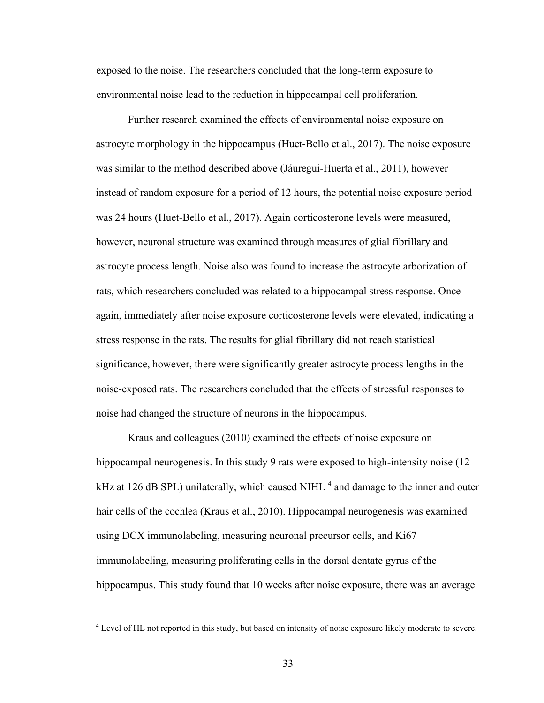exposed to the noise. The researchers concluded that the long-term exposure to environmental noise lead to the reduction in hippocampal cell proliferation.

Further research examined the effects of environmental noise exposure on astrocyte morphology in the hippocampus (Huet-Bello et al., 2017). The noise exposure was similar to the method described above (Jáuregui-Huerta et al., 2011), however instead of random exposure for a period of 12 hours, the potential noise exposure period was 24 hours (Huet-Bello et al., 2017). Again corticosterone levels were measured, however, neuronal structure was examined through measures of glial fibrillary and astrocyte process length. Noise also was found to increase the astrocyte arborization of rats, which researchers concluded was related to a hippocampal stress response. Once again, immediately after noise exposure corticosterone levels were elevated, indicating a stress response in the rats. The results for glial fibrillary did not reach statistical significance, however, there were significantly greater astrocyte process lengths in the noise-exposed rats. The researchers concluded that the effects of stressful responses to noise had changed the structure of neurons in the hippocampus.

Kraus and colleagues (2010) examined the effects of noise exposure on hippocampal neurogenesis. In this study 9 rats were exposed to high-intensity noise (12) kHz at 126 dB SPL) unilaterally, which caused NIHL<sup>4</sup> and damage to the inner and outer hair cells of the cochlea (Kraus et al., 2010). Hippocampal neurogenesis was examined using DCX immunolabeling, measuring neuronal precursor cells, and Ki67 immunolabeling, measuring proliferating cells in the dorsal dentate gyrus of the hippocampus. This study found that 10 weeks after noise exposure, there was an average

<sup>4</sup> Level of HL not reported in this study, but based on intensity of noise exposure likely moderate to severe.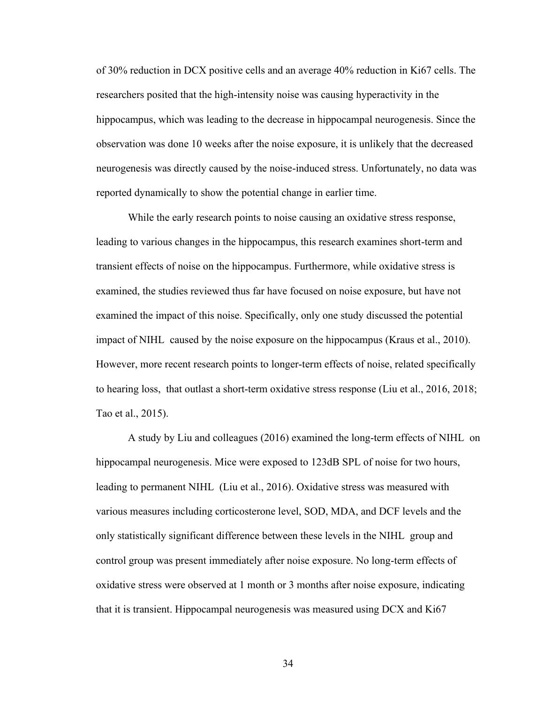of 30% reduction in DCX positive cells and an average 40% reduction in Ki67 cells. The researchers posited that the high-intensity noise was causing hyperactivity in the hippocampus, which was leading to the decrease in hippocampal neurogenesis. Since the observation was done 10 weeks after the noise exposure, it is unlikely that the decreased neurogenesis was directly caused by the noise-induced stress. Unfortunately, no data was reported dynamically to show the potential change in earlier time.

While the early research points to noise causing an oxidative stress response, leading to various changes in the hippocampus, this research examines short-term and transient effects of noise on the hippocampus. Furthermore, while oxidative stress is examined, the studies reviewed thus far have focused on noise exposure, but have not examined the impact of this noise. Specifically, only one study discussed the potential impact of NIHL caused by the noise exposure on the hippocampus (Kraus et al., 2010). However, more recent research points to longer-term effects of noise, related specifically to hearing loss, that outlast a short-term oxidative stress response (Liu et al., 2016, 2018; Tao et al., 2015).

A study by Liu and colleagues (2016) examined the long-term effects of NIHL on hippocampal neurogenesis. Mice were exposed to 123dB SPL of noise for two hours, leading to permanent NIHL (Liu et al., 2016). Oxidative stress was measured with various measures including corticosterone level, SOD, MDA, and DCF levels and the only statistically significant difference between these levels in the NIHL group and control group was present immediately after noise exposure. No long-term effects of oxidative stress were observed at 1 month or 3 months after noise exposure, indicating that it is transient. Hippocampal neurogenesis was measured using DCX and Ki67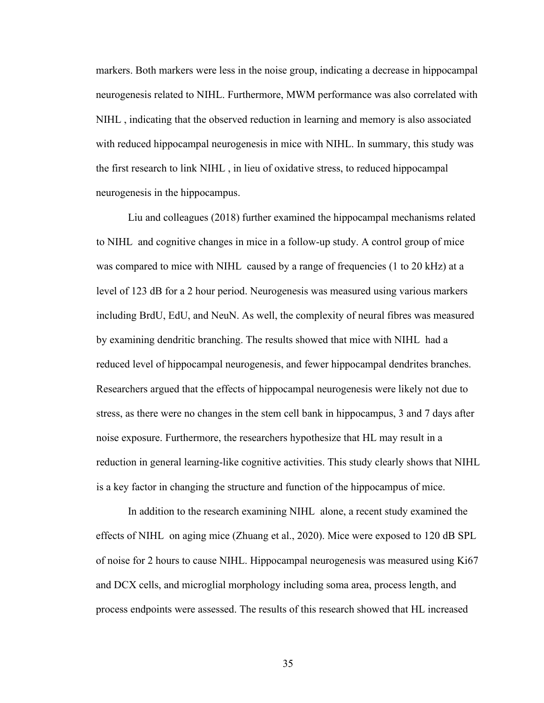markers. Both markers were less in the noise group, indicating a decrease in hippocampal neurogenesis related to NIHL. Furthermore, MWM performance was also correlated with NIHL , indicating that the observed reduction in learning and memory is also associated with reduced hippocampal neurogenesis in mice with NIHL. In summary, this study was the first research to link NIHL , in lieu of oxidative stress, to reduced hippocampal neurogenesis in the hippocampus.

Liu and colleagues (2018) further examined the hippocampal mechanisms related to NIHL and cognitive changes in mice in a follow-up study. A control group of mice was compared to mice with NIHL caused by a range of frequencies (1 to 20 kHz) at a level of 123 dB for a 2 hour period. Neurogenesis was measured using various markers including BrdU, EdU, and NeuN. As well, the complexity of neural fibres was measured by examining dendritic branching. The results showed that mice with NIHL had a reduced level of hippocampal neurogenesis, and fewer hippocampal dendrites branches. Researchers argued that the effects of hippocampal neurogenesis were likely not due to stress, as there were no changes in the stem cell bank in hippocampus, 3 and 7 days after noise exposure. Furthermore, the researchers hypothesize that HL may result in a reduction in general learning-like cognitive activities. This study clearly shows that NIHL is a key factor in changing the structure and function of the hippocampus of mice.

In addition to the research examining NIHL alone, a recent study examined the effects of NIHL on aging mice (Zhuang et al., 2020). Mice were exposed to 120 dB SPL of noise for 2 hours to cause NIHL. Hippocampal neurogenesis was measured using Ki67 and DCX cells, and microglial morphology including soma area, process length, and process endpoints were assessed. The results of this research showed that HL increased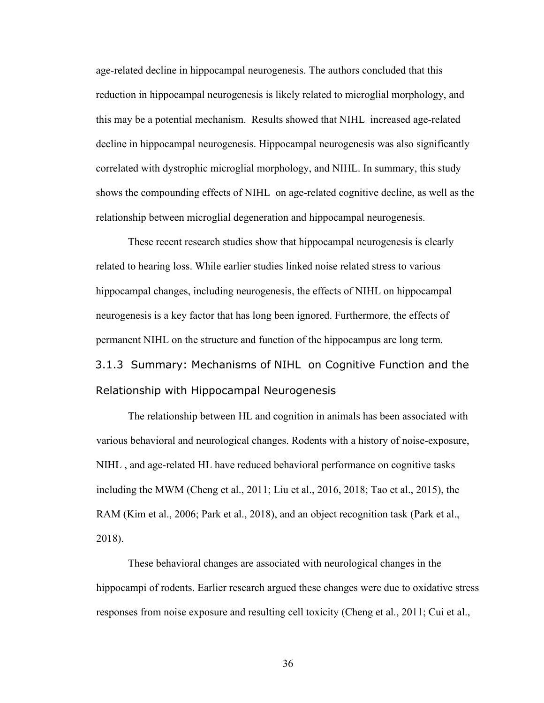age-related decline in hippocampal neurogenesis. The authors concluded that this reduction in hippocampal neurogenesis is likely related to microglial morphology, and this may be a potential mechanism. Results showed that NIHL increased age-related decline in hippocampal neurogenesis. Hippocampal neurogenesis was also significantly correlated with dystrophic microglial morphology, and NIHL. In summary, this study shows the compounding effects of NIHL on age-related cognitive decline, as well as the relationship between microglial degeneration and hippocampal neurogenesis.

These recent research studies show that hippocampal neurogenesis is clearly related to hearing loss. While earlier studies linked noise related stress to various hippocampal changes, including neurogenesis, the effects of NIHL on hippocampal neurogenesis is a key factor that has long been ignored. Furthermore, the effects of permanent NIHL on the structure and function of the hippocampus are long term. 3.1.3 Summary: Mechanisms of NIHL on Cognitive Function and the Relationship with Hippocampal Neurogenesis

The relationship between HL and cognition in animals has been associated with various behavioral and neurological changes. Rodents with a history of noise-exposure, NIHL , and age-related HL have reduced behavioral performance on cognitive tasks including the MWM (Cheng et al., 2011; Liu et al., 2016, 2018; Tao et al., 2015), the RAM (Kim et al., 2006; Park et al., 2018), and an object recognition task (Park et al., 2018).

These behavioral changes are associated with neurological changes in the hippocampi of rodents. Earlier research argued these changes were due to oxidative stress responses from noise exposure and resulting cell toxicity (Cheng et al., 2011; Cui et al.,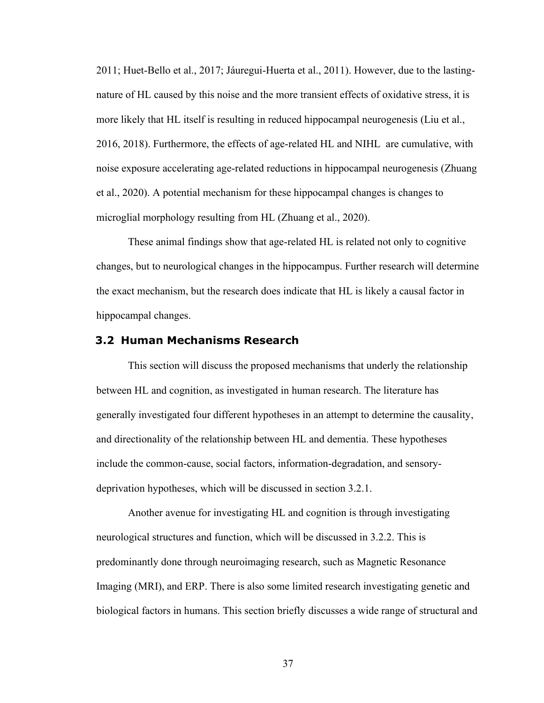2011; Huet-Bello et al., 2017; Jáuregui-Huerta et al., 2011). However, due to the lastingnature of HL caused by this noise and the more transient effects of oxidative stress, it is more likely that HL itself is resulting in reduced hippocampal neurogenesis (Liu et al., 2016, 2018). Furthermore, the effects of age-related HL and NIHL are cumulative, with noise exposure accelerating age-related reductions in hippocampal neurogenesis (Zhuang et al., 2020). A potential mechanism for these hippocampal changes is changes to microglial morphology resulting from HL (Zhuang et al., 2020).

These animal findings show that age-related HL is related not only to cognitive changes, but to neurological changes in the hippocampus. Further research will determine the exact mechanism, but the research does indicate that HL is likely a causal factor in hippocampal changes.

### **3.2 Human Mechanisms Research**

This section will discuss the proposed mechanisms that underly the relationship between HL and cognition, as investigated in human research. The literature has generally investigated four different hypotheses in an attempt to determine the causality, and directionality of the relationship between HL and dementia. These hypotheses include the common-cause, social factors, information-degradation, and sensorydeprivation hypotheses, which will be discussed in section 3.2.1.

Another avenue for investigating HL and cognition is through investigating neurological structures and function, which will be discussed in 3.2.2. This is predominantly done through neuroimaging research, such as Magnetic Resonance Imaging (MRI), and ERP. There is also some limited research investigating genetic and biological factors in humans. This section briefly discusses a wide range of structural and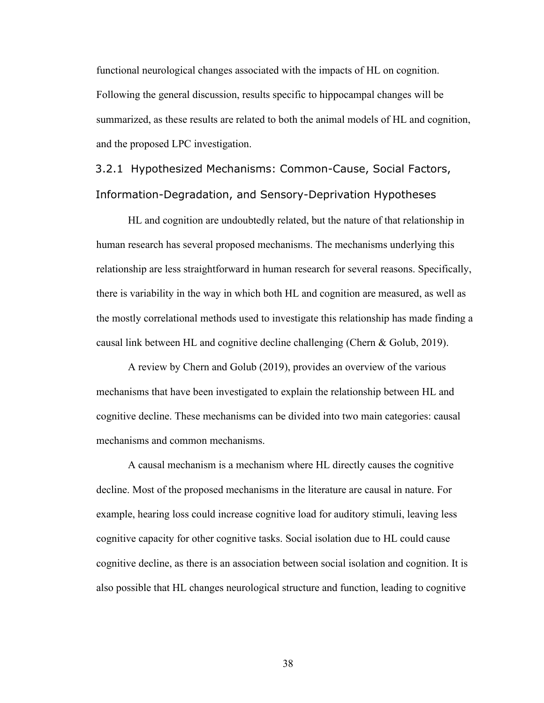functional neurological changes associated with the impacts of HL on cognition. Following the general discussion, results specific to hippocampal changes will be summarized, as these results are related to both the animal models of HL and cognition, and the proposed LPC investigation.

3.2.1 Hypothesized Mechanisms: Common-Cause, Social Factors, Information-Degradation, and Sensory-Deprivation Hypotheses

HL and cognition are undoubtedly related, but the nature of that relationship in human research has several proposed mechanisms. The mechanisms underlying this relationship are less straightforward in human research for several reasons. Specifically, there is variability in the way in which both HL and cognition are measured, as well as the mostly correlational methods used to investigate this relationship has made finding a causal link between HL and cognitive decline challenging (Chern & Golub, 2019).

A review by Chern and Golub (2019), provides an overview of the various mechanisms that have been investigated to explain the relationship between HL and cognitive decline. These mechanisms can be divided into two main categories: causal mechanisms and common mechanisms.

A causal mechanism is a mechanism where HL directly causes the cognitive decline. Most of the proposed mechanisms in the literature are causal in nature. For example, hearing loss could increase cognitive load for auditory stimuli, leaving less cognitive capacity for other cognitive tasks. Social isolation due to HL could cause cognitive decline, as there is an association between social isolation and cognition. It is also possible that HL changes neurological structure and function, leading to cognitive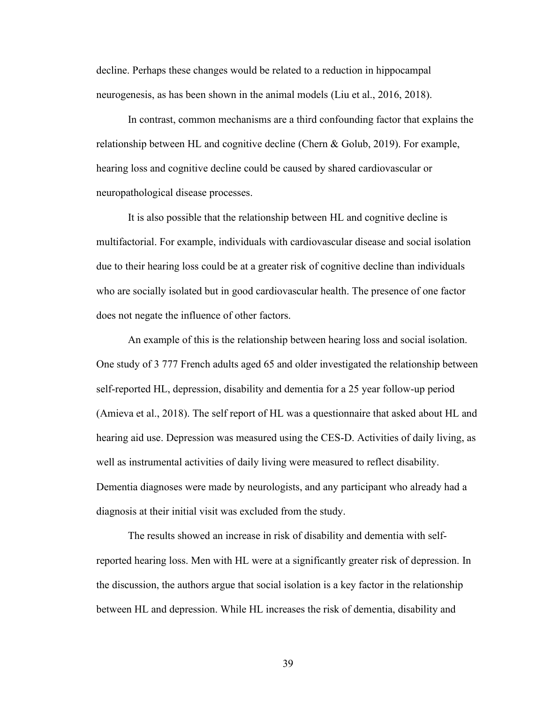decline. Perhaps these changes would be related to a reduction in hippocampal neurogenesis, as has been shown in the animal models (Liu et al., 2016, 2018).

In contrast, common mechanisms are a third confounding factor that explains the relationship between HL and cognitive decline (Chern & Golub, 2019). For example, hearing loss and cognitive decline could be caused by shared cardiovascular or neuropathological disease processes.

It is also possible that the relationship between HL and cognitive decline is multifactorial. For example, individuals with cardiovascular disease and social isolation due to their hearing loss could be at a greater risk of cognitive decline than individuals who are socially isolated but in good cardiovascular health. The presence of one factor does not negate the influence of other factors.

An example of this is the relationship between hearing loss and social isolation. One study of 3 777 French adults aged 65 and older investigated the relationship between self-reported HL, depression, disability and dementia for a 25 year follow-up period (Amieva et al., 2018). The self report of HL was a questionnaire that asked about HL and hearing aid use. Depression was measured using the CES-D. Activities of daily living, as well as instrumental activities of daily living were measured to reflect disability. Dementia diagnoses were made by neurologists, and any participant who already had a diagnosis at their initial visit was excluded from the study.

The results showed an increase in risk of disability and dementia with selfreported hearing loss. Men with HL were at a significantly greater risk of depression. In the discussion, the authors argue that social isolation is a key factor in the relationship between HL and depression. While HL increases the risk of dementia, disability and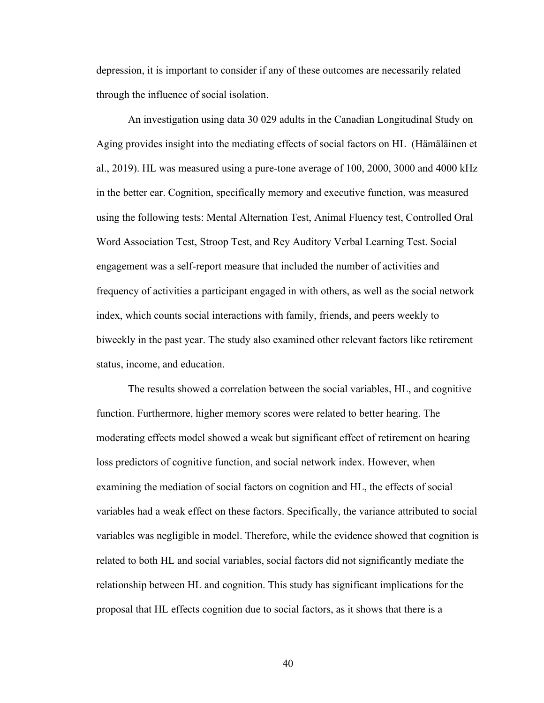depression, it is important to consider if any of these outcomes are necessarily related through the influence of social isolation.

An investigation using data 30 029 adults in the Canadian Longitudinal Study on Aging provides insight into the mediating effects of social factors on HL (Hämäläinen et al., 2019). HL was measured using a pure-tone average of 100, 2000, 3000 and 4000 kHz in the better ear. Cognition, specifically memory and executive function, was measured using the following tests: Mental Alternation Test, Animal Fluency test, Controlled Oral Word Association Test, Stroop Test, and Rey Auditory Verbal Learning Test. Social engagement was a self-report measure that included the number of activities and frequency of activities a participant engaged in with others, as well as the social network index, which counts social interactions with family, friends, and peers weekly to biweekly in the past year. The study also examined other relevant factors like retirement status, income, and education.

The results showed a correlation between the social variables, HL, and cognitive function. Furthermore, higher memory scores were related to better hearing. The moderating effects model showed a weak but significant effect of retirement on hearing loss predictors of cognitive function, and social network index. However, when examining the mediation of social factors on cognition and HL, the effects of social variables had a weak effect on these factors. Specifically, the variance attributed to social variables was negligible in model. Therefore, while the evidence showed that cognition is related to both HL and social variables, social factors did not significantly mediate the relationship between HL and cognition. This study has significant implications for the proposal that HL effects cognition due to social factors, as it shows that there is a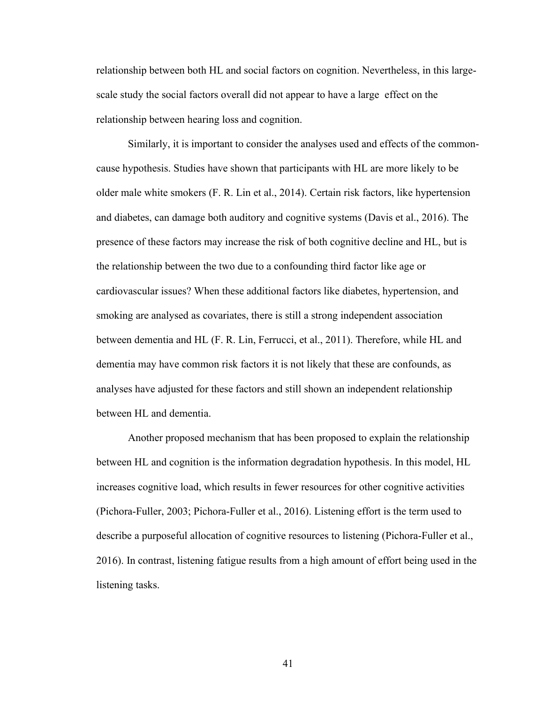relationship between both HL and social factors on cognition. Nevertheless, in this largescale study the social factors overall did not appear to have a large effect on the relationship between hearing loss and cognition.

Similarly, it is important to consider the analyses used and effects of the commoncause hypothesis. Studies have shown that participants with HL are more likely to be older male white smokers (F. R. Lin et al., 2014). Certain risk factors, like hypertension and diabetes, can damage both auditory and cognitive systems (Davis et al., 2016). The presence of these factors may increase the risk of both cognitive decline and HL, but is the relationship between the two due to a confounding third factor like age or cardiovascular issues? When these additional factors like diabetes, hypertension, and smoking are analysed as covariates, there is still a strong independent association between dementia and HL (F. R. Lin, Ferrucci, et al., 2011). Therefore, while HL and dementia may have common risk factors it is not likely that these are confounds, as analyses have adjusted for these factors and still shown an independent relationship between HL and dementia.

Another proposed mechanism that has been proposed to explain the relationship between HL and cognition is the information degradation hypothesis. In this model, HL increases cognitive load, which results in fewer resources for other cognitive activities (Pichora-Fuller, 2003; Pichora-Fuller et al., 2016). Listening effort is the term used to describe a purposeful allocation of cognitive resources to listening (Pichora-Fuller et al., 2016). In contrast, listening fatigue results from a high amount of effort being used in the listening tasks.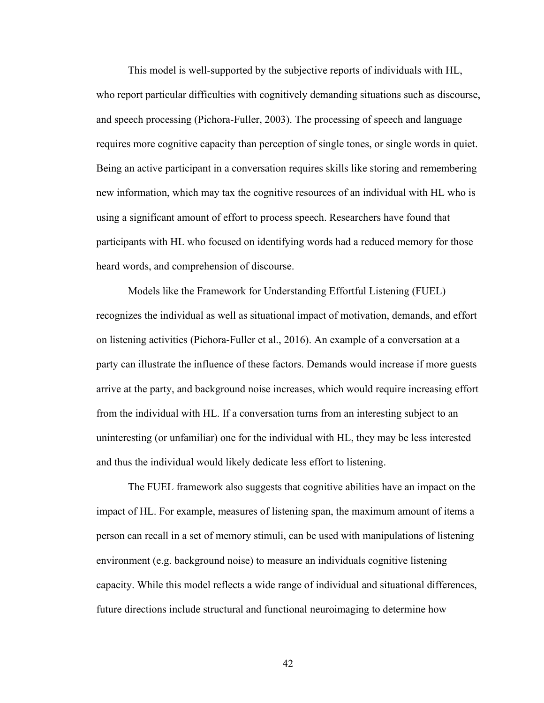This model is well-supported by the subjective reports of individuals with HL, who report particular difficulties with cognitively demanding situations such as discourse, and speech processing (Pichora-Fuller, 2003). The processing of speech and language requires more cognitive capacity than perception of single tones, or single words in quiet. Being an active participant in a conversation requires skills like storing and remembering new information, which may tax the cognitive resources of an individual with HL who is using a significant amount of effort to process speech. Researchers have found that participants with HL who focused on identifying words had a reduced memory for those heard words, and comprehension of discourse.

Models like the Framework for Understanding Effortful Listening (FUEL) recognizes the individual as well as situational impact of motivation, demands, and effort on listening activities (Pichora-Fuller et al., 2016). An example of a conversation at a party can illustrate the influence of these factors. Demands would increase if more guests arrive at the party, and background noise increases, which would require increasing effort from the individual with HL. If a conversation turns from an interesting subject to an uninteresting (or unfamiliar) one for the individual with HL, they may be less interested and thus the individual would likely dedicate less effort to listening.

The FUEL framework also suggests that cognitive abilities have an impact on the impact of HL. For example, measures of listening span, the maximum amount of items a person can recall in a set of memory stimuli, can be used with manipulations of listening environment (e.g. background noise) to measure an individuals cognitive listening capacity. While this model reflects a wide range of individual and situational differences, future directions include structural and functional neuroimaging to determine how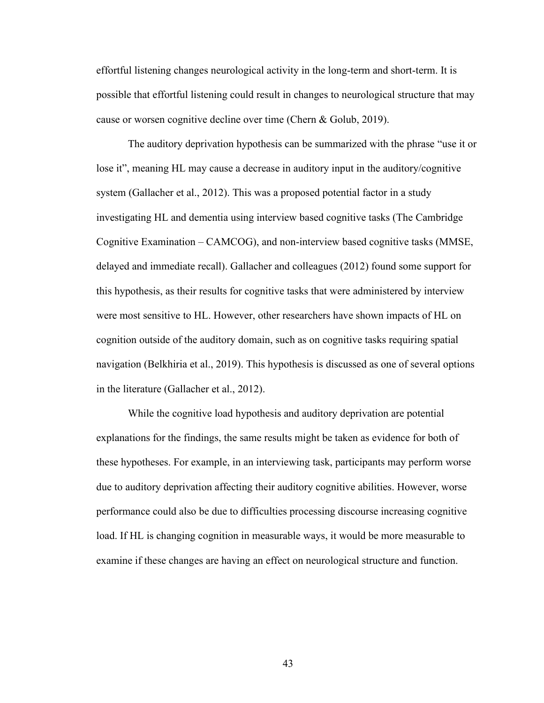effortful listening changes neurological activity in the long-term and short-term. It is possible that effortful listening could result in changes to neurological structure that may cause or worsen cognitive decline over time (Chern & Golub, 2019).

The auditory deprivation hypothesis can be summarized with the phrase "use it or lose it", meaning HL may cause a decrease in auditory input in the auditory/cognitive system (Gallacher et al., 2012). This was a proposed potential factor in a study investigating HL and dementia using interview based cognitive tasks (The Cambridge Cognitive Examination – CAMCOG), and non-interview based cognitive tasks (MMSE, delayed and immediate recall). Gallacher and colleagues (2012) found some support for this hypothesis, as their results for cognitive tasks that were administered by interview were most sensitive to HL. However, other researchers have shown impacts of HL on cognition outside of the auditory domain, such as on cognitive tasks requiring spatial navigation (Belkhiria et al., 2019). This hypothesis is discussed as one of several options in the literature (Gallacher et al., 2012).

While the cognitive load hypothesis and auditory deprivation are potential explanations for the findings, the same results might be taken as evidence for both of these hypotheses. For example, in an interviewing task, participants may perform worse due to auditory deprivation affecting their auditory cognitive abilities. However, worse performance could also be due to difficulties processing discourse increasing cognitive load. If HL is changing cognition in measurable ways, it would be more measurable to examine if these changes are having an effect on neurological structure and function.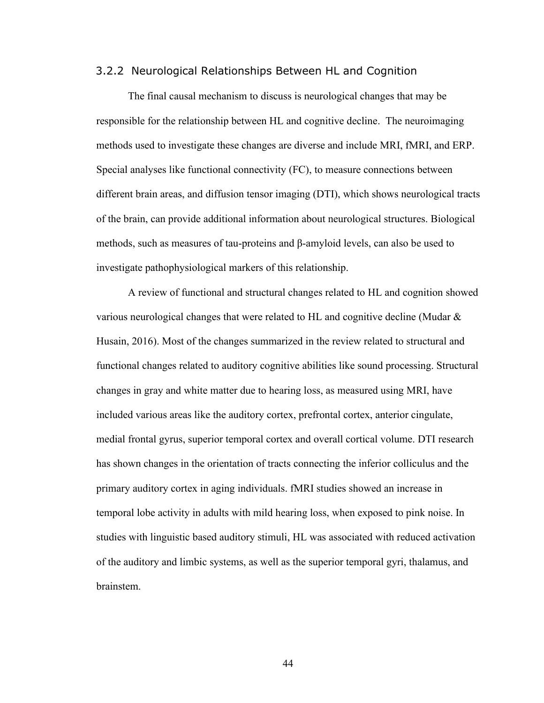#### 3.2.2 Neurological Relationships Between HL and Cognition

The final causal mechanism to discuss is neurological changes that may be responsible for the relationship between HL and cognitive decline. The neuroimaging methods used to investigate these changes are diverse and include MRI, fMRI, and ERP. Special analyses like functional connectivity (FC), to measure connections between different brain areas, and diffusion tensor imaging (DTI), which shows neurological tracts of the brain, can provide additional information about neurological structures. Biological methods, such as measures of tau-proteins and β-amyloid levels, can also be used to investigate pathophysiological markers of this relationship.

A review of functional and structural changes related to HL and cognition showed various neurological changes that were related to HL and cognitive decline (Mudar & Husain, 2016). Most of the changes summarized in the review related to structural and functional changes related to auditory cognitive abilities like sound processing. Structural changes in gray and white matter due to hearing loss, as measured using MRI, have included various areas like the auditory cortex, prefrontal cortex, anterior cingulate, medial frontal gyrus, superior temporal cortex and overall cortical volume. DTI research has shown changes in the orientation of tracts connecting the inferior colliculus and the primary auditory cortex in aging individuals. fMRI studies showed an increase in temporal lobe activity in adults with mild hearing loss, when exposed to pink noise. In studies with linguistic based auditory stimuli, HL was associated with reduced activation of the auditory and limbic systems, as well as the superior temporal gyri, thalamus, and brainstem.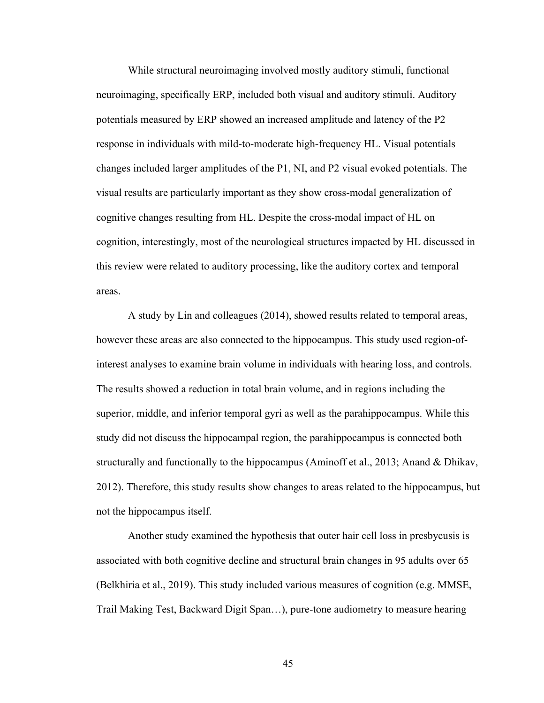While structural neuroimaging involved mostly auditory stimuli, functional neuroimaging, specifically ERP, included both visual and auditory stimuli. Auditory potentials measured by ERP showed an increased amplitude and latency of the P2 response in individuals with mild-to-moderate high-frequency HL. Visual potentials changes included larger amplitudes of the P1, NI, and P2 visual evoked potentials. The visual results are particularly important as they show cross-modal generalization of cognitive changes resulting from HL. Despite the cross-modal impact of HL on cognition, interestingly, most of the neurological structures impacted by HL discussed in this review were related to auditory processing, like the auditory cortex and temporal areas.

A study by Lin and colleagues (2014), showed results related to temporal areas, however these areas are also connected to the hippocampus. This study used region-ofinterest analyses to examine brain volume in individuals with hearing loss, and controls. The results showed a reduction in total brain volume, and in regions including the superior, middle, and inferior temporal gyri as well as the parahippocampus. While this study did not discuss the hippocampal region, the parahippocampus is connected both structurally and functionally to the hippocampus (Aminoff et al., 2013; Anand & Dhikav, 2012). Therefore, this study results show changes to areas related to the hippocampus, but not the hippocampus itself.

Another study examined the hypothesis that outer hair cell loss in presbycusis is associated with both cognitive decline and structural brain changes in 95 adults over 65 (Belkhiria et al., 2019). This study included various measures of cognition (e.g. MMSE, Trail Making Test, Backward Digit Span…), pure-tone audiometry to measure hearing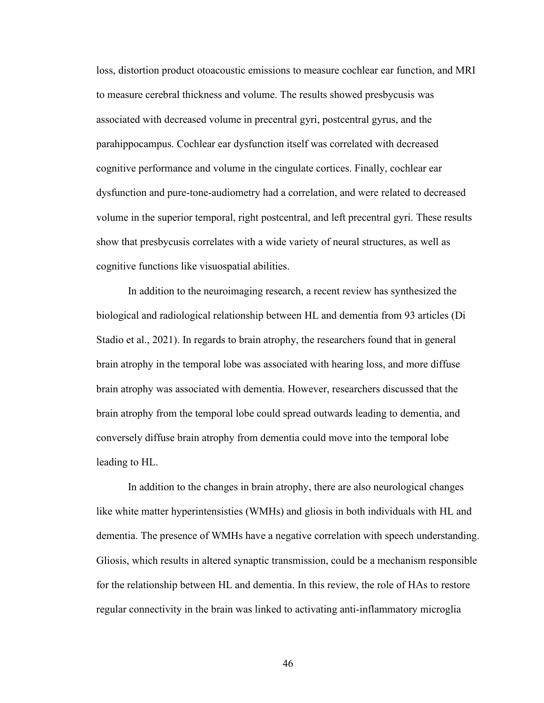loss, distortion product otoacoustic emissions to measure cochlear ear function, and MRI to measure cerebral thickness and volume. The results showed presbycusis was associated with decreased volume in precentral gyri, postcentral gyrus, and the parahippocampus. Cochlear ear dysfunction itself was correlated with decreased cognitive performance and volume in the cingulate cortices. Finally, cochlear ear dysfunction and pure-tone-audiometry had a correlation, and were related to decreased volume in the superior temporal, right postcentral, and left precentral gyri. These results show that presbycusis correlates with a wide variety of neural structures, as well as cognitive functions like visuospatial abilities.

In addition to the neuroimaging research, a recent review has synthesized the biological and radiological relationship between HL and dementia from 93 articles (Di Stadio et al., 2021). In regards to brain atrophy, the researchers found that in general brain atrophy in the temporal lobe was associated with hearing loss, and more diffuse brain atrophy was associated with dementia. However, researchers discussed that the brain atrophy from the temporal lobe could spread outwards leading to dementia, and conversely diffuse brain atrophy from dementia could move into the temporal lobe leading to HL.

In addition to the changes in brain atrophy, there are also neurological changes like white matter hyperintensisties (WMHs) and gliosis in both individuals with HL and dementia. The presence of WMHs have a negative correlation with speech understanding. Gliosis, which results in altered synaptic transmission, could be a mechanism responsible for the relationship between HL and dementia. In this review, the role of HAs to restore regular connectivity in the brain was linked to activating anti-inflammatory microglia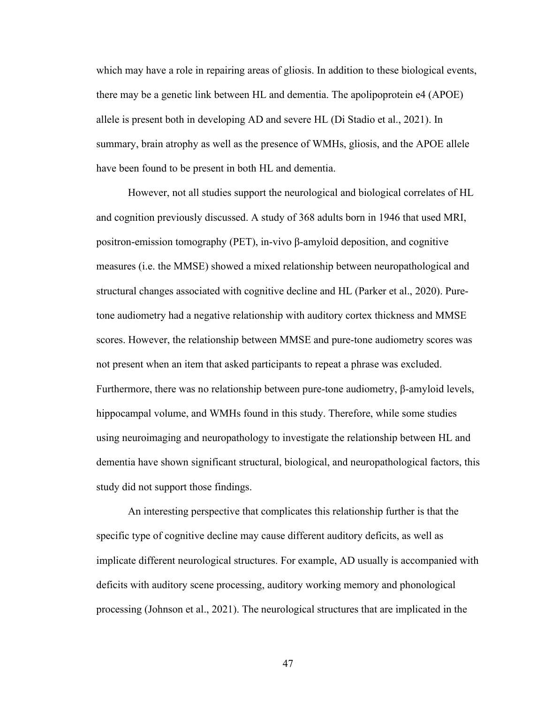which may have a role in repairing areas of gliosis. In addition to these biological events, there may be a genetic link between HL and dementia. The apolipoprotein e4 (APOE) allele is present both in developing AD and severe HL (Di Stadio et al., 2021). In summary, brain atrophy as well as the presence of WMHs, gliosis, and the APOE allele have been found to be present in both HL and dementia.

However, not all studies support the neurological and biological correlates of HL and cognition previously discussed. A study of 368 adults born in 1946 that used MRI, positron-emission tomography (PET), in-vivo β-amyloid deposition, and cognitive measures (i.e. the MMSE) showed a mixed relationship between neuropathological and structural changes associated with cognitive decline and HL (Parker et al., 2020). Puretone audiometry had a negative relationship with auditory cortex thickness and MMSE scores. However, the relationship between MMSE and pure-tone audiometry scores was not present when an item that asked participants to repeat a phrase was excluded. Furthermore, there was no relationship between pure-tone audiometry, β-amyloid levels, hippocampal volume, and WMHs found in this study. Therefore, while some studies using neuroimaging and neuropathology to investigate the relationship between HL and dementia have shown significant structural, biological, and neuropathological factors, this study did not support those findings.

An interesting perspective that complicates this relationship further is that the specific type of cognitive decline may cause different auditory deficits, as well as implicate different neurological structures. For example, AD usually is accompanied with deficits with auditory scene processing, auditory working memory and phonological processing (Johnson et al., 2021). The neurological structures that are implicated in the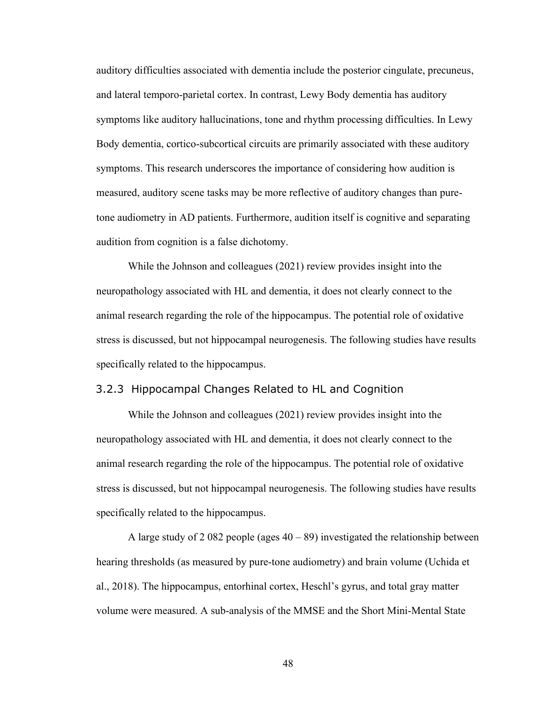auditory difficulties associated with dementia include the posterior cingulate, precuneus, and lateral temporo-parietal cortex. In contrast, Lewy Body dementia has auditory symptoms like auditory hallucinations, tone and rhythm processing difficulties. In Lewy Body dementia, cortico-subcortical circuits are primarily associated with these auditory symptoms. This research underscores the importance of considering how audition is measured, auditory scene tasks may be more reflective of auditory changes than puretone audiometry in AD patients. Furthermore, audition itself is cognitive and separating audition from cognition is a false dichotomy.

While the Johnson and colleagues (2021) review provides insight into the neuropathology associated with HL and dementia, it does not clearly connect to the animal research regarding the role of the hippocampus. The potential role of oxidative stress is discussed, but not hippocampal neurogenesis. The following studies have results specifically related to the hippocampus.

### 3.2.3 Hippocampal Changes Related to HL and Cognition

While the Johnson and colleagues (2021) review provides insight into the neuropathology associated with HL and dementia, it does not clearly connect to the animal research regarding the role of the hippocampus. The potential role of oxidative stress is discussed, but not hippocampal neurogenesis. The following studies have results specifically related to the hippocampus.

A large study of 2 082 people (ages  $40 - 89$ ) investigated the relationship between hearing thresholds (as measured by pure-tone audiometry) and brain volume (Uchida et al., 2018). The hippocampus, entorhinal cortex, Heschl's gyrus, and total gray matter volume were measured. A sub-analysis of the MMSE and the Short Mini-Mental State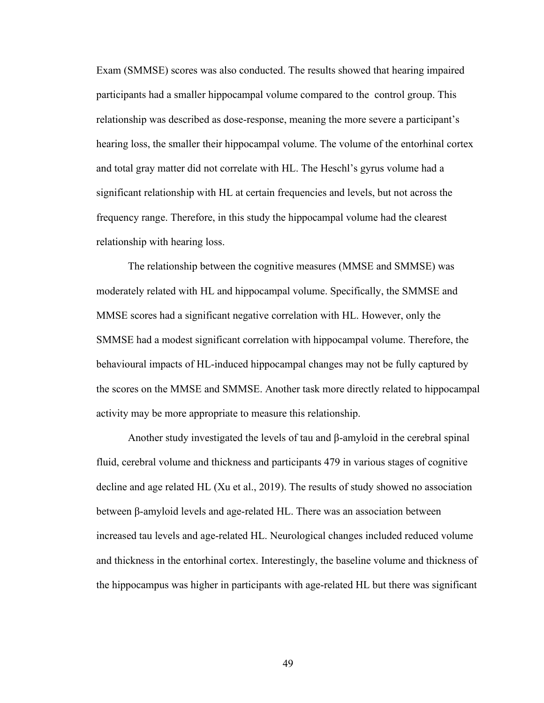Exam (SMMSE) scores was also conducted. The results showed that hearing impaired participants had a smaller hippocampal volume compared to the control group. This relationship was described as dose-response, meaning the more severe a participant's hearing loss, the smaller their hippocampal volume. The volume of the entorhinal cortex and total gray matter did not correlate with HL. The Heschl's gyrus volume had a significant relationship with HL at certain frequencies and levels, but not across the frequency range. Therefore, in this study the hippocampal volume had the clearest relationship with hearing loss.

The relationship between the cognitive measures (MMSE and SMMSE) was moderately related with HL and hippocampal volume. Specifically, the SMMSE and MMSE scores had a significant negative correlation with HL. However, only the SMMSE had a modest significant correlation with hippocampal volume. Therefore, the behavioural impacts of HL-induced hippocampal changes may not be fully captured by the scores on the MMSE and SMMSE. Another task more directly related to hippocampal activity may be more appropriate to measure this relationship.

Another study investigated the levels of tau and  $\beta$ -amyloid in the cerebral spinal fluid, cerebral volume and thickness and participants 479 in various stages of cognitive decline and age related HL (Xu et al., 2019). The results of study showed no association between β-amyloid levels and age-related HL. There was an association between increased tau levels and age-related HL. Neurological changes included reduced volume and thickness in the entorhinal cortex. Interestingly, the baseline volume and thickness of the hippocampus was higher in participants with age-related HL but there was significant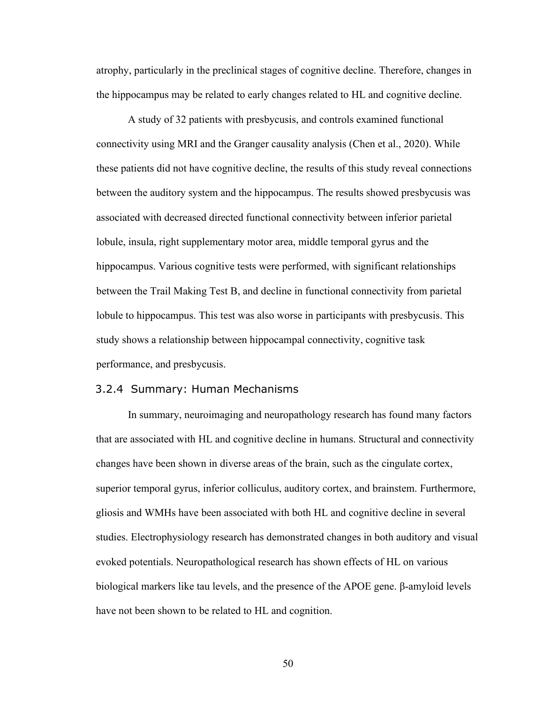atrophy, particularly in the preclinical stages of cognitive decline. Therefore, changes in the hippocampus may be related to early changes related to HL and cognitive decline.

A study of 32 patients with presbycusis, and controls examined functional connectivity using MRI and the Granger causality analysis (Chen et al., 2020). While these patients did not have cognitive decline, the results of this study reveal connections between the auditory system and the hippocampus. The results showed presbycusis was associated with decreased directed functional connectivity between inferior parietal lobule, insula, right supplementary motor area, middle temporal gyrus and the hippocampus. Various cognitive tests were performed, with significant relationships between the Trail Making Test B, and decline in functional connectivity from parietal lobule to hippocampus. This test was also worse in participants with presbycusis. This study shows a relationship between hippocampal connectivity, cognitive task performance, and presbycusis.

### 3.2.4 Summary: Human Mechanisms

In summary, neuroimaging and neuropathology research has found many factors that are associated with HL and cognitive decline in humans. Structural and connectivity changes have been shown in diverse areas of the brain, such as the cingulate cortex, superior temporal gyrus, inferior colliculus, auditory cortex, and brainstem. Furthermore, gliosis and WMHs have been associated with both HL and cognitive decline in several studies. Electrophysiology research has demonstrated changes in both auditory and visual evoked potentials. Neuropathological research has shown effects of HL on various biological markers like tau levels, and the presence of the APOE gene. β-amyloid levels have not been shown to be related to HL and cognition.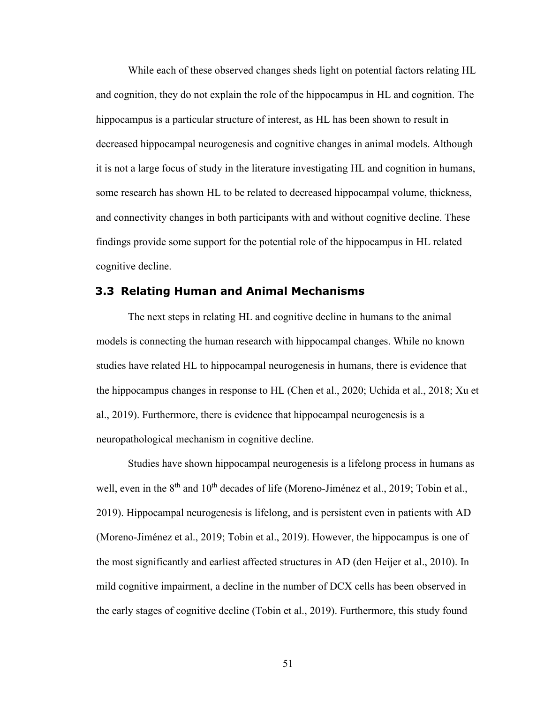While each of these observed changes sheds light on potential factors relating HL and cognition, they do not explain the role of the hippocampus in HL and cognition. The hippocampus is a particular structure of interest, as HL has been shown to result in decreased hippocampal neurogenesis and cognitive changes in animal models. Although it is not a large focus of study in the literature investigating HL and cognition in humans, some research has shown HL to be related to decreased hippocampal volume, thickness, and connectivity changes in both participants with and without cognitive decline. These findings provide some support for the potential role of the hippocampus in HL related cognitive decline.

# **3.3 Relating Human and Animal Mechanisms**

The next steps in relating HL and cognitive decline in humans to the animal models is connecting the human research with hippocampal changes. While no known studies have related HL to hippocampal neurogenesis in humans, there is evidence that the hippocampus changes in response to HL (Chen et al., 2020; Uchida et al., 2018; Xu et al., 2019). Furthermore, there is evidence that hippocampal neurogenesis is a neuropathological mechanism in cognitive decline.

Studies have shown hippocampal neurogenesis is a lifelong process in humans as well, even in the 8<sup>th</sup> and 10<sup>th</sup> decades of life (Moreno-Jiménez et al., 2019; Tobin et al., 2019). Hippocampal neurogenesis is lifelong, and is persistent even in patients with AD (Moreno-Jiménez et al., 2019; Tobin et al., 2019). However, the hippocampus is one of the most significantly and earliest affected structures in AD (den Heijer et al., 2010). In mild cognitive impairment, a decline in the number of DCX cells has been observed in the early stages of cognitive decline (Tobin et al., 2019). Furthermore, this study found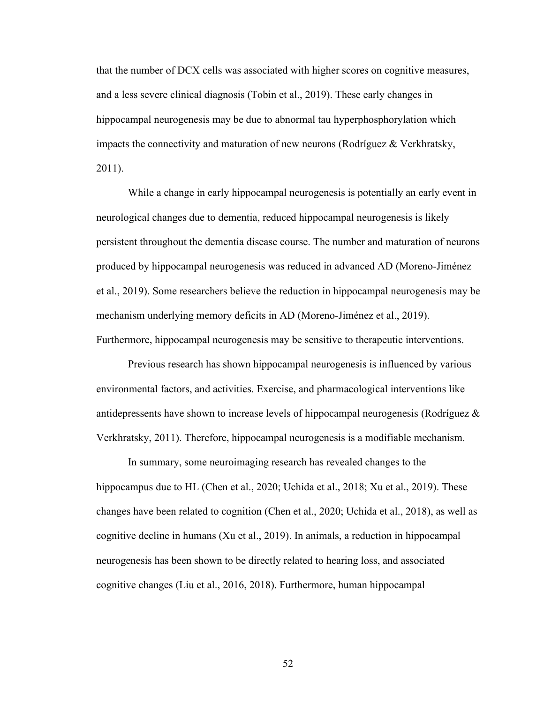that the number of DCX cells was associated with higher scores on cognitive measures, and a less severe clinical diagnosis (Tobin et al., 2019). These early changes in hippocampal neurogenesis may be due to abnormal tau hyperphosphorylation which impacts the connectivity and maturation of new neurons (Rodríguez & Verkhratsky, 2011).

While a change in early hippocampal neurogenesis is potentially an early event in neurological changes due to dementia, reduced hippocampal neurogenesis is likely persistent throughout the dementia disease course. The number and maturation of neurons produced by hippocampal neurogenesis was reduced in advanced AD (Moreno-Jiménez et al., 2019). Some researchers believe the reduction in hippocampal neurogenesis may be mechanism underlying memory deficits in AD (Moreno-Jiménez et al., 2019). Furthermore, hippocampal neurogenesis may be sensitive to therapeutic interventions.

Previous research has shown hippocampal neurogenesis is influenced by various environmental factors, and activities. Exercise, and pharmacological interventions like antidepressents have shown to increase levels of hippocampal neurogenesis (Rodríguez & Verkhratsky, 2011). Therefore, hippocampal neurogenesis is a modifiable mechanism.

In summary, some neuroimaging research has revealed changes to the hippocampus due to HL (Chen et al., 2020; Uchida et al., 2018; Xu et al., 2019). These changes have been related to cognition (Chen et al., 2020; Uchida et al., 2018), as well as cognitive decline in humans (Xu et al., 2019). In animals, a reduction in hippocampal neurogenesis has been shown to be directly related to hearing loss, and associated cognitive changes (Liu et al., 2016, 2018). Furthermore, human hippocampal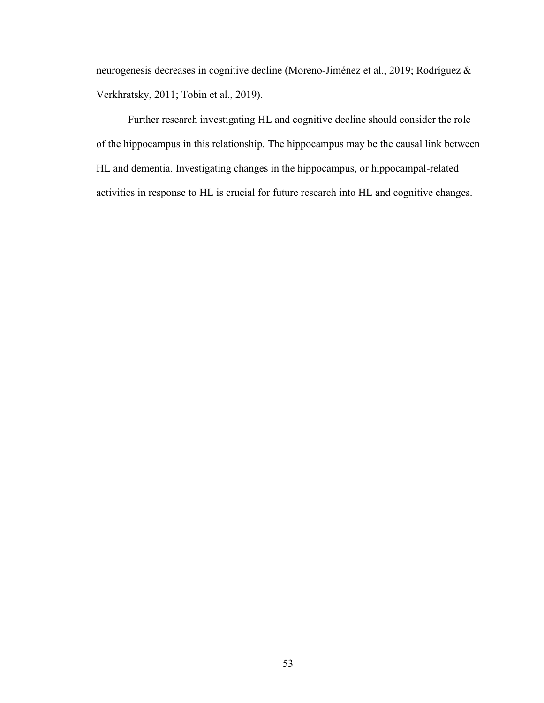neurogenesis decreases in cognitive decline (Moreno-Jiménez et al., 2019; Rodríguez & Verkhratsky, 2011; Tobin et al., 2019).

Further research investigating HL and cognitive decline should consider the role of the hippocampus in this relationship. The hippocampus may be the causal link between HL and dementia. Investigating changes in the hippocampus, or hippocampal-related activities in response to HL is crucial for future research into HL and cognitive changes.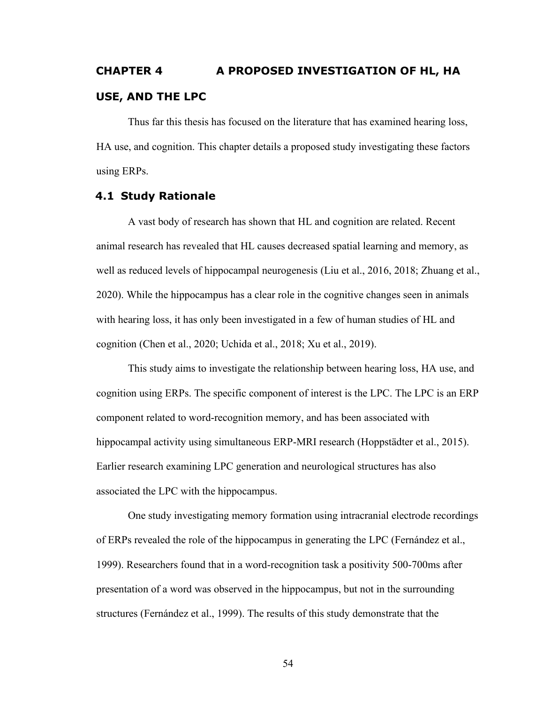# **CHAPTER 4 A PROPOSED INVESTIGATION OF HL, HA USE, AND THE LPC**

Thus far this thesis has focused on the literature that has examined hearing loss, HA use, and cognition. This chapter details a proposed study investigating these factors using ERPs.

# **4.1 Study Rationale**

A vast body of research has shown that HL and cognition are related. Recent animal research has revealed that HL causes decreased spatial learning and memory, as well as reduced levels of hippocampal neurogenesis (Liu et al., 2016, 2018; Zhuang et al., 2020). While the hippocampus has a clear role in the cognitive changes seen in animals with hearing loss, it has only been investigated in a few of human studies of HL and cognition (Chen et al., 2020; Uchida et al., 2018; Xu et al., 2019).

This study aims to investigate the relationship between hearing loss, HA use, and cognition using ERPs. The specific component of interest is the LPC. The LPC is an ERP component related to word-recognition memory, and has been associated with hippocampal activity using simultaneous ERP-MRI research (Hoppstädter et al., 2015). Earlier research examining LPC generation and neurological structures has also associated the LPC with the hippocampus.

One study investigating memory formation using intracranial electrode recordings of ERPs revealed the role of the hippocampus in generating the LPC (Fernández et al., 1999). Researchers found that in a word-recognition task a positivity 500-700ms after presentation of a word was observed in the hippocampus, but not in the surrounding structures (Fernández et al., 1999). The results of this study demonstrate that the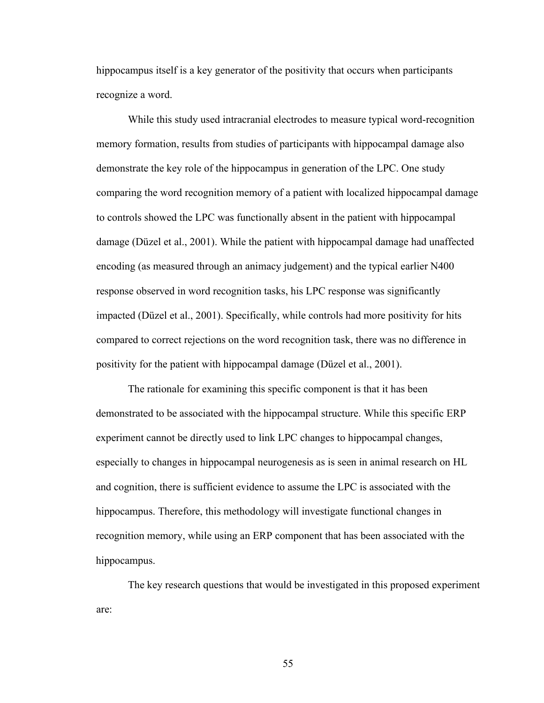hippocampus itself is a key generator of the positivity that occurs when participants recognize a word.

While this study used intracranial electrodes to measure typical word-recognition memory formation, results from studies of participants with hippocampal damage also demonstrate the key role of the hippocampus in generation of the LPC. One study comparing the word recognition memory of a patient with localized hippocampal damage to controls showed the LPC was functionally absent in the patient with hippocampal damage (Düzel et al., 2001). While the patient with hippocampal damage had unaffected encoding (as measured through an animacy judgement) and the typical earlier N400 response observed in word recognition tasks, his LPC response was significantly impacted (Düzel et al., 2001). Specifically, while controls had more positivity for hits compared to correct rejections on the word recognition task, there was no difference in positivity for the patient with hippocampal damage (Düzel et al., 2001).

The rationale for examining this specific component is that it has been demonstrated to be associated with the hippocampal structure. While this specific ERP experiment cannot be directly used to link LPC changes to hippocampal changes, especially to changes in hippocampal neurogenesis as is seen in animal research on HL and cognition, there is sufficient evidence to assume the LPC is associated with the hippocampus. Therefore, this methodology will investigate functional changes in recognition memory, while using an ERP component that has been associated with the hippocampus.

The key research questions that would be investigated in this proposed experiment are: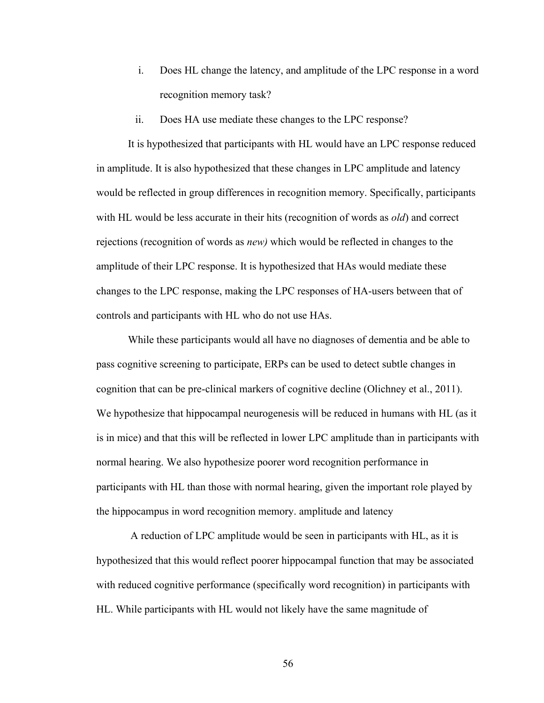- i. Does HL change the latency, and amplitude of the LPC response in a word recognition memory task?
- ii. Does HA use mediate these changes to the LPC response?

It is hypothesized that participants with HL would have an LPC response reduced in amplitude. It is also hypothesized that these changes in LPC amplitude and latency would be reflected in group differences in recognition memory. Specifically, participants with HL would be less accurate in their hits (recognition of words as *old*) and correct rejections (recognition of words as *new)* which would be reflected in changes to the amplitude of their LPC response. It is hypothesized that HAs would mediate these changes to the LPC response, making the LPC responses of HA-users between that of controls and participants with HL who do not use HAs.

While these participants would all have no diagnoses of dementia and be able to pass cognitive screening to participate, ERPs can be used to detect subtle changes in cognition that can be pre-clinical markers of cognitive decline (Olichney et al., 2011). We hypothesize that hippocampal neurogenesis will be reduced in humans with HL (as it is in mice) and that this will be reflected in lower LPC amplitude than in participants with normal hearing. We also hypothesize poorer word recognition performance in participants with HL than those with normal hearing, given the important role played by the hippocampus in word recognition memory. amplitude and latency

A reduction of LPC amplitude would be seen in participants with HL, as it is hypothesized that this would reflect poorer hippocampal function that may be associated with reduced cognitive performance (specifically word recognition) in participants with HL. While participants with HL would not likely have the same magnitude of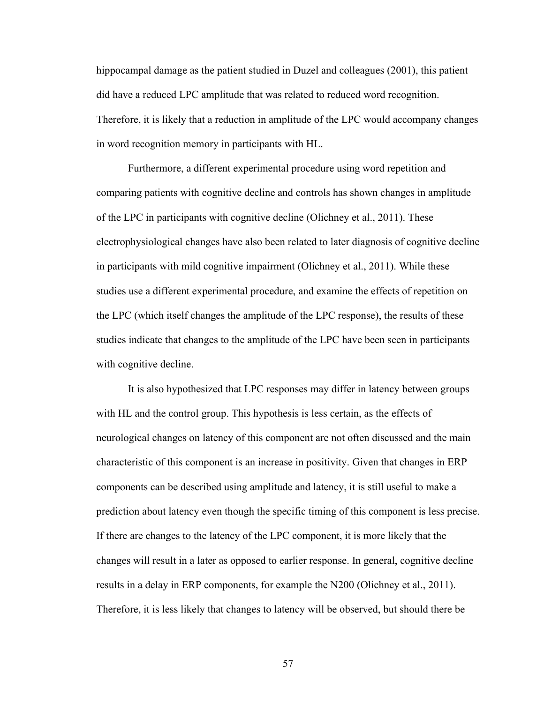hippocampal damage as the patient studied in Duzel and colleagues (2001), this patient did have a reduced LPC amplitude that was related to reduced word recognition. Therefore, it is likely that a reduction in amplitude of the LPC would accompany changes in word recognition memory in participants with HL.

Furthermore, a different experimental procedure using word repetition and comparing patients with cognitive decline and controls has shown changes in amplitude of the LPC in participants with cognitive decline (Olichney et al., 2011). These electrophysiological changes have also been related to later diagnosis of cognitive decline in participants with mild cognitive impairment (Olichney et al., 2011). While these studies use a different experimental procedure, and examine the effects of repetition on the LPC (which itself changes the amplitude of the LPC response), the results of these studies indicate that changes to the amplitude of the LPC have been seen in participants with cognitive decline.

It is also hypothesized that LPC responses may differ in latency between groups with HL and the control group. This hypothesis is less certain, as the effects of neurological changes on latency of this component are not often discussed and the main characteristic of this component is an increase in positivity. Given that changes in ERP components can be described using amplitude and latency, it is still useful to make a prediction about latency even though the specific timing of this component is less precise. If there are changes to the latency of the LPC component, it is more likely that the changes will result in a later as opposed to earlier response. In general, cognitive decline results in a delay in ERP components, for example the N200 (Olichney et al., 2011). Therefore, it is less likely that changes to latency will be observed, but should there be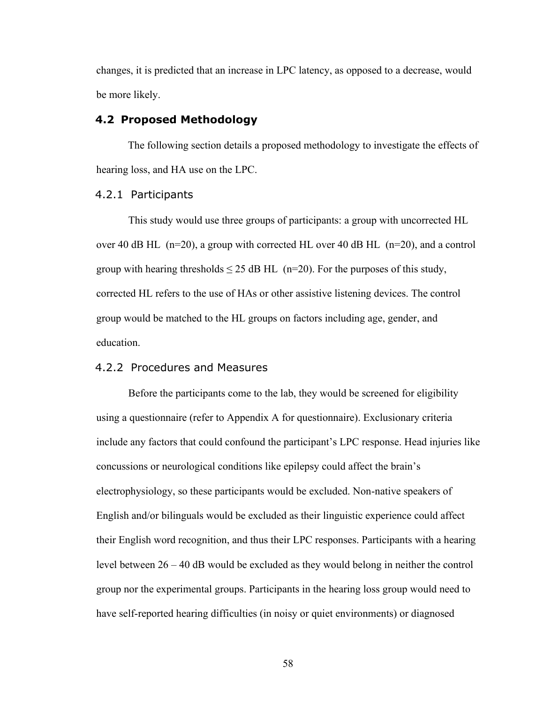changes, it is predicted that an increase in LPC latency, as opposed to a decrease, would be more likely.

### **4.2 Proposed Methodology**

The following section details a proposed methodology to investigate the effects of hearing loss, and HA use on the LPC.

### 4.2.1 Participants

This study would use three groups of participants: a group with uncorrected HL over 40 dB HL  $(n=20)$ , a group with corrected HL over 40 dB HL  $(n=20)$ , and a control group with hearing thresholds  $\leq$  25 dB HL (n=20). For the purposes of this study, corrected HL refers to the use of HAs or other assistive listening devices. The control group would be matched to the HL groups on factors including age, gender, and education.

# 4.2.2 Procedures and Measures

Before the participants come to the lab, they would be screened for eligibility using a questionnaire (refer to Appendix A for questionnaire). Exclusionary criteria include any factors that could confound the participant's LPC response. Head injuries like concussions or neurological conditions like epilepsy could affect the brain's electrophysiology, so these participants would be excluded. Non-native speakers of English and/or bilinguals would be excluded as their linguistic experience could affect their English word recognition, and thus their LPC responses. Participants with a hearing level between 26 – 40 dB would be excluded as they would belong in neither the control group nor the experimental groups. Participants in the hearing loss group would need to have self-reported hearing difficulties (in noisy or quiet environments) or diagnosed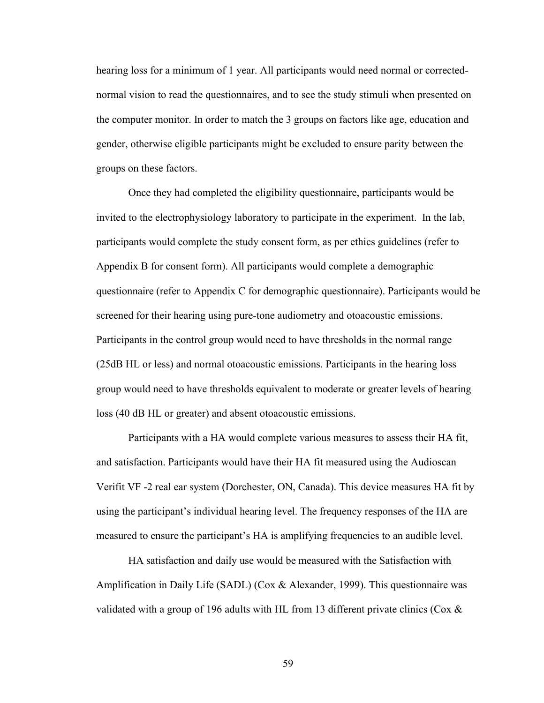hearing loss for a minimum of 1 year. All participants would need normal or correctednormal vision to read the questionnaires, and to see the study stimuli when presented on the computer monitor. In order to match the 3 groups on factors like age, education and gender, otherwise eligible participants might be excluded to ensure parity between the groups on these factors.

Once they had completed the eligibility questionnaire, participants would be invited to the electrophysiology laboratory to participate in the experiment. In the lab, participants would complete the study consent form, as per ethics guidelines (refer to Appendix B for consent form). All participants would complete a demographic questionnaire (refer to Appendix C for demographic questionnaire). Participants would be screened for their hearing using pure-tone audiometry and otoacoustic emissions. Participants in the control group would need to have thresholds in the normal range (25dB HL or less) and normal otoacoustic emissions. Participants in the hearing loss group would need to have thresholds equivalent to moderate or greater levels of hearing loss (40 dB HL or greater) and absent otoacoustic emissions.

Participants with a HA would complete various measures to assess their HA fit, and satisfaction. Participants would have their HA fit measured using the Audioscan Verifit VF -2 real ear system (Dorchester, ON, Canada). This device measures HA fit by using the participant's individual hearing level. The frequency responses of the HA are measured to ensure the participant's HA is amplifying frequencies to an audible level.

HA satisfaction and daily use would be measured with the Satisfaction with Amplification in Daily Life (SADL) (Cox & Alexander, 1999). This questionnaire was validated with a group of 196 adults with HL from 13 different private clinics (Cox &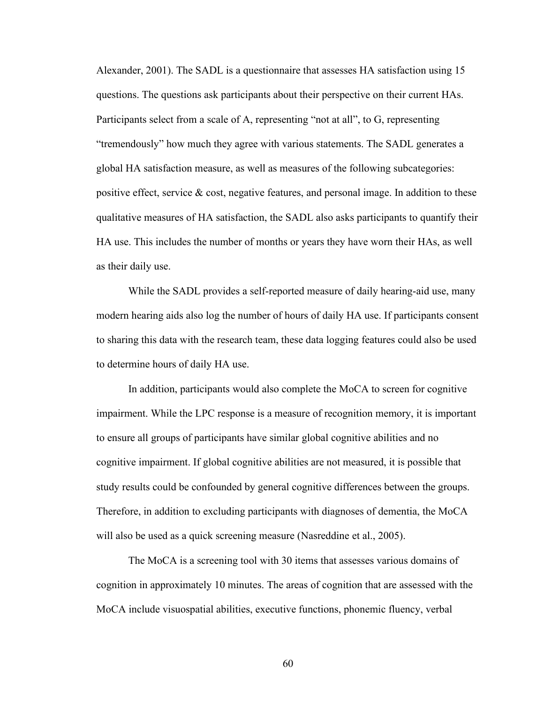Alexander, 2001). The SADL is a questionnaire that assesses HA satisfaction using 15 questions. The questions ask participants about their perspective on their current HAs. Participants select from a scale of A, representing "not at all", to G, representing "tremendously" how much they agree with various statements. The SADL generates a global HA satisfaction measure, as well as measures of the following subcategories: positive effect, service & cost, negative features, and personal image. In addition to these qualitative measures of HA satisfaction, the SADL also asks participants to quantify their HA use. This includes the number of months or years they have worn their HAs, as well as their daily use.

While the SADL provides a self-reported measure of daily hearing-aid use, many modern hearing aids also log the number of hours of daily HA use. If participants consent to sharing this data with the research team, these data logging features could also be used to determine hours of daily HA use.

In addition, participants would also complete the MoCA to screen for cognitive impairment. While the LPC response is a measure of recognition memory, it is important to ensure all groups of participants have similar global cognitive abilities and no cognitive impairment. If global cognitive abilities are not measured, it is possible that study results could be confounded by general cognitive differences between the groups. Therefore, in addition to excluding participants with diagnoses of dementia, the MoCA will also be used as a quick screening measure (Nasreddine et al., 2005).

The MoCA is a screening tool with 30 items that assesses various domains of cognition in approximately 10 minutes. The areas of cognition that are assessed with the MoCA include visuospatial abilities, executive functions, phonemic fluency, verbal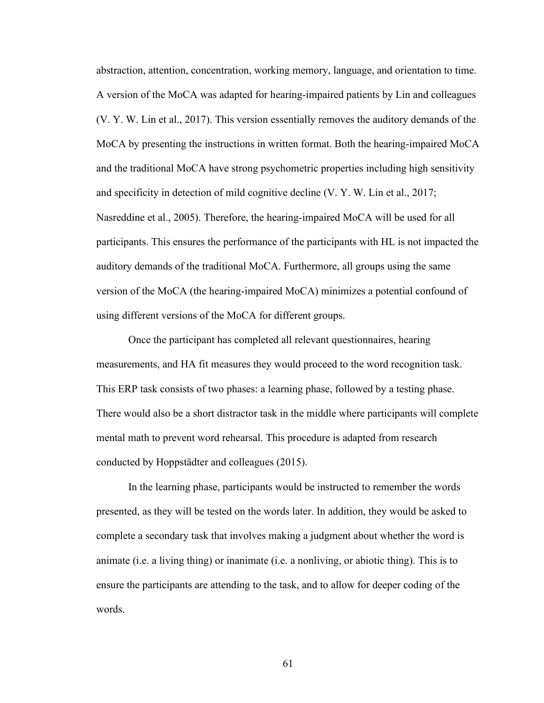abstraction, attention, concentration, working memory, language, and orientation to time. A version of the MoCA was adapted for hearing-impaired patients by Lin and colleagues (V. Y. W. Lin et al., 2017). This version essentially removes the auditory demands of the MoCA by presenting the instructions in written format. Both the hearing-impaired MoCA and the traditional MoCA have strong psychometric properties including high sensitivity and specificity in detection of mild cognitive decline (V. Y. W. Lin et al., 2017; Nasreddine et al., 2005). Therefore, the hearing-impaired MoCA will be used for all participants. This ensures the performance of the participants with HL is not impacted the auditory demands of the traditional MoCA. Furthermore, all groups using the same version of the MoCA (the hearing-impaired MoCA) minimizes a potential confound of using different versions of the MoCA for different groups.

Once the participant has completed all relevant questionnaires, hearing measurements, and HA fit measures they would proceed to the word recognition task. This ERP task consists of two phases: a learning phase, followed by a testing phase. There would also be a short distractor task in the middle where participants will complete mental math to prevent word rehearsal. This procedure is adapted from research conducted by Hoppstädter and colleagues (2015).

In the learning phase, participants would be instructed to remember the words presented, as they will be tested on the words later. In addition, they would be asked to complete a secondary task that involves making a judgment about whether the word is animate (i.e. a living thing) or inanimate (i.e. a nonliving, or abiotic thing). This is to ensure the participants are attending to the task, and to allow for deeper coding of the words.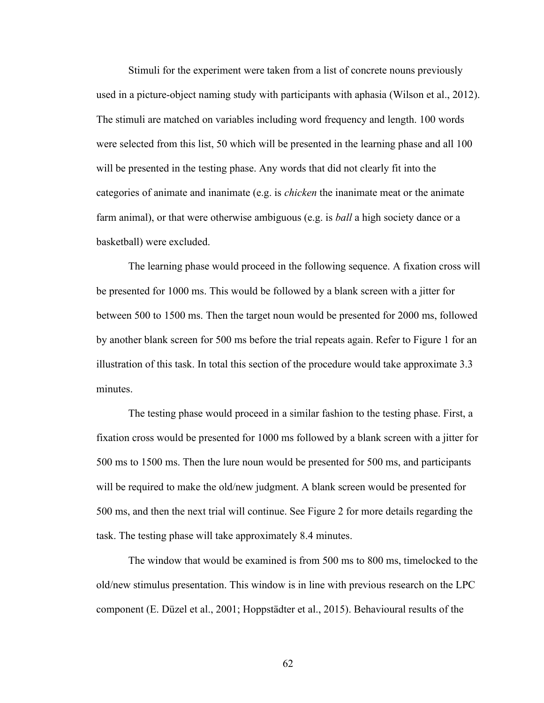Stimuli for the experiment were taken from a list of concrete nouns previously used in a picture-object naming study with participants with aphasia (Wilson et al., 2012). The stimuli are matched on variables including word frequency and length. 100 words were selected from this list, 50 which will be presented in the learning phase and all 100 will be presented in the testing phase. Any words that did not clearly fit into the categories of animate and inanimate (e.g. is *chicken* the inanimate meat or the animate farm animal), or that were otherwise ambiguous (e.g. is *ball* a high society dance or a basketball) were excluded.

The learning phase would proceed in the following sequence. A fixation cross will be presented for 1000 ms. This would be followed by a blank screen with a jitter for between 500 to 1500 ms. Then the target noun would be presented for 2000 ms, followed by another blank screen for 500 ms before the trial repeats again. Refer to Figure 1 for an illustration of this task. In total this section of the procedure would take approximate 3.3 minutes.

The testing phase would proceed in a similar fashion to the testing phase. First, a fixation cross would be presented for 1000 ms followed by a blank screen with a jitter for 500 ms to 1500 ms. Then the lure noun would be presented for 500 ms, and participants will be required to make the old/new judgment. A blank screen would be presented for 500 ms, and then the next trial will continue. See Figure 2 for more details regarding the task. The testing phase will take approximately 8.4 minutes.

The window that would be examined is from 500 ms to 800 ms, timelocked to the old/new stimulus presentation. This window is in line with previous research on the LPC component (E. Düzel et al., 2001; Hoppstädter et al., 2015). Behavioural results of the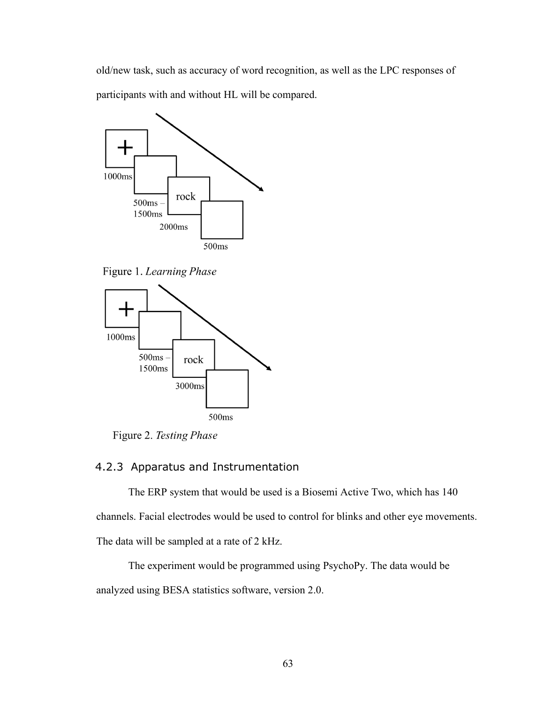old/new task, such as accuracy of word recognition, as well as the LPC responses of participants with and without HL will be compared.



Figure 1. Learning Phase



Figure 2. Testing Phase

## 4.2.3 Apparatus and Instrumentation

The ERP system that would be used is a Biosemi Active Two, which has 140 channels. Facial electrodes would be used to control for blinks and other eye movements. The data will be sampled at a rate of 2 kHz.

The experiment would be programmed using PsychoPy. The data would be analyzed using BESA statistics software, version 2.0.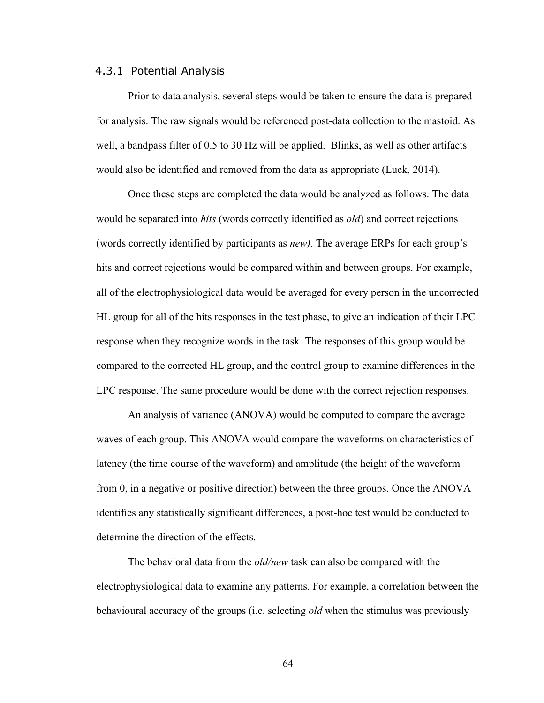#### 4.3.1 Potential Analysis

Prior to data analysis, several steps would be taken to ensure the data is prepared for analysis. The raw signals would be referenced post-data collection to the mastoid. As well, a bandpass filter of 0.5 to 30 Hz will be applied. Blinks, as well as other artifacts would also be identified and removed from the data as appropriate (Luck, 2014).

Once these steps are completed the data would be analyzed as follows. The data would be separated into *hits* (words correctly identified as *old*) and correct rejections (words correctly identified by participants as *new).* The average ERPs for each group's hits and correct rejections would be compared within and between groups. For example, all of the electrophysiological data would be averaged for every person in the uncorrected HL group for all of the hits responses in the test phase, to give an indication of their LPC response when they recognize words in the task. The responses of this group would be compared to the corrected HL group, and the control group to examine differences in the LPC response. The same procedure would be done with the correct rejection responses.

An analysis of variance (ANOVA) would be computed to compare the average waves of each group. This ANOVA would compare the waveforms on characteristics of latency (the time course of the waveform) and amplitude (the height of the waveform from 0, in a negative or positive direction) between the three groups. Once the ANOVA identifies any statistically significant differences, a post-hoc test would be conducted to determine the direction of the effects.

The behavioral data from the *old/new* task can also be compared with the electrophysiological data to examine any patterns. For example, a correlation between the behavioural accuracy of the groups (i.e. selecting *old* when the stimulus was previously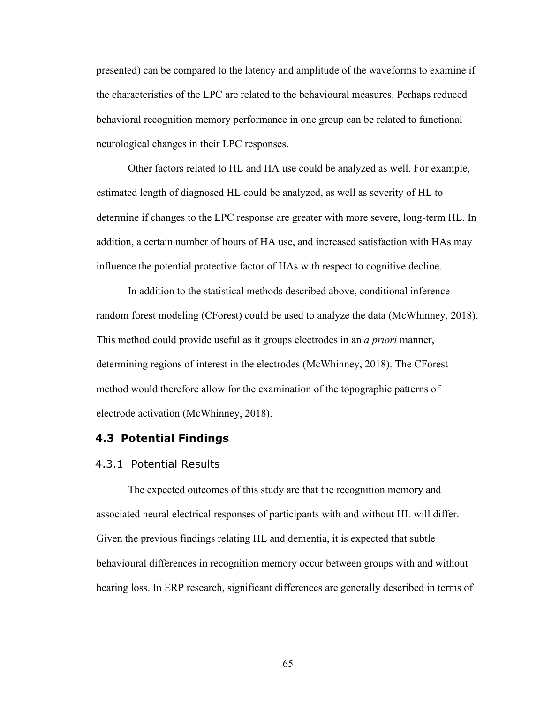presented) can be compared to the latency and amplitude of the waveforms to examine if the characteristics of the LPC are related to the behavioural measures. Perhaps reduced behavioral recognition memory performance in one group can be related to functional neurological changes in their LPC responses.

Other factors related to HL and HA use could be analyzed as well. For example, estimated length of diagnosed HL could be analyzed, as well as severity of HL to determine if changes to the LPC response are greater with more severe, long-term HL. In addition, a certain number of hours of HA use, and increased satisfaction with HAs may influence the potential protective factor of HAs with respect to cognitive decline.

In addition to the statistical methods described above, conditional inference random forest modeling (CForest) could be used to analyze the data (McWhinney, 2018). This method could provide useful as it groups electrodes in an *a priori* manner, determining regions of interest in the electrodes (McWhinney, 2018). The CForest method would therefore allow for the examination of the topographic patterns of electrode activation (McWhinney, 2018).

#### **4.3 Potential Findings**

#### 4.3.1 Potential Results

The expected outcomes of this study are that the recognition memory and associated neural electrical responses of participants with and without HL will differ. Given the previous findings relating HL and dementia, it is expected that subtle behavioural differences in recognition memory occur between groups with and without hearing loss. In ERP research, significant differences are generally described in terms of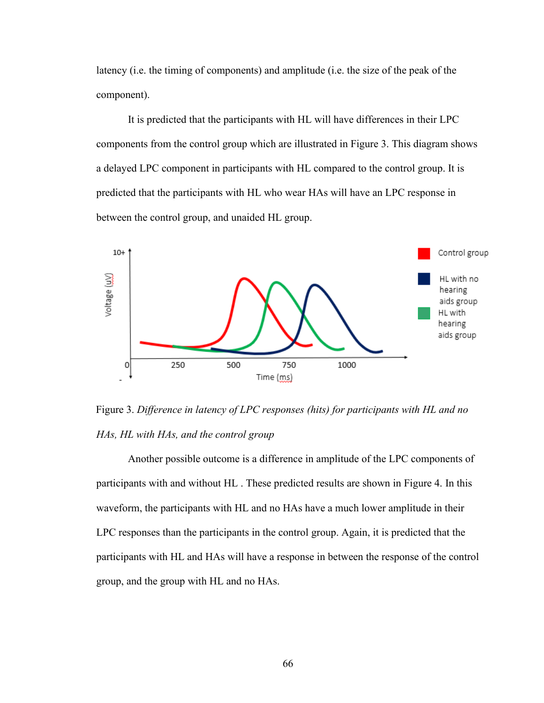latency (i.e. the timing of components) and amplitude (i.e. the size of the peak of the component).

It is predicted that the participants with HL will have differences in their LPC components from the control group which are illustrated in Figure 3. This diagram shows a delayed LPC component in participants with HL compared to the control group. It is predicted that the participants with HL who wear HAs will have an LPC response in between the control group, and unaided HL group.



Figure 3. *Difference in latency of LPC responses (hits) for participants with HL and no HAs, HL with HAs, and the control group*

Another possible outcome is a difference in amplitude of the LPC components of participants with and without HL . These predicted results are shown in Figure 4. In this waveform, the participants with HL and no HAs have a much lower amplitude in their LPC responses than the participants in the control group. Again, it is predicted that the participants with HL and HAs will have a response in between the response of the control group, and the group with HL and no HAs.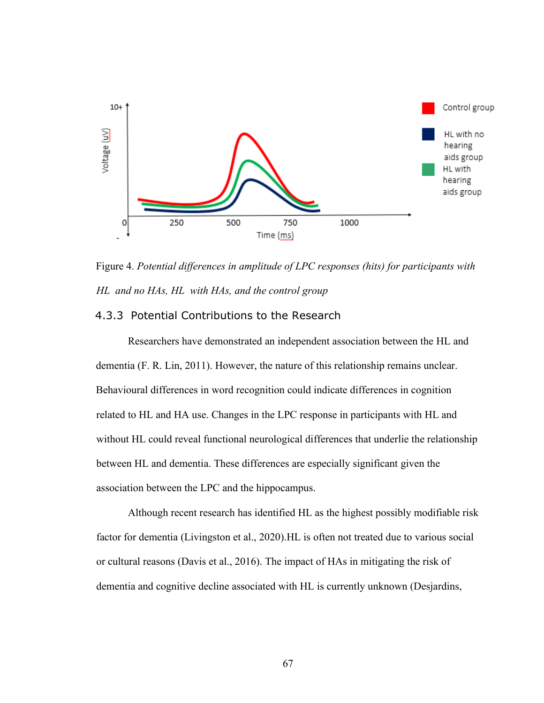

Figure 4. *Potential differences in amplitude of LPC responses (hits) for participants with HL and no HAs, HL with HAs, and the control group*

## 4.3.3 Potential Contributions to the Research

Researchers have demonstrated an independent association between the HL and dementia (F. R. Lin, 2011). However, the nature of this relationship remains unclear. Behavioural differences in word recognition could indicate differences in cognition related to HL and HA use. Changes in the LPC response in participants with HL and without HL could reveal functional neurological differences that underlie the relationship between HL and dementia. These differences are especially significant given the association between the LPC and the hippocampus.

Although recent research has identified HL as the highest possibly modifiable risk factor for dementia (Livingston et al., 2020).HL is often not treated due to various social or cultural reasons (Davis et al., 2016). The impact of HAs in mitigating the risk of dementia and cognitive decline associated with HL is currently unknown (Desjardins,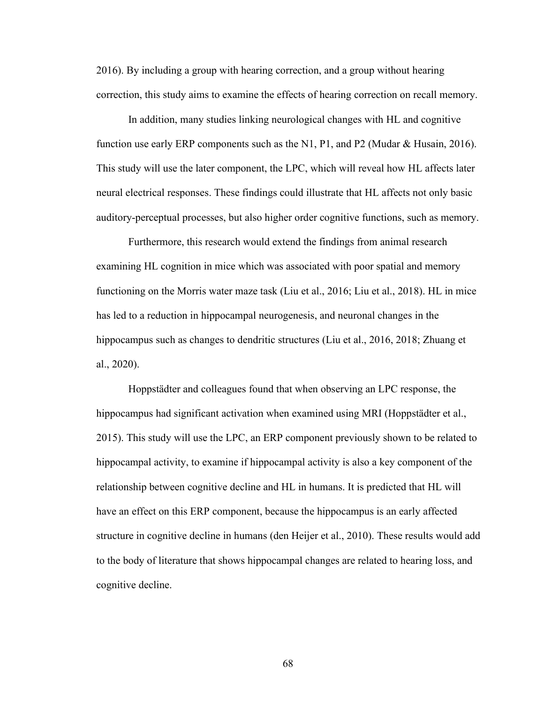2016). By including a group with hearing correction, and a group without hearing correction, this study aims to examine the effects of hearing correction on recall memory.

In addition, many studies linking neurological changes with HL and cognitive function use early ERP components such as the N1, P1, and P2 (Mudar & Husain, 2016). This study will use the later component, the LPC, which will reveal how HL affects later neural electrical responses. These findings could illustrate that HL affects not only basic auditory-perceptual processes, but also higher order cognitive functions, such as memory.

Furthermore, this research would extend the findings from animal research examining HL cognition in mice which was associated with poor spatial and memory functioning on the Morris water maze task (Liu et al., 2016; Liu et al., 2018). HL in mice has led to a reduction in hippocampal neurogenesis, and neuronal changes in the hippocampus such as changes to dendritic structures (Liu et al., 2016, 2018; Zhuang et al., 2020).

Hoppstädter and colleagues found that when observing an LPC response, the hippocampus had significant activation when examined using MRI (Hoppstädter et al., 2015). This study will use the LPC, an ERP component previously shown to be related to hippocampal activity, to examine if hippocampal activity is also a key component of the relationship between cognitive decline and HL in humans. It is predicted that HL will have an effect on this ERP component, because the hippocampus is an early affected structure in cognitive decline in humans (den Heijer et al., 2010). These results would add to the body of literature that shows hippocampal changes are related to hearing loss, and cognitive decline.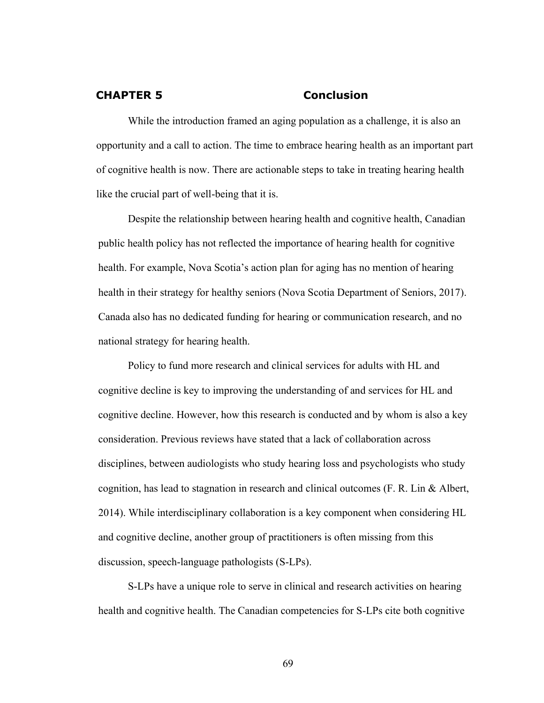#### **CHAPTER 5 Conclusion**

While the introduction framed an aging population as a challenge, it is also an opportunity and a call to action. The time to embrace hearing health as an important part of cognitive health is now. There are actionable steps to take in treating hearing health like the crucial part of well-being that it is.

Despite the relationship between hearing health and cognitive health, Canadian public health policy has not reflected the importance of hearing health for cognitive health. For example, Nova Scotia's action plan for aging has no mention of hearing health in their strategy for healthy seniors (Nova Scotia Department of Seniors, 2017). Canada also has no dedicated funding for hearing or communication research, and no national strategy for hearing health.

Policy to fund more research and clinical services for adults with HL and cognitive decline is key to improving the understanding of and services for HL and cognitive decline. However, how this research is conducted and by whom is also a key consideration. Previous reviews have stated that a lack of collaboration across disciplines, between audiologists who study hearing loss and psychologists who study cognition, has lead to stagnation in research and clinical outcomes  $(F. R. Lin & Albert,$ 2014). While interdisciplinary collaboration is a key component when considering HL and cognitive decline, another group of practitioners is often missing from this discussion, speech-language pathologists (S-LPs).

S-LPs have a unique role to serve in clinical and research activities on hearing health and cognitive health. The Canadian competencies for S-LPs cite both cognitive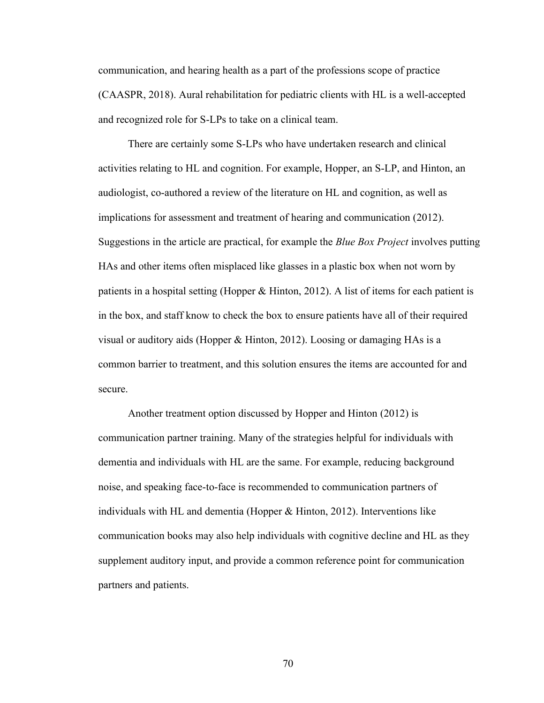communication, and hearing health as a part of the professions scope of practice (CAASPR, 2018). Aural rehabilitation for pediatric clients with HL is a well-accepted and recognized role for S-LPs to take on a clinical team.

There are certainly some S-LPs who have undertaken research and clinical activities relating to HL and cognition. For example, Hopper, an S-LP, and Hinton, an audiologist, co-authored a review of the literature on HL and cognition, as well as implications for assessment and treatment of hearing and communication (2012). Suggestions in the article are practical, for example the *Blue Box Project* involves putting HAs and other items often misplaced like glasses in a plastic box when not worn by patients in a hospital setting (Hopper & Hinton, 2012). A list of items for each patient is in the box, and staff know to check the box to ensure patients have all of their required visual or auditory aids (Hopper & Hinton, 2012). Loosing or damaging HAs is a common barrier to treatment, and this solution ensures the items are accounted for and secure.

Another treatment option discussed by Hopper and Hinton (2012) is communication partner training. Many of the strategies helpful for individuals with dementia and individuals with HL are the same. For example, reducing background noise, and speaking face-to-face is recommended to communication partners of individuals with HL and dementia (Hopper & Hinton, 2012). Interventions like communication books may also help individuals with cognitive decline and HL as they supplement auditory input, and provide a common reference point for communication partners and patients.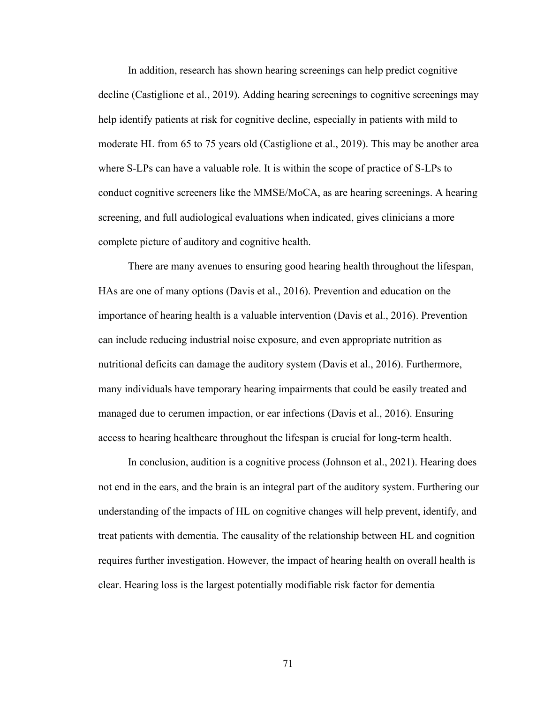In addition, research has shown hearing screenings can help predict cognitive decline (Castiglione et al., 2019). Adding hearing screenings to cognitive screenings may help identify patients at risk for cognitive decline, especially in patients with mild to moderate HL from 65 to 75 years old (Castiglione et al., 2019). This may be another area where S-LPs can have a valuable role. It is within the scope of practice of S-LPs to conduct cognitive screeners like the MMSE/MoCA, as are hearing screenings. A hearing screening, and full audiological evaluations when indicated, gives clinicians a more complete picture of auditory and cognitive health.

There are many avenues to ensuring good hearing health throughout the lifespan, HAs are one of many options (Davis et al., 2016). Prevention and education on the importance of hearing health is a valuable intervention (Davis et al., 2016). Prevention can include reducing industrial noise exposure, and even appropriate nutrition as nutritional deficits can damage the auditory system (Davis et al., 2016). Furthermore, many individuals have temporary hearing impairments that could be easily treated and managed due to cerumen impaction, or ear infections (Davis et al., 2016). Ensuring access to hearing healthcare throughout the lifespan is crucial for long-term health.

In conclusion, audition is a cognitive process (Johnson et al., 2021). Hearing does not end in the ears, and the brain is an integral part of the auditory system. Furthering our understanding of the impacts of HL on cognitive changes will help prevent, identify, and treat patients with dementia. The causality of the relationship between HL and cognition requires further investigation. However, the impact of hearing health on overall health is clear. Hearing loss is the largest potentially modifiable risk factor for dementia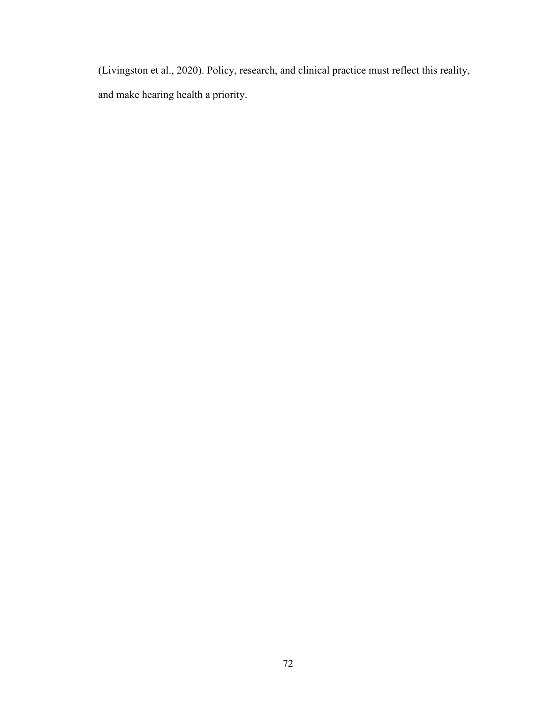(Livingston et al., 2020). Policy, research, and clinical practice must reflect this reality, and make hearing health a priority.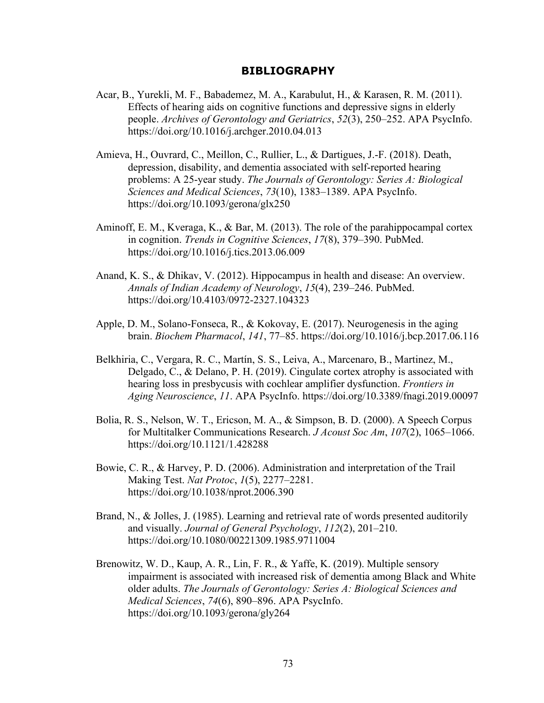#### **BIBLIOGRAPHY**

- Acar, B., Yurekli, M. F., Babademez, M. A., Karabulut, H., & Karasen, R. M. (2011). Effects of hearing aids on cognitive functions and depressive signs in elderly people. *Archives of Gerontology and Geriatrics*, *52*(3), 250–252. APA PsycInfo. https://doi.org/10.1016/j.archger.2010.04.013
- Amieva, H., Ouvrard, C., Meillon, C., Rullier, L., & Dartigues, J.-F. (2018). Death, depression, disability, and dementia associated with self-reported hearing problems: A 25-year study. *The Journals of Gerontology: Series A: Biological Sciences and Medical Sciences*, *73*(10), 1383–1389. APA PsycInfo. https://doi.org/10.1093/gerona/glx250
- Aminoff, E. M., Kveraga, K., & Bar, M. (2013). The role of the parahippocampal cortex in cognition. *Trends in Cognitive Sciences*, *17*(8), 379–390. PubMed. https://doi.org/10.1016/j.tics.2013.06.009
- Anand, K. S., & Dhikav, V. (2012). Hippocampus in health and disease: An overview. *Annals of Indian Academy of Neurology*, *15*(4), 239–246. PubMed. https://doi.org/10.4103/0972-2327.104323
- Apple, D. M., Solano-Fonseca, R., & Kokovay, E. (2017). Neurogenesis in the aging brain. *Biochem Pharmacol*, *141*, 77–85. https://doi.org/10.1016/j.bcp.2017.06.116
- Belkhiria, C., Vergara, R. C., Martín, S. S., Leiva, A., Marcenaro, B., Martinez, M., Delgado, C., & Delano, P. H. (2019). Cingulate cortex atrophy is associated with hearing loss in presbycusis with cochlear amplifier dysfunction. *Frontiers in Aging Neuroscience*, *11*. APA PsycInfo. https://doi.org/10.3389/fnagi.2019.00097
- Bolia, R. S., Nelson, W. T., Ericson, M. A., & Simpson, B. D. (2000). A Speech Corpus for Multitalker Communications Research. *J Acoust Soc Am*, *107*(2), 1065–1066. https://doi.org/10.1121/1.428288
- Bowie, C. R., & Harvey, P. D. (2006). Administration and interpretation of the Trail Making Test. *Nat Protoc*, *1*(5), 2277–2281. https://doi.org/10.1038/nprot.2006.390
- Brand, N., & Jolles, J. (1985). Learning and retrieval rate of words presented auditorily and visually. *Journal of General Psychology*, *112*(2), 201–210. https://doi.org/10.1080/00221309.1985.9711004
- Brenowitz, W. D., Kaup, A. R., Lin, F. R., & Yaffe, K. (2019). Multiple sensory impairment is associated with increased risk of dementia among Black and White older adults. *The Journals of Gerontology: Series A: Biological Sciences and Medical Sciences*, *74*(6), 890–896. APA PsycInfo. https://doi.org/10.1093/gerona/gly264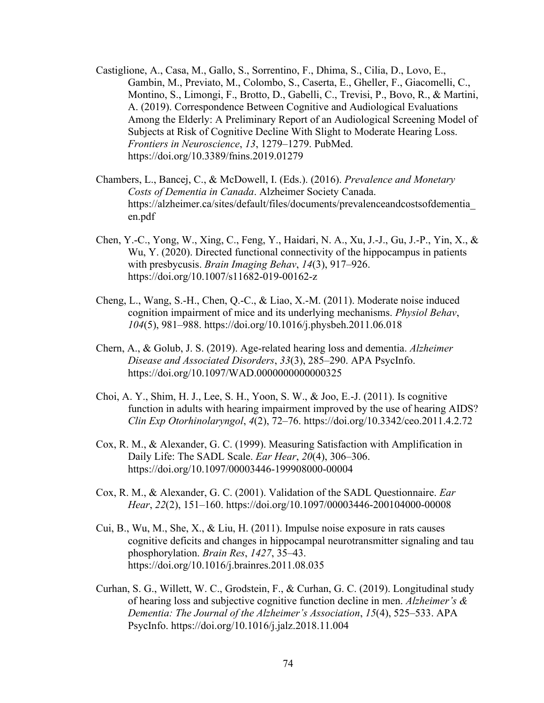- Castiglione, A., Casa, M., Gallo, S., Sorrentino, F., Dhima, S., Cilia, D., Lovo, E., Gambin, M., Previato, M., Colombo, S., Caserta, E., Gheller, F., Giacomelli, C., Montino, S., Limongi, F., Brotto, D., Gabelli, C., Trevisi, P., Bovo, R., & Martini, A. (2019). Correspondence Between Cognitive and Audiological Evaluations Among the Elderly: A Preliminary Report of an Audiological Screening Model of Subjects at Risk of Cognitive Decline With Slight to Moderate Hearing Loss. *Frontiers in Neuroscience*, *13*, 1279–1279. PubMed. https://doi.org/10.3389/fnins.2019.01279
- Chambers, L., Bancej, C., & McDowell, I. (Eds.). (2016). *Prevalence and Monetary Costs of Dementia in Canada*. Alzheimer Society Canada. https://alzheimer.ca/sites/default/files/documents/prevalenceandcostsofdementia\_ en.pdf
- Chen, Y.-C., Yong, W., Xing, C., Feng, Y., Haidari, N. A., Xu, J.-J., Gu, J.-P., Yin, X., & Wu, Y. (2020). Directed functional connectivity of the hippocampus in patients with presbycusis. *Brain Imaging Behav*, *14*(3), 917–926. https://doi.org/10.1007/s11682-019-00162-z
- Cheng, L., Wang, S.-H., Chen, Q.-C., & Liao, X.-M. (2011). Moderate noise induced cognition impairment of mice and its underlying mechanisms. *Physiol Behav*, *104*(5), 981–988. https://doi.org/10.1016/j.physbeh.2011.06.018
- Chern, A., & Golub, J. S. (2019). Age-related hearing loss and dementia. *Alzheimer Disease and Associated Disorders*, *33*(3), 285–290. APA PsycInfo. https://doi.org/10.1097/WAD.0000000000000325
- Choi, A. Y., Shim, H. J., Lee, S. H., Yoon, S. W., & Joo, E.-J. (2011). Is cognitive function in adults with hearing impairment improved by the use of hearing AIDS? *Clin Exp Otorhinolaryngol*, *4*(2), 72–76. https://doi.org/10.3342/ceo.2011.4.2.72
- Cox, R. M., & Alexander, G. C. (1999). Measuring Satisfaction with Amplification in Daily Life: The SADL Scale. *Ear Hear*, *20*(4), 306–306. https://doi.org/10.1097/00003446-199908000-00004
- Cox, R. M., & Alexander, G. C. (2001). Validation of the SADL Questionnaire. *Ear Hear*, *22*(2), 151–160. https://doi.org/10.1097/00003446-200104000-00008
- Cui, B., Wu, M., She, X., & Liu, H. (2011). Impulse noise exposure in rats causes cognitive deficits and changes in hippocampal neurotransmitter signaling and tau phosphorylation. *Brain Res*, *1427*, 35–43. https://doi.org/10.1016/j.brainres.2011.08.035
- Curhan, S. G., Willett, W. C., Grodstein, F., & Curhan, G. C. (2019). Longitudinal study of hearing loss and subjective cognitive function decline in men. *Alzheimer's & Dementia: The Journal of the Alzheimer's Association*, *15*(4), 525–533. APA PsycInfo. https://doi.org/10.1016/j.jalz.2018.11.004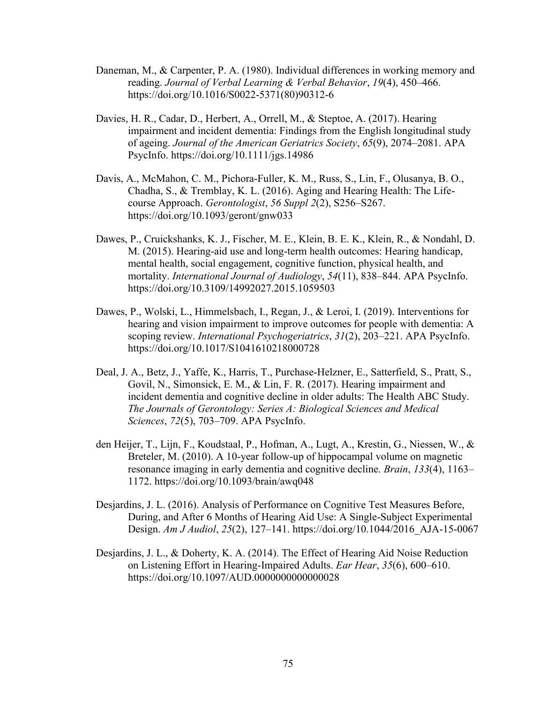- Daneman, M., & Carpenter, P. A. (1980). Individual differences in working memory and reading. *Journal of Verbal Learning & Verbal Behavior*, *19*(4), 450–466. https://doi.org/10.1016/S0022-5371(80)90312-6
- Davies, H. R., Cadar, D., Herbert, A., Orrell, M., & Steptoe, A. (2017). Hearing impairment and incident dementia: Findings from the English longitudinal study of ageing. *Journal of the American Geriatrics Society*, *65*(9), 2074–2081. APA PsycInfo. https://doi.org/10.1111/jgs.14986
- Davis, A., McMahon, C. M., Pichora-Fuller, K. M., Russ, S., Lin, F., Olusanya, B. O., Chadha, S., & Tremblay, K. L. (2016). Aging and Hearing Health: The Lifecourse Approach. *Gerontologist*, *56 Suppl 2*(2), S256–S267. https://doi.org/10.1093/geront/gnw033
- Dawes, P., Cruickshanks, K. J., Fischer, M. E., Klein, B. E. K., Klein, R., & Nondahl, D. M. (2015). Hearing-aid use and long-term health outcomes: Hearing handicap, mental health, social engagement, cognitive function, physical health, and mortality. *International Journal of Audiology*, *54*(11), 838–844. APA PsycInfo. https://doi.org/10.3109/14992027.2015.1059503
- Dawes, P., Wolski, L., Himmelsbach, I., Regan, J., & Leroi, I. (2019). Interventions for hearing and vision impairment to improve outcomes for people with dementia: A scoping review. *International Psychogeriatrics*, *31*(2), 203–221. APA PsycInfo. https://doi.org/10.1017/S1041610218000728
- Deal, J. A., Betz, J., Yaffe, K., Harris, T., Purchase-Helzner, E., Satterfield, S., Pratt, S., Govil, N., Simonsick, E. M., & Lin, F. R. (2017). Hearing impairment and incident dementia and cognitive decline in older adults: The Health ABC Study. *The Journals of Gerontology: Series A: Biological Sciences and Medical Sciences*, *72*(5), 703–709. APA PsycInfo.
- den Heijer, T., Lijn, F., Koudstaal, P., Hofman, A., Lugt, A., Krestin, G., Niessen, W., & Breteler, M. (2010). A 10-year follow-up of hippocampal volume on magnetic resonance imaging in early dementia and cognitive decline. *Brain*, *133*(4), 1163– 1172. https://doi.org/10.1093/brain/awq048
- Desjardins, J. L. (2016). Analysis of Performance on Cognitive Test Measures Before, During, and After 6 Months of Hearing Aid Use: A Single-Subject Experimental Design. *Am J Audiol*, *25*(2), 127–141. https://doi.org/10.1044/2016\_AJA-15-0067
- Desjardins, J. L., & Doherty, K. A. (2014). The Effect of Hearing Aid Noise Reduction on Listening Effort in Hearing-Impaired Adults. *Ear Hear*, *35*(6), 600–610. https://doi.org/10.1097/AUD.0000000000000028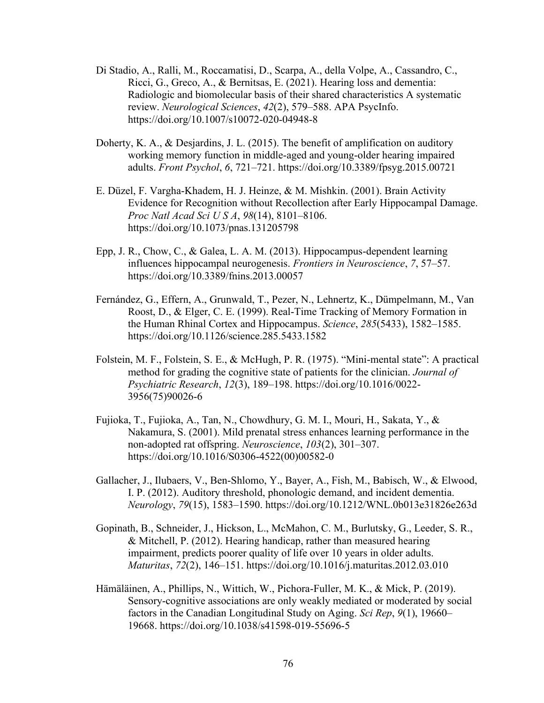- Di Stadio, A., Ralli, M., Roccamatisi, D., Scarpa, A., della Volpe, A., Cassandro, C., Ricci, G., Greco, A., & Bernitsas, E. (2021). Hearing loss and dementia: Radiologic and biomolecular basis of their shared characteristics A systematic review. *Neurological Sciences*, *42*(2), 579–588. APA PsycInfo. https://doi.org/10.1007/s10072-020-04948-8
- Doherty, K. A., & Desjardins, J. L. (2015). The benefit of amplification on auditory working memory function in middle-aged and young-older hearing impaired adults. *Front Psychol*, *6*, 721–721. https://doi.org/10.3389/fpsyg.2015.00721
- E. Düzel, F. Vargha-Khadem, H. J. Heinze, & M. Mishkin. (2001). Brain Activity Evidence for Recognition without Recollection after Early Hippocampal Damage. *Proc Natl Acad Sci U S A*, *98*(14), 8101–8106. https://doi.org/10.1073/pnas.131205798
- Epp, J. R., Chow, C., & Galea, L. A. M. (2013). Hippocampus-dependent learning influences hippocampal neurogenesis. *Frontiers in Neuroscience*, *7*, 57–57. https://doi.org/10.3389/fnins.2013.00057
- Fernández, G., Effern, A., Grunwald, T., Pezer, N., Lehnertz, K., Dümpelmann, M., Van Roost, D., & Elger, C. E. (1999). Real-Time Tracking of Memory Formation in the Human Rhinal Cortex and Hippocampus. *Science*, *285*(5433), 1582–1585. https://doi.org/10.1126/science.285.5433.1582
- Folstein, M. F., Folstein, S. E., & McHugh, P. R. (1975). "Mini-mental state": A practical method for grading the cognitive state of patients for the clinician. *Journal of Psychiatric Research*, *12*(3), 189–198. https://doi.org/10.1016/0022- 3956(75)90026-6
- Fujioka, T., Fujioka, A., Tan, N., Chowdhury, G. M. I., Mouri, H., Sakata, Y., & Nakamura, S. (2001). Mild prenatal stress enhances learning performance in the non-adopted rat offspring. *Neuroscience*, *103*(2), 301–307. https://doi.org/10.1016/S0306-4522(00)00582-0
- Gallacher, J., Ilubaers, V., Ben-Shlomo, Y., Bayer, A., Fish, M., Babisch, W., & Elwood, I. P. (2012). Auditory threshold, phonologic demand, and incident dementia. *Neurology*, *79*(15), 1583–1590. https://doi.org/10.1212/WNL.0b013e31826e263d
- Gopinath, B., Schneider, J., Hickson, L., McMahon, C. M., Burlutsky, G., Leeder, S. R., & Mitchell, P. (2012). Hearing handicap, rather than measured hearing impairment, predicts poorer quality of life over 10 years in older adults. *Maturitas*, *72*(2), 146–151. https://doi.org/10.1016/j.maturitas.2012.03.010
- Hämäläinen, A., Phillips, N., Wittich, W., Pichora-Fuller, M. K., & Mick, P. (2019). Sensory-cognitive associations are only weakly mediated or moderated by social factors in the Canadian Longitudinal Study on Aging. *Sci Rep*, *9*(1), 19660– 19668. https://doi.org/10.1038/s41598-019-55696-5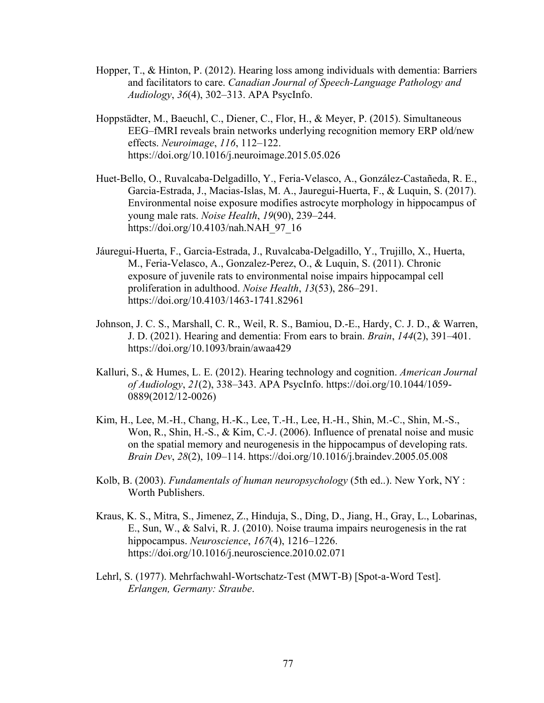- Hopper, T., & Hinton, P. (2012). Hearing loss among individuals with dementia: Barriers and facilitators to care. *Canadian Journal of Speech-Language Pathology and Audiology*, *36*(4), 302–313. APA PsycInfo.
- Hoppstädter, M., Baeuchl, C., Diener, C., Flor, H., & Meyer, P. (2015). Simultaneous EEG–fMRI reveals brain networks underlying recognition memory ERP old/new effects. *Neuroimage*, *116*, 112–122. https://doi.org/10.1016/j.neuroimage.2015.05.026
- Huet-Bello, O., Ruvalcaba-Delgadillo, Y., Feria-Velasco, A., González-Castañeda, R. E., Garcia-Estrada, J., Macias-Islas, M. A., Jauregui-Huerta, F., & Luquin, S. (2017). Environmental noise exposure modifies astrocyte morphology in hippocampus of young male rats. *Noise Health*, *19*(90), 239–244. https://doi.org/10.4103/nah.NAH\_97\_16
- Jáuregui-Huerta, F., Garcia-Estrada, J., Ruvalcaba-Delgadillo, Y., Trujillo, X., Huerta, M., Feria-Velasco, A., Gonzalez-Perez, O., & Luquin, S. (2011). Chronic exposure of juvenile rats to environmental noise impairs hippocampal cell proliferation in adulthood. *Noise Health*, *13*(53), 286–291. https://doi.org/10.4103/1463-1741.82961
- Johnson, J. C. S., Marshall, C. R., Weil, R. S., Bamiou, D.-E., Hardy, C. J. D., & Warren, J. D. (2021). Hearing and dementia: From ears to brain. *Brain*, *144*(2), 391–401. https://doi.org/10.1093/brain/awaa429
- Kalluri, S., & Humes, L. E. (2012). Hearing technology and cognition. *American Journal of Audiology*, *21*(2), 338–343. APA PsycInfo. https://doi.org/10.1044/1059- 0889(2012/12-0026)
- Kim, H., Lee, M.-H., Chang, H.-K., Lee, T.-H., Lee, H.-H., Shin, M.-C., Shin, M.-S., Won, R., Shin, H.-S., & Kim, C.-J. (2006). Influence of prenatal noise and music on the spatial memory and neurogenesis in the hippocampus of developing rats. *Brain Dev*, *28*(2), 109–114. https://doi.org/10.1016/j.braindev.2005.05.008
- Kolb, B. (2003). *Fundamentals of human neuropsychology* (5th ed..). New York, NY : Worth Publishers.
- Kraus, K. S., Mitra, S., Jimenez, Z., Hinduja, S., Ding, D., Jiang, H., Gray, L., Lobarinas, E., Sun, W., & Salvi, R. J. (2010). Noise trauma impairs neurogenesis in the rat hippocampus. *Neuroscience*, *167*(4), 1216–1226. https://doi.org/10.1016/j.neuroscience.2010.02.071
- Lehrl, S. (1977). Mehrfachwahl-Wortschatz-Test (MWT-B) [Spot-a-Word Test]. *Erlangen, Germany: Straube*.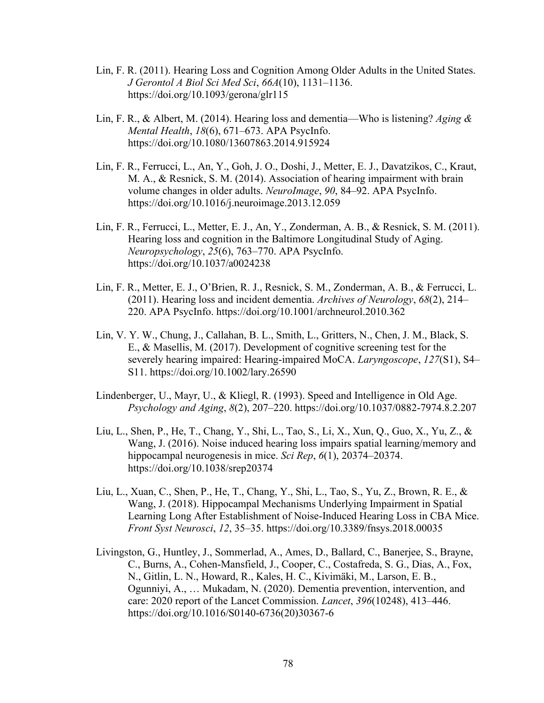- Lin, F. R. (2011). Hearing Loss and Cognition Among Older Adults in the United States. *J Gerontol A Biol Sci Med Sci*, *66A*(10), 1131–1136. https://doi.org/10.1093/gerona/glr115
- Lin, F. R., & Albert, M. (2014). Hearing loss and dementia—Who is listening? *Aging & Mental Health*, *18*(6), 671–673. APA PsycInfo. https://doi.org/10.1080/13607863.2014.915924
- Lin, F. R., Ferrucci, L., An, Y., Goh, J. O., Doshi, J., Metter, E. J., Davatzikos, C., Kraut, M. A., & Resnick, S. M. (2014). Association of hearing impairment with brain volume changes in older adults. *NeuroImage*, *90*, 84–92. APA PsycInfo. https://doi.org/10.1016/j.neuroimage.2013.12.059
- Lin, F. R., Ferrucci, L., Metter, E. J., An, Y., Zonderman, A. B., & Resnick, S. M. (2011). Hearing loss and cognition in the Baltimore Longitudinal Study of Aging. *Neuropsychology*, *25*(6), 763–770. APA PsycInfo. https://doi.org/10.1037/a0024238
- Lin, F. R., Metter, E. J., O'Brien, R. J., Resnick, S. M., Zonderman, A. B., & Ferrucci, L. (2011). Hearing loss and incident dementia. *Archives of Neurology*, *68*(2), 214– 220. APA PsycInfo. https://doi.org/10.1001/archneurol.2010.362
- Lin, V. Y. W., Chung, J., Callahan, B. L., Smith, L., Gritters, N., Chen, J. M., Black, S. E., & Masellis, M. (2017). Development of cognitive screening test for the severely hearing impaired: Hearing‐impaired MoCA. *Laryngoscope*, *127*(S1), S4– S11. https://doi.org/10.1002/lary.26590
- Lindenberger, U., Mayr, U., & Kliegl, R. (1993). Speed and Intelligence in Old Age. *Psychology and Aging*, *8*(2), 207–220. https://doi.org/10.1037/0882-7974.8.2.207
- Liu, L., Shen, P., He, T., Chang, Y., Shi, L., Tao, S., Li, X., Xun, Q., Guo, X., Yu, Z., & Wang, J. (2016). Noise induced hearing loss impairs spatial learning/memory and hippocampal neurogenesis in mice. *Sci Rep*, *6*(1), 20374–20374. https://doi.org/10.1038/srep20374
- Liu, L., Xuan, C., Shen, P., He, T., Chang, Y., Shi, L., Tao, S., Yu, Z., Brown, R. E., & Wang, J. (2018). Hippocampal Mechanisms Underlying Impairment in Spatial Learning Long After Establishment of Noise-Induced Hearing Loss in CBA Mice. *Front Syst Neurosci*, *12*, 35–35. https://doi.org/10.3389/fnsys.2018.00035
- Livingston, G., Huntley, J., Sommerlad, A., Ames, D., Ballard, C., Banerjee, S., Brayne, C., Burns, A., Cohen-Mansfield, J., Cooper, C., Costafreda, S. G., Dias, A., Fox, N., Gitlin, L. N., Howard, R., Kales, H. C., Kivimäki, M., Larson, E. B., Ogunniyi, A., … Mukadam, N. (2020). Dementia prevention, intervention, and care: 2020 report of the Lancet Commission. *Lancet*, *396*(10248), 413–446. https://doi.org/10.1016/S0140-6736(20)30367-6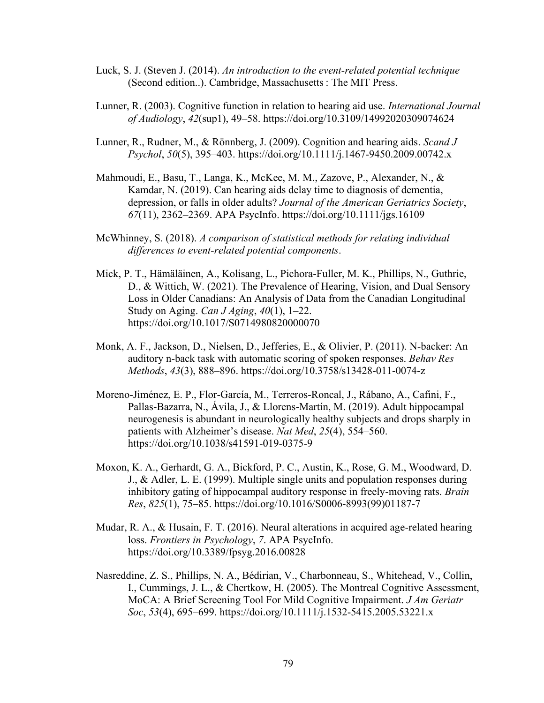- Luck, S. J. (Steven J. (2014). *An introduction to the event-related potential technique* (Second edition..). Cambridge, Massachusetts : The MIT Press.
- Lunner, R. (2003). Cognitive function in relation to hearing aid use. *International Journal of Audiology*, *42*(sup1), 49–58. https://doi.org/10.3109/14992020309074624
- Lunner, R., Rudner, M., & Rönnberg, J. (2009). Cognition and hearing aids. *Scand J Psychol*, *50*(5), 395–403. https://doi.org/10.1111/j.1467-9450.2009.00742.x
- Mahmoudi, E., Basu, T., Langa, K., McKee, M. M., Zazove, P., Alexander, N., & Kamdar, N. (2019). Can hearing aids delay time to diagnosis of dementia, depression, or falls in older adults? *Journal of the American Geriatrics Society*, *67*(11), 2362–2369. APA PsycInfo. https://doi.org/10.1111/jgs.16109
- McWhinney, S. (2018). *A comparison of statistical methods for relating individual differences to event-related potential components*.
- Mick, P. T., Hämäläinen, A., Kolisang, L., Pichora-Fuller, M. K., Phillips, N., Guthrie, D., & Wittich, W. (2021). The Prevalence of Hearing, Vision, and Dual Sensory Loss in Older Canadians: An Analysis of Data from the Canadian Longitudinal Study on Aging. *Can J Aging*, *40*(1), 1–22. https://doi.org/10.1017/S0714980820000070
- Monk, A. F., Jackson, D., Nielsen, D., Jefferies, E., & Olivier, P. (2011). N-backer: An auditory n-back task with automatic scoring of spoken responses. *Behav Res Methods*, *43*(3), 888–896. https://doi.org/10.3758/s13428-011-0074-z
- Moreno-Jiménez, E. P., Flor-García, M., Terreros-Roncal, J., Rábano, A., Cafini, F., Pallas-Bazarra, N., Ávila, J., & Llorens-Martín, M. (2019). Adult hippocampal neurogenesis is abundant in neurologically healthy subjects and drops sharply in patients with Alzheimer's disease. *Nat Med*, *25*(4), 554–560. https://doi.org/10.1038/s41591-019-0375-9
- Moxon, K. A., Gerhardt, G. A., Bickford, P. C., Austin, K., Rose, G. M., Woodward, D. J., & Adler, L. E. (1999). Multiple single units and population responses during inhibitory gating of hippocampal auditory response in freely-moving rats. *Brain Res*, *825*(1), 75–85. https://doi.org/10.1016/S0006-8993(99)01187-7
- Mudar, R. A., & Husain, F. T. (2016). Neural alterations in acquired age-related hearing loss. *Frontiers in Psychology*, *7*. APA PsycInfo. https://doi.org/10.3389/fpsyg.2016.00828
- Nasreddine, Z. S., Phillips, N. A., Bédirian, V., Charbonneau, S., Whitehead, V., Collin, I., Cummings, J. L., & Chertkow, H. (2005). The Montreal Cognitive Assessment, MoCA: A Brief Screening Tool For Mild Cognitive Impairment. *J Am Geriatr Soc*, *53*(4), 695–699. https://doi.org/10.1111/j.1532-5415.2005.53221.x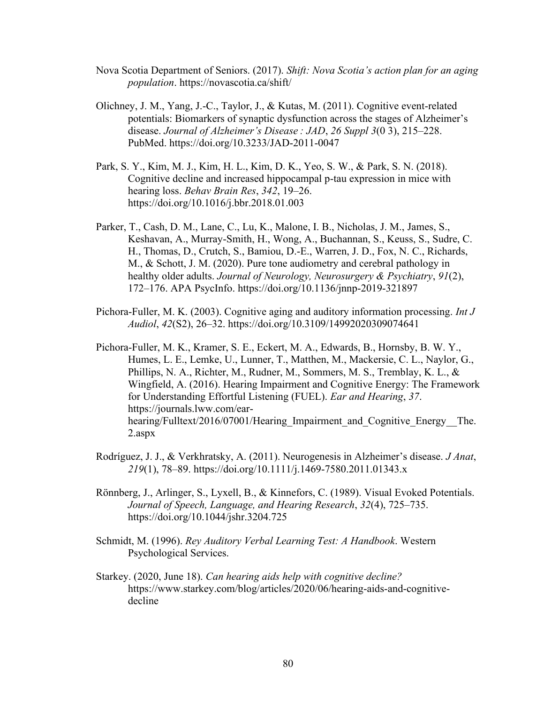- Nova Scotia Department of Seniors. (2017). *Shift: Nova Scotia's action plan for an aging population*. https://novascotia.ca/shift/
- Olichney, J. M., Yang, J.-C., Taylor, J., & Kutas, M. (2011). Cognitive event-related potentials: Biomarkers of synaptic dysfunction across the stages of Alzheimer's disease. *Journal of Alzheimer's Disease : JAD*, *26 Suppl 3*(0 3), 215–228. PubMed. https://doi.org/10.3233/JAD-2011-0047
- Park, S. Y., Kim, M. J., Kim, H. L., Kim, D. K., Yeo, S. W., & Park, S. N. (2018). Cognitive decline and increased hippocampal p-tau expression in mice with hearing loss. *Behav Brain Res*, *342*, 19–26. https://doi.org/10.1016/j.bbr.2018.01.003
- Parker, T., Cash, D. M., Lane, C., Lu, K., Malone, I. B., Nicholas, J. M., James, S., Keshavan, A., Murray-Smith, H., Wong, A., Buchannan, S., Keuss, S., Sudre, C. H., Thomas, D., Crutch, S., Bamiou, D.-E., Warren, J. D., Fox, N. C., Richards, M., & Schott, J. M. (2020). Pure tone audiometry and cerebral pathology in healthy older adults. *Journal of Neurology, Neurosurgery & Psychiatry*, *91*(2), 172–176. APA PsycInfo. https://doi.org/10.1136/jnnp-2019-321897
- Pichora-Fuller, M. K. (2003). Cognitive aging and auditory information processing. *Int J Audiol*, *42*(S2), 26–32. https://doi.org/10.3109/14992020309074641
- Pichora-Fuller, M. K., Kramer, S. E., Eckert, M. A., Edwards, B., Hornsby, B. W. Y., Humes, L. E., Lemke, U., Lunner, T., Matthen, M., Mackersie, C. L., Naylor, G., Phillips, N. A., Richter, M., Rudner, M., Sommers, M. S., Tremblay, K. L., & Wingfield, A. (2016). Hearing Impairment and Cognitive Energy: The Framework for Understanding Effortful Listening (FUEL). *Ear and Hearing*, *37*. https://journals.lww.com/earhearing/Fulltext/2016/07001/Hearing Impairment and Cognitive Energy The. 2.aspx
- Rodríguez, J. J., & Verkhratsky, A. (2011). Neurogenesis in Alzheimer's disease. *J Anat*, *219*(1), 78–89. https://doi.org/10.1111/j.1469-7580.2011.01343.x
- Rönnberg, J., Arlinger, S., Lyxell, B., & Kinnefors, C. (1989). Visual Evoked Potentials. *Journal of Speech, Language, and Hearing Research*, *32*(4), 725–735. https://doi.org/10.1044/jshr.3204.725
- Schmidt, M. (1996). *Rey Auditory Verbal Learning Test: A Handbook*. Western Psychological Services.
- Starkey. (2020, June 18). *Can hearing aids help with cognitive decline?* https://www.starkey.com/blog/articles/2020/06/hearing-aids-and-cognitivedecline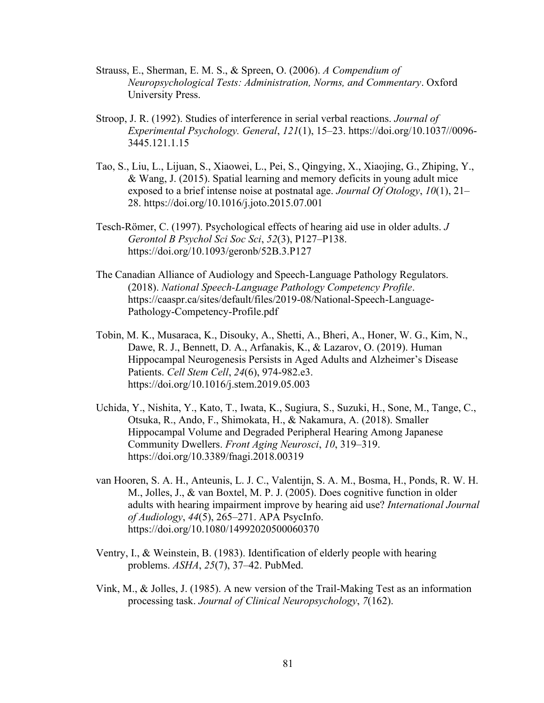- Strauss, E., Sherman, E. M. S., & Spreen, O. (2006). *A Compendium of Neuropsychological Tests: Administration, Norms, and Commentary*. Oxford University Press.
- Stroop, J. R. (1992). Studies of interference in serial verbal reactions. *Journal of Experimental Psychology. General*, *121*(1), 15–23. https://doi.org/10.1037//0096- 3445.121.1.15
- Tao, S., Liu, L., Lijuan, S., Xiaowei, L., Pei, S., Qingying, X., Xiaojing, G., Zhiping, Y., & Wang, J. (2015). Spatial learning and memory deficits in young adult mice exposed to a brief intense noise at postnatal age. *Journal Of Otology*, *10*(1), 21– 28. https://doi.org/10.1016/j.joto.2015.07.001
- Tesch-Römer, C. (1997). Psychological effects of hearing aid use in older adults. *J Gerontol B Psychol Sci Soc Sci*, *52*(3), P127–P138. https://doi.org/10.1093/geronb/52B.3.P127
- The Canadian Alliance of Audiology and Speech-Language Pathology Regulators. (2018). *National Speech-Language Pathology Competency Profile*. https://caaspr.ca/sites/default/files/2019-08/National-Speech-Language-Pathology-Competency-Profile.pdf
- Tobin, M. K., Musaraca, K., Disouky, A., Shetti, A., Bheri, A., Honer, W. G., Kim, N., Dawe, R. J., Bennett, D. A., Arfanakis, K., & Lazarov, O. (2019). Human Hippocampal Neurogenesis Persists in Aged Adults and Alzheimer's Disease Patients. *Cell Stem Cell*, *24*(6), 974-982.e3. https://doi.org/10.1016/j.stem.2019.05.003
- Uchida, Y., Nishita, Y., Kato, T., Iwata, K., Sugiura, S., Suzuki, H., Sone, M., Tange, C., Otsuka, R., Ando, F., Shimokata, H., & Nakamura, A. (2018). Smaller Hippocampal Volume and Degraded Peripheral Hearing Among Japanese Community Dwellers. *Front Aging Neurosci*, *10*, 319–319. https://doi.org/10.3389/fnagi.2018.00319
- van Hooren, S. A. H., Anteunis, L. J. C., Valentijn, S. A. M., Bosma, H., Ponds, R. W. H. M., Jolles, J., & van Boxtel, M. P. J. (2005). Does cognitive function in older adults with hearing impairment improve by hearing aid use? *International Journal of Audiology*, *44*(5), 265–271. APA PsycInfo. https://doi.org/10.1080/14992020500060370
- Ventry, I., & Weinstein, B. (1983). Identification of elderly people with hearing problems. *ASHA*, *25*(7), 37–42. PubMed.
- Vink, M., & Jolles, J. (1985). A new version of the Trail-Making Test as an information processing task. *Journal of Clinical Neuropsychology*, *7*(162).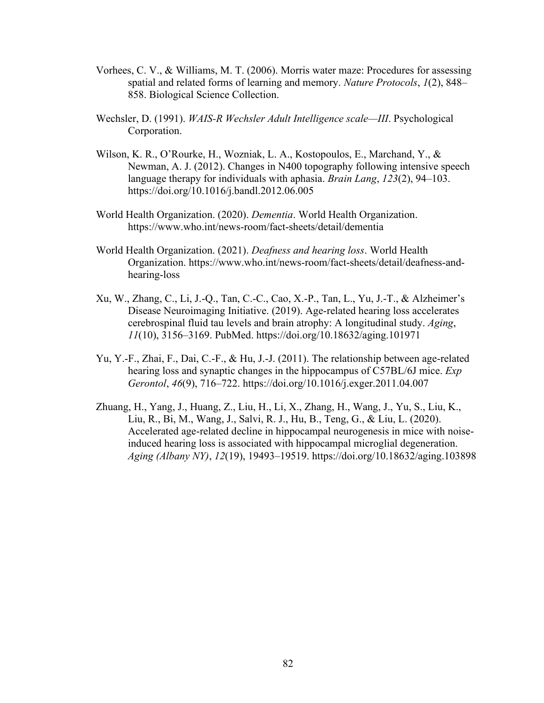- Vorhees, C. V., & Williams, M. T. (2006). Morris water maze: Procedures for assessing spatial and related forms of learning and memory. *Nature Protocols*, *1*(2), 848– 858. Biological Science Collection.
- Wechsler, D. (1991). *WAIS-R Wechsler Adult Intelligence scale—III*. Psychological Corporation.
- Wilson, K. R., O'Rourke, H., Wozniak, L. A., Kostopoulos, E., Marchand, Y., & Newman, A. J. (2012). Changes in N400 topography following intensive speech language therapy for individuals with aphasia. *Brain Lang*, *123*(2), 94–103. https://doi.org/10.1016/j.bandl.2012.06.005
- World Health Organization. (2020). *Dementia*. World Health Organization. https://www.who.int/news-room/fact-sheets/detail/dementia
- World Health Organization. (2021). *Deafness and hearing loss*. World Health Organization. https://www.who.int/news-room/fact-sheets/detail/deafness-andhearing-loss
- Xu, W., Zhang, C., Li, J.-Q., Tan, C.-C., Cao, X.-P., Tan, L., Yu, J.-T., & Alzheimer's Disease Neuroimaging Initiative. (2019). Age-related hearing loss accelerates cerebrospinal fluid tau levels and brain atrophy: A longitudinal study. *Aging*, *11*(10), 3156–3169. PubMed. https://doi.org/10.18632/aging.101971
- Yu, Y.-F., Zhai, F., Dai, C.-F., & Hu, J.-J. (2011). The relationship between age-related hearing loss and synaptic changes in the hippocampus of C57BL/6J mice. *Exp Gerontol*, *46*(9), 716–722. https://doi.org/10.1016/j.exger.2011.04.007
- Zhuang, H., Yang, J., Huang, Z., Liu, H., Li, X., Zhang, H., Wang, J., Yu, S., Liu, K., Liu, R., Bi, M., Wang, J., Salvi, R. J., Hu, B., Teng, G., & Liu, L. (2020). Accelerated age-related decline in hippocampal neurogenesis in mice with noiseinduced hearing loss is associated with hippocampal microglial degeneration. *Aging (Albany NY)*, *12*(19), 19493–19519. https://doi.org/10.18632/aging.103898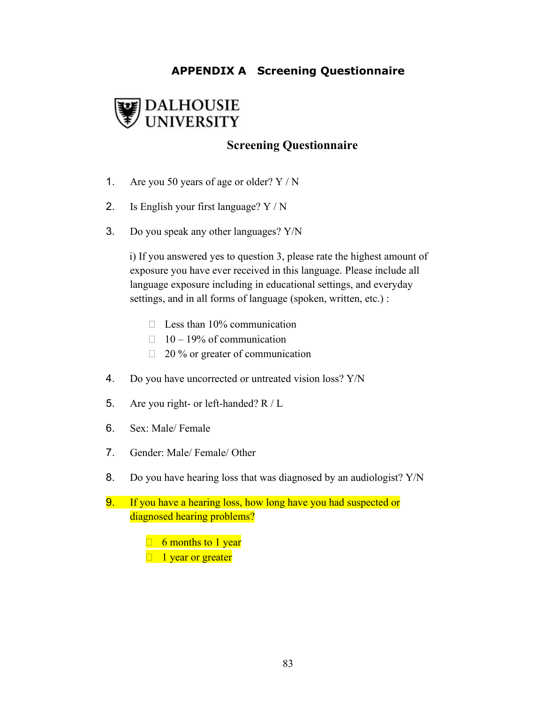# **APPENDIX A Screening Questionnaire**



# **Screening Questionnaire**

- 1. Are you 50 years of age or older? Y / N
- 2. Is English your first language? Y / N
- 3. Do you speak any other languages? Y/N

i) If you answered yes to question 3, please rate the highest amount of exposure you have ever received in this language. Please include all language exposure including in educational settings, and everyday settings, and in all forms of language (spoken, written, etc.) :

- $\Box$  Less than 10% communication
- $\Box$  10 19% of communication
- $\Box$  20 % or greater of communication
- 4. Do you have uncorrected or untreated vision loss? Y/N
- 5. Are you right- or left-handed? R / L
- 6. Sex: Male/ Female
- 7. Gender: Male/ Female/ Other
- 8. Do you have hearing loss that was diagnosed by an audiologist? Y/N
- 9. If you have a hearing loss, how long have you had suspected or diagnosed hearing problems?
	- $\Box$  6 months to 1 year  $\Box$  1 year or greater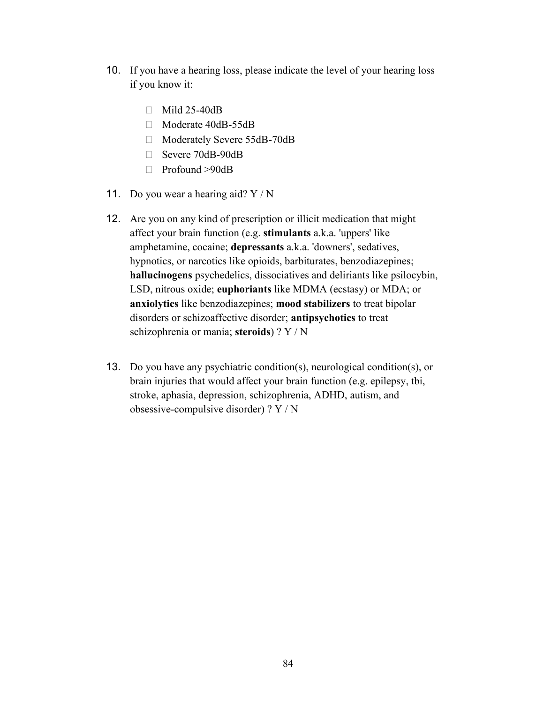- 10. If you have a hearing loss, please indicate the level of your hearing loss if you know it:
	- $\Box$  Mild 25-40dB
	- □ Moderate 40dB-55dB
	- □ Moderately Severe 55dB-70dB
	- Severe 70dB-90dB
	- □ Profound >90dB
- 11. Do you wear a hearing aid?  $Y/N$
- 12. Are you on any kind of prescription or illicit medication that might affect your brain function (e.g. **stimulants** a.k.a. 'uppers' like amphetamine, cocaine; **depressants** a.k.a. 'downers', sedatives, hypnotics, or narcotics like opioids, barbiturates, benzodiazepines; **hallucinogens** psychedelics, dissociatives and deliriants like psilocybin, LSD, nitrous oxide; **euphoriants** like MDMA (ecstasy) or MDA; or **anxiolytics** like benzodiazepines; **mood stabilizers** to treat bipolar disorders or schizoaffective disorder; **antipsychotics** to treat schizophrenia or mania; **steroids**) ? Y / N
- 13. Do you have any psychiatric condition(s), neurological condition(s), or brain injuries that would affect your brain function (e.g. epilepsy, tbi, stroke, aphasia, depression, schizophrenia, ADHD, autism, and obsessive-compulsive disorder) ? Y / N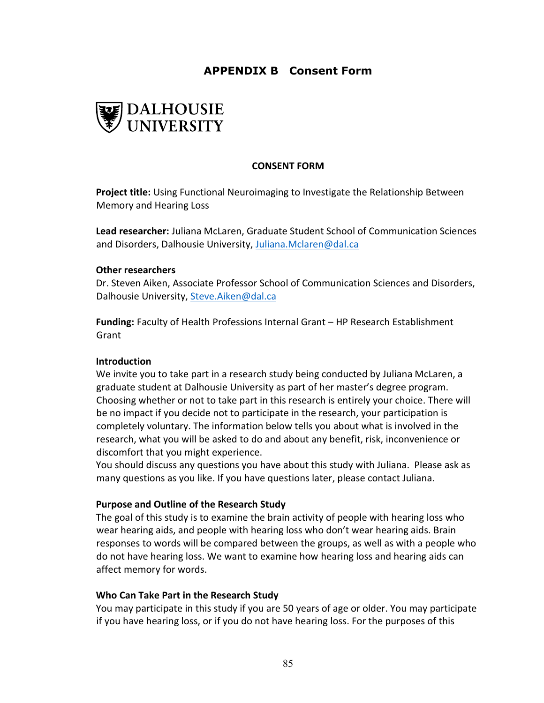# **APPENDIX B Consent Form**



## **CONSENT FORM**

**Project title:** Using Functional Neuroimaging to Investigate the Relationship Between Memory and Hearing Loss

**Lead researcher:** Juliana McLaren, Graduate Student School of Communication Sciences and Disorders, Dalhousie University[, Juliana.Mclaren@dal.ca](mailto:Juliana.Mclaren@dal.ca)

#### **Other researchers**

Dr. Steven Aiken, Associate Professor School of Communication Sciences and Disorders, Dalhousie University, [Steve.Aiken@dal.ca](mailto:Steve.Aiken@dal.ca)

**Funding:** Faculty of Health Professions Internal Grant – HP Research Establishment Grant

#### **Introduction**

We invite you to take part in a research study being conducted by Juliana McLaren, a graduate student at Dalhousie University as part of her master's degree program. Choosing whether or not to take part in this research is entirely your choice. There will be no impact if you decide not to participate in the research, your participation is completely voluntary. The information below tells you about what is involved in the research, what you will be asked to do and about any benefit, risk, inconvenience or discomfort that you might experience.

You should discuss any questions you have about this study with Juliana. Please ask as many questions as you like. If you have questions later, please contact Juliana.

## **Purpose and Outline of the Research Study**

The goal of this study is to examine the brain activity of people with hearing loss who wear hearing aids, and people with hearing loss who don't wear hearing aids. Brain responses to words will be compared between the groups, as well as with a people who do not have hearing loss. We want to examine how hearing loss and hearing aids can affect memory for words.

#### **Who Can Take Part in the Research Study**

You may participate in this study if you are 50 years of age or older. You may participate if you have hearing loss, or if you do not have hearing loss. For the purposes of this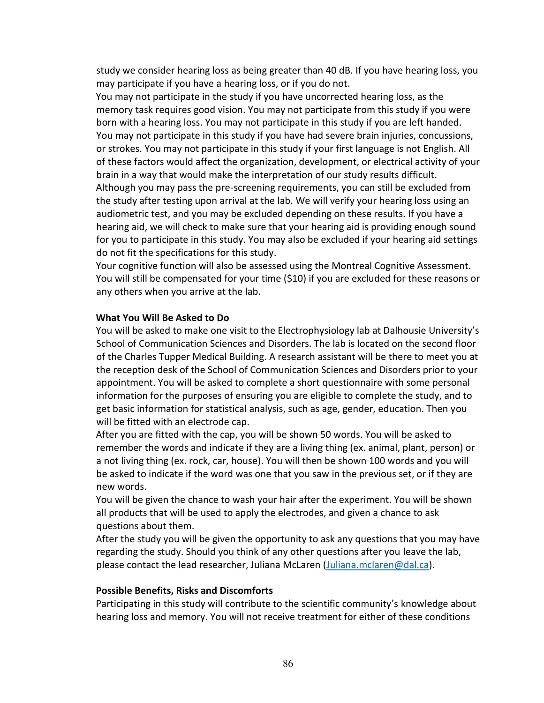study we consider hearing loss as being greater than 40 dB. If you have hearing loss, you may participate if you have a hearing loss, or if you do not.

You may not participate in the study if you have uncorrected hearing loss, as the memory task requires good vision. You may not participate from this study if you were born with a hearing loss. You may not participate in this study if you are left handed. You may not participate in this study if you have had severe brain injuries, concussions, or strokes. You may not participate in this study if your first language is not English. All of these factors would affect the organization, development, or electrical activity of your brain in a way that would make the interpretation of our study results difficult. Although you may pass the pre-screening requirements, you can still be excluded from the study after testing upon arrival at the lab. We will verify your hearing loss using an audiometric test, and you may be excluded depending on these results. If you have a hearing aid, we will check to make sure that your hearing aid is providing enough sound for you to participate in this study. You may also be excluded if your hearing aid settings do not fit the specifications for this study.

Your cognitive function will also be assessed using the Montreal Cognitive Assessment. You will still be compensated for your time (\$10) if you are excluded for these reasons or any others when you arrive at the lab.

### **What You Will Be Asked to Do**

You will be asked to make one visit to the Electrophysiology lab at Dalhousie University's School of Communication Sciences and Disorders. The lab is located on the second floor of the Charles Tupper Medical Building. A research assistant will be there to meet you at the reception desk of the School of Communication Sciences and Disorders prior to your appointment. You will be asked to complete a short questionnaire with some personal information for the purposes of ensuring you are eligible to complete the study, and to get basic information for statistical analysis, such as age, gender, education. Then you will be fitted with an electrode cap.

After you are fitted with the cap, you will be shown 50 words. You will be asked to remember the words and indicate if they are a living thing (ex. animal, plant, person) or a not living thing (ex. rock, car, house). You will then be shown 100 words and you will be asked to indicate if the word was one that you saw in the previous set, or if they are new words.

You will be given the chance to wash your hair after the experiment. You will be shown all products that will be used to apply the electrodes, and given a chance to ask questions about them.

After the study you will be given the opportunity to ask any questions that you may have regarding the study. Should you think of any other questions after you leave the lab, please contact the lead researcher, Juliana McLaren [\(Juliana.mclaren@dal.ca\)](mailto:Juliana.mclaren@dal.ca).

#### **Possible Benefits, Risks and Discomforts**

Participating in this study will contribute to the scientific community's knowledge about hearing loss and memory. You will not receive treatment for either of these conditions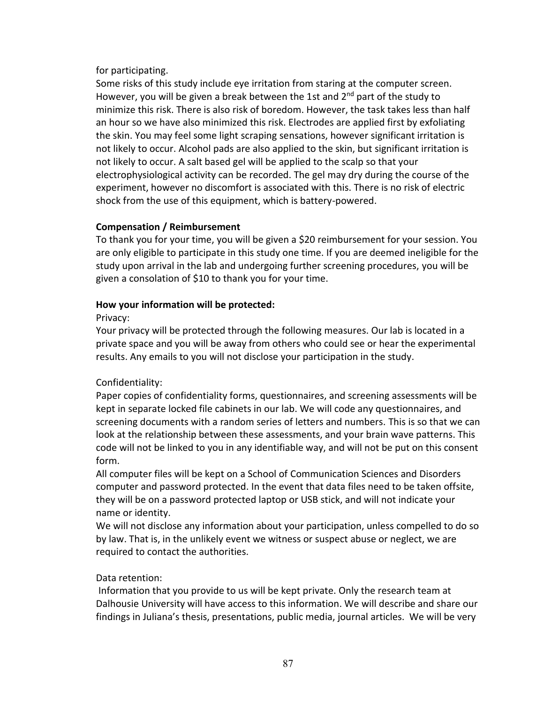for participating.

Some risks of this study include eye irritation from staring at the computer screen. However, you will be given a break between the 1st and  $2<sup>nd</sup>$  part of the study to minimize this risk. There is also risk of boredom. However, the task takes less than half an hour so we have also minimized this risk. Electrodes are applied first by exfoliating the skin. You may feel some light scraping sensations, however significant irritation is not likely to occur. Alcohol pads are also applied to the skin, but significant irritation is not likely to occur. A salt based gel will be applied to the scalp so that your electrophysiological activity can be recorded. The gel may dry during the course of the experiment, however no discomfort is associated with this. There is no risk of electric shock from the use of this equipment, which is battery-powered.

## **Compensation / Reimbursement**

To thank you for your time, you will be given a \$20 reimbursement for your session. You are only eligible to participate in this study one time. If you are deemed ineligible for the study upon arrival in the lab and undergoing further screening procedures, you will be given a consolation of \$10 to thank you for your time.

## **How your information will be protected:**

Privacy:

Your privacy will be protected through the following measures. Our lab is located in a private space and you will be away from others who could see or hear the experimental results. Any emails to you will not disclose your participation in the study.

# Confidentiality:

Paper copies of confidentiality forms, questionnaires, and screening assessments will be kept in separate locked file cabinets in our lab. We will code any questionnaires, and screening documents with a random series of letters and numbers. This is so that we can look at the relationship between these assessments, and your brain wave patterns. This code will not be linked to you in any identifiable way, and will not be put on this consent form.

All computer files will be kept on a School of Communication Sciences and Disorders computer and password protected. In the event that data files need to be taken offsite, they will be on a password protected laptop or USB stick, and will not indicate your name or identity.

We will not disclose any information about your participation, unless compelled to do so by law. That is, in the unlikely event we witness or suspect abuse or neglect, we are required to contact the authorities.

## Data retention:

Information that you provide to us will be kept private. Only the research team at Dalhousie University will have access to this information. We will describe and share our findings in Juliana's thesis, presentations, public media, journal articles. We will be very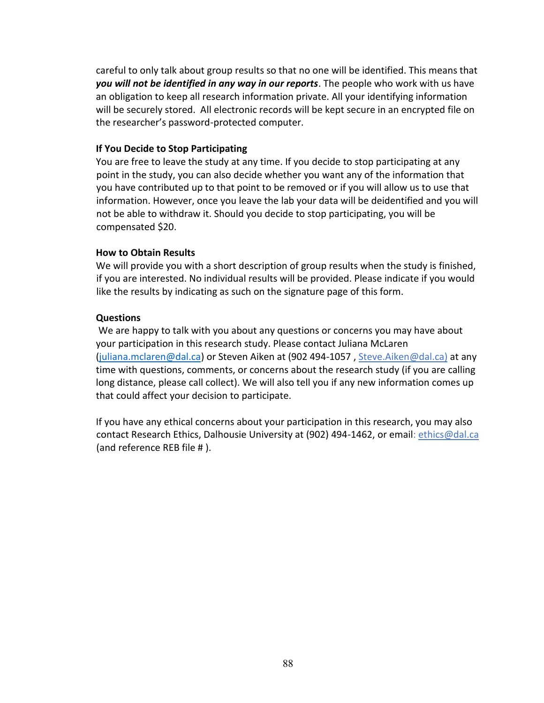careful to only talk about group results so that no one will be identified. This means that *you will not be identified in any way in our reports*. The people who work with us have an obligation to keep all research information private. All your identifying information will be securely stored. All electronic records will be kept secure in an encrypted file on the researcher's password-protected computer.

## **If You Decide to Stop Participating**

You are free to leave the study at any time. If you decide to stop participating at any point in the study, you can also decide whether you want any of the information that you have contributed up to that point to be removed or if you will allow us to use that information. However, once you leave the lab your data will be deidentified and you will not be able to withdraw it. Should you decide to stop participating, you will be compensated \$20.

## **How to Obtain Results**

We will provide you with a short description of group results when the study is finished, if you are interested. No individual results will be provided. Please indicate if you would like the results by indicating as such on the signature page of this form.

## **Questions**

We are happy to talk with you about any questions or concerns you may have about your participation in this research study. Please contact Juliana McLaren [\(juliana.mclaren@dal.ca\)](mailto:juliana.mclaren@dal.ca) or Steven Aiken at (902 494-1057 , [Steve.Aiken@dal.ca\)](mailto:Steve.Aiken@dal.ca) at any time with questions, comments, or concerns about the research study (if you are calling long distance, please call collect). We will also tell you if any new information comes up that could affect your decision to participate.

If you have any ethical concerns about your participation in this research, you may also contact Research Ethics, Dalhousie University at (902) 494-1462, or email: [ethics@dal.ca](mailto:ethics@dal.ca) (and reference REB file # ).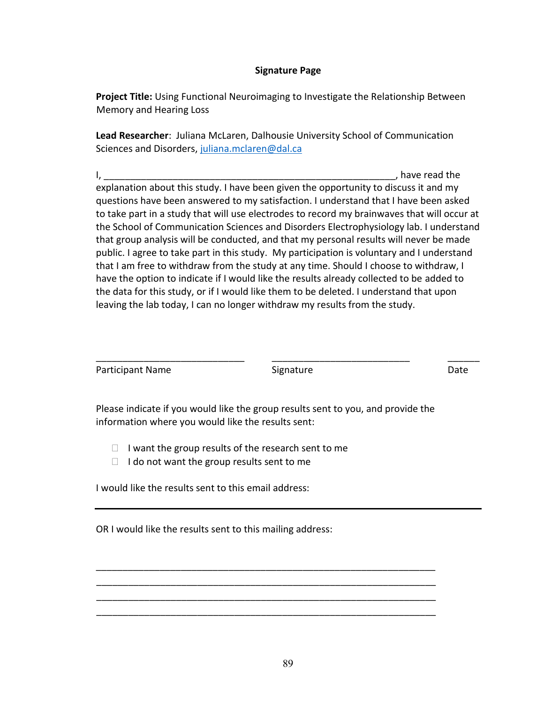### **Signature Page**

**Project Title:** Using Functional Neuroimaging to Investigate the Relationship Between Memory and Hearing Loss

**Lead Researcher**: Juliana McLaren, Dalhousie University School of Communication Sciences and Disorders, [juliana.mclaren@dal.ca](mailto:juliana.mclaren@dal.ca)

 $I,$ explanation about this study. I have been given the opportunity to discuss it and my questions have been answered to my satisfaction. I understand that I have been asked to take part in a study that will use electrodes to record my brainwaves that will occur at the School of Communication Sciences and Disorders Electrophysiology lab. I understand that group analysis will be conducted, and that my personal results will never be made public. I agree to take part in this study. My participation is voluntary and I understand that I am free to withdraw from the study at any time. Should I choose to withdraw, I have the option to indicate if I would like the results already collected to be added to the data for this study, or if I would like them to be deleted. I understand that upon leaving the lab today, I can no longer withdraw my results from the study.

| Participant Name | Signature | Date |
|------------------|-----------|------|
|                  |           |      |

Please indicate if you would like the group results sent to you, and provide the information where you would like the results sent:

\_\_\_\_\_\_\_\_\_\_\_\_\_\_\_\_\_\_\_\_\_\_\_\_\_\_\_\_\_\_\_\_\_\_\_\_\_\_\_\_\_\_\_\_\_\_\_\_\_\_\_\_\_\_\_\_\_\_\_\_\_\_\_\_ \_\_\_\_\_\_\_\_\_\_\_\_\_\_\_\_\_\_\_\_\_\_\_\_\_\_\_\_\_\_\_\_\_\_\_\_\_\_\_\_\_\_\_\_\_\_\_\_\_\_\_\_\_\_\_\_\_\_\_\_\_\_\_\_ \_\_\_\_\_\_\_\_\_\_\_\_\_\_\_\_\_\_\_\_\_\_\_\_\_\_\_\_\_\_\_\_\_\_\_\_\_\_\_\_\_\_\_\_\_\_\_\_\_\_\_\_\_\_\_\_\_\_\_\_\_\_\_\_ \_\_\_\_\_\_\_\_\_\_\_\_\_\_\_\_\_\_\_\_\_\_\_\_\_\_\_\_\_\_\_\_\_\_\_\_\_\_\_\_\_\_\_\_\_\_\_\_\_\_\_\_\_\_\_\_\_\_\_\_\_\_\_\_

- $\Box$  I want the group results of the research sent to me
- $\Box$  I do not want the group results sent to me

I would like the results sent to this email address:

OR I would like the results sent to this mailing address: